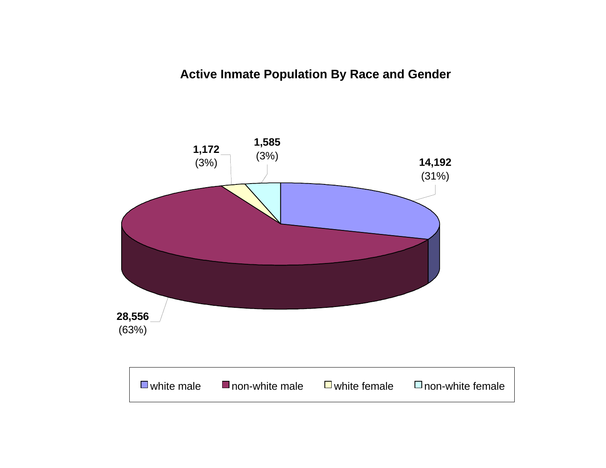# **Active Inmate Population By Race and Gender**

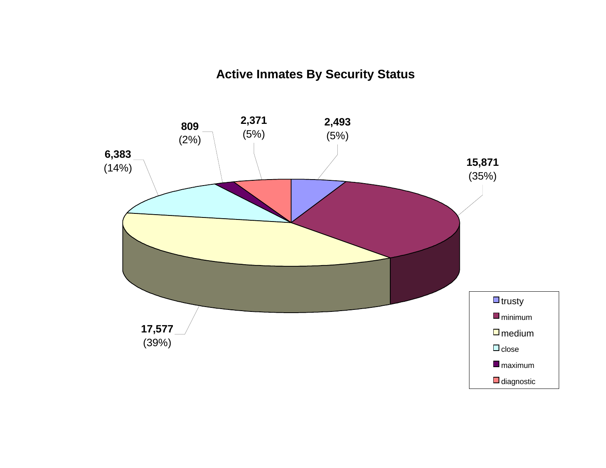# **Active Inmates By Security Status**

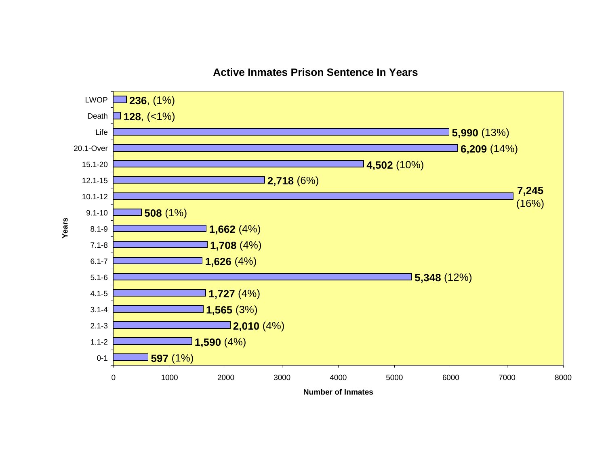

# **Active Inmates Prison Sentence In Years**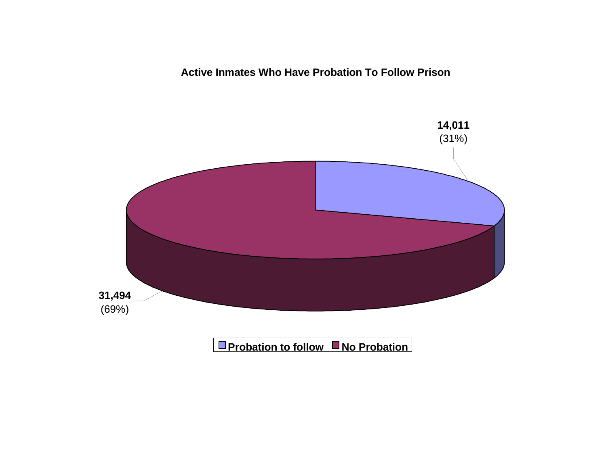**Active Inmates Who Have Probation To Follow Prison**

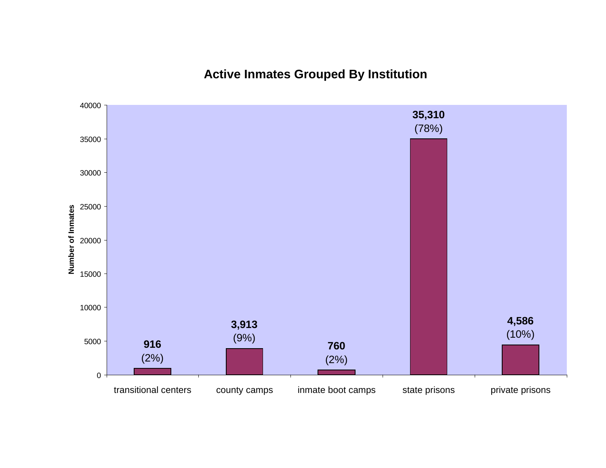**Active Inmates Grouped By Institution**

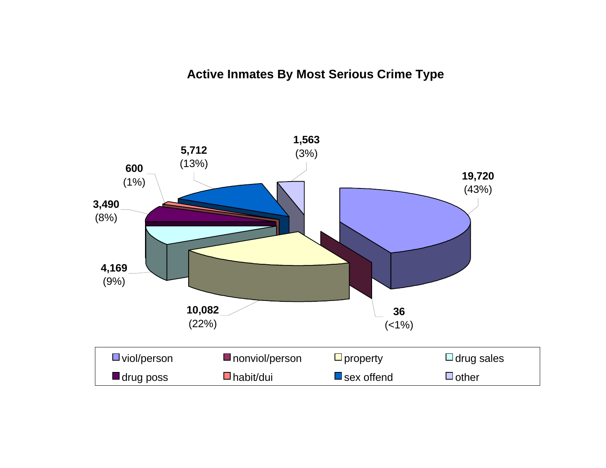# **Active Inmates By Most Serious Crime Type**

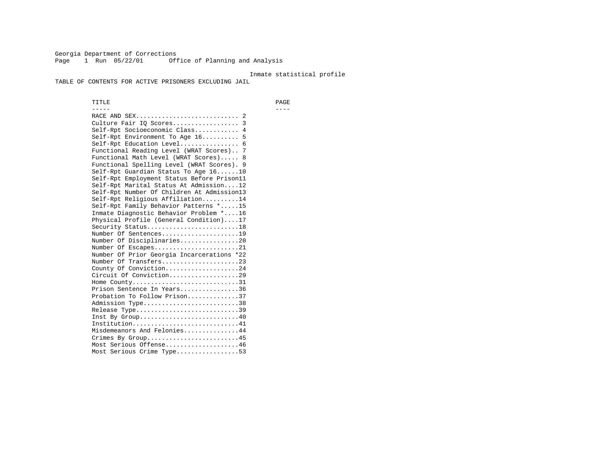Georgia Department of Corrections Page 1 Run 05/22/01 Office of Planning and Analysis

#### Inmate statistical profile

TABLE OF CONTENTS FOR ACTIVE PRISONERS EXCLUDING JAIL

 TITLE PAGE ----- ---- RACE AND SEX............................ 2 Culture Fair IQ Scores.................. 3 Self-Rpt Socioeconomic Class............ 4 Self-Rpt Environment To Age 16.......... 5 Self-Rpt Education Level................ 6 Functional Reading Level (WRAT Scores).. 7 Functional Math Level (WRAT Scores)..... 8 Functional Spelling Level (WRAT Scores). 9 Self-Rpt Guardian Status To Age 16......10 Self-Rpt Employment Status Before Prison11 Self-Rpt Marital Status At Admission....12 Self-Rpt Number Of Children At Admission13 Self-Rpt Religious Affiliation..........14 Self-Rpt Family Behavior Patterns \*.....15 Inmate Diagnostic Behavior Problem \*....16 Physical Profile (General Condition)....17 Security Status...........................18 Number Of Sentences.....................19 Number Of Disciplinaries................20 Number Of Escapes........................21 Number Of Prior Georgia Incarcerations \*22 Number Of Transfers.....................23 County Of Conviction....................24 Circuit Of Conviction...................29 Home County.............................31 Prison Sentence In Years................36 Probation To Follow Prison..............37Admission Type.............................38 Release Type...............................39 Inst By Group.............................40 Institution.............................41 Misdemeanors And Felonies...............44 Crimes By Group.........................45 Most Serious Offense....................46 Most Serious Crime Type.................53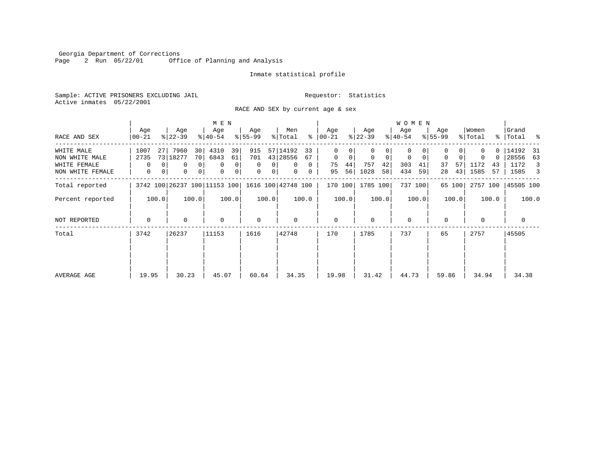Georgia Department of Corrections Page 2 Run 05/22/01 Office of Planning and Analysis

#### Inmate statistical profile

Sample: ACTIVE PRISONERS EXCLUDING JAIL **Requestor:** Statistics Active inmates 05/22/2001

RACE AND SEX by current age & sex

|                                                                  |                              |                                                                                   | M E N                                                        |                                                                              |                                                                                     |                                                          |                                                         | W O M E N                                                        |                                                 |                                                        |                                                    |
|------------------------------------------------------------------|------------------------------|-----------------------------------------------------------------------------------|--------------------------------------------------------------|------------------------------------------------------------------------------|-------------------------------------------------------------------------------------|----------------------------------------------------------|---------------------------------------------------------|------------------------------------------------------------------|-------------------------------------------------|--------------------------------------------------------|----------------------------------------------------|
| RACE AND SEX                                                     | Age<br>$00 - 21$             | Age<br>$ 22-39 $                                                                  | Age<br>$ 40-54 $                                             | Age<br>$8 55-99$                                                             | Men<br>% Total                                                                      | Age<br>$8   00 - 21$                                     | Age<br>$ 22-39 $                                        | Age<br>$ 40-54 $                                                 | Age<br>$8155 - 99$                              | Women<br>% Total                                       | Grand<br>%   Total %                               |
| WHITE MALE<br>NON WHITE MALE<br>WHITE FEMALE<br>NON WHITE FEMALE | 1007<br>27<br>2735<br>0<br>0 | 7960<br>30<br>70 <sub>l</sub><br>73 18277<br>0 <sup>1</sup><br>0<br>0<br> 0 <br>0 | 4310<br>39<br>6843<br>61<br>$\mathbf 0$<br>0<br>0<br>$\circ$ | 915<br>701<br>$\mathbf{0}$<br>$\mathbf{0}$<br>$\mathbf{0}$<br>0 <sup>1</sup> | 57 14192<br>33<br>43 28556<br>67<br>$\mathbf{0}$<br>$\Omega$<br>$\overline{0}$<br>0 | 0<br>$\mathbf{0}$<br>$\mathbf 0$<br>75<br>44<br>56<br>95 | 0<br>$\mathbf 0$<br>$\Omega$<br>757<br>42<br>1028<br>58 | $\Omega$<br>$\mathbf 0$<br>$\mathbf 0$<br>303<br>41<br>434<br>59 | $\Omega$<br>$\mathbf 0$<br>37<br>57<br>43<br>28 | O.<br>$\Omega$<br>$\Omega$<br>1172<br>43<br>1585<br>57 | 14192 31<br>28556<br>63<br>1172<br>3<br>1585<br>-3 |
| Total reported                                                   |                              | 3742 100 26237 100 11153 100                                                      |                                                              |                                                                              | 1616 100 42748 100                                                                  | 170 100                                                  | 1785 100                                                | 737 100                                                          | 65 100                                          | 2757 100                                               | 45505 100                                          |
| Percent reported                                                 | 100.0                        | 100.0                                                                             | 100.0                                                        | 100.0                                                                        | 100.0                                                                               | 100.0                                                    | 100.0                                                   | 100.0                                                            | 100.0                                           | 100.0                                                  | 100.0                                              |
| NOT REPORTED                                                     | $\Omega$                     | $\Omega$                                                                          | $\mathbf 0$                                                  | $\mathbf 0$                                                                  | $\Omega$                                                                            | $\mathbf{0}$                                             | $\Omega$                                                | $\Omega$                                                         | $\Omega$                                        | $\Omega$                                               | 0                                                  |
| Total                                                            | 3742                         | 26237                                                                             | 11153                                                        | 1616                                                                         | 42748                                                                               | 170                                                      | 1785                                                    | 737                                                              | 65                                              | 2757                                                   | 45505                                              |
| AVERAGE AGE                                                      | 19.95                        | 30.23                                                                             | 45.07                                                        | 60.64                                                                        | 34.35                                                                               | 19.98                                                    | 31.42                                                   | 44.73                                                            | 59.86                                           | 34.94                                                  | 34.38                                              |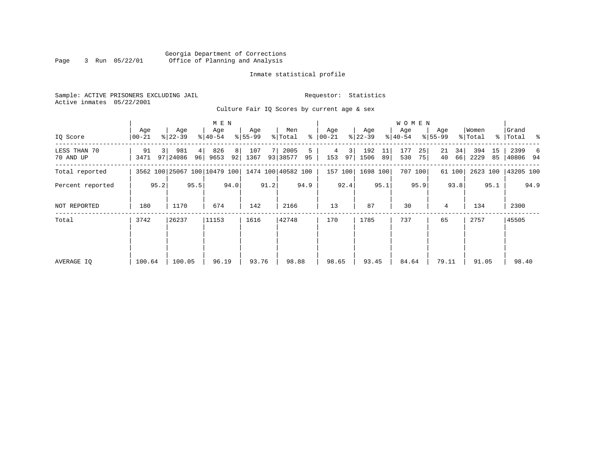#### Georgia Department of Corrections Page 3 Run 05/22/01 Office of Planning and Analysis

# Inmate statistical profile

|  | Sample: ACTIVE PRISONERS EXCLUDING JAIL |  |                                             |  |  | Requestor: Statistics |  |  |
|--|-----------------------------------------|--|---------------------------------------------|--|--|-----------------------|--|--|
|  | Active inmates 05/22/2001               |  |                                             |  |  |                       |  |  |
|  |                                         |  | Culture Fair IO Scores by current age & sex |  |  |                       |  |  |

| IQ Score                  | Age<br>00-21 |      | Age<br>$ 22 - 39 $                              |         | M E N<br>Age<br>$8140 - 54$ |                      | Age<br>$8155 - 99$ |      | Men<br>% Total   | ွေ      | Age<br>$ 00 - 21 $ |         | Age<br>$ 22-39 $ |          | <b>WOMEN</b><br>Age<br>$ 40-54 $ |          | Age<br>$8155 - 99$ |          | Women<br>% Total |          | Grand<br>%   Total % |      |
|---------------------------|--------------|------|-------------------------------------------------|---------|-----------------------------|----------------------|--------------------|------|------------------|---------|--------------------|---------|------------------|----------|----------------------------------|----------|--------------------|----------|------------------|----------|----------------------|------|
| LESS THAN 70<br>70 AND UP | 91<br>3471   |      | 981<br>97 24086                                 | 4<br>96 | 826<br>9653                 | 8 <sup>1</sup><br>92 | 107<br>1367        |      | 2005<br>93 38577 | 5<br>95 | 4<br>153           | 3<br>97 | 192<br>1506      | 11<br>89 | 177<br>530                       | 25<br>75 | 21<br>40           | 34<br>66 | 394<br>2229      | 15<br>85 | 2399<br> 40806 94    | 6    |
| Total reported            |              |      | 3562 100 25067 100 10479 100 1474 100 40582 100 |         |                             |                      |                    |      |                  |         | 157 100            |         | 1698 100         |          |                                  | 707 100  |                    | 61 100   |                  |          | 2623 100 43205 100   |      |
| Percent reported          |              | 95.2 |                                                 | 95.5    |                             | 94.0                 |                    | 91.2 |                  | 94.9    |                    | 92.4    |                  | 95.1     |                                  | 95.9     |                    | 93.8     |                  | 95.1     |                      | 94.9 |
| NOT REPORTED              | 180          |      | 1170                                            |         | 674                         |                      | 142                |      | 2166             |         | 13                 |         | 87               |          | 30                               |          | 4                  |          | 134              |          | 2300                 |      |
| Total                     | 3742         |      | 26237                                           |         | 11153                       |                      | 1616               |      | 42748            |         | 170                |         | 1785             |          | 737                              |          | 65                 |          | 2757             |          | 45505                |      |
| AVERAGE IQ                | 100.64       |      | 100.05                                          |         | 96.19                       |                      | 93.76              |      | 98.88            |         | 98.65              |         | 93.45            |          | 84.64                            |          | 79.11              |          | 91.05            |          | 98.40                |      |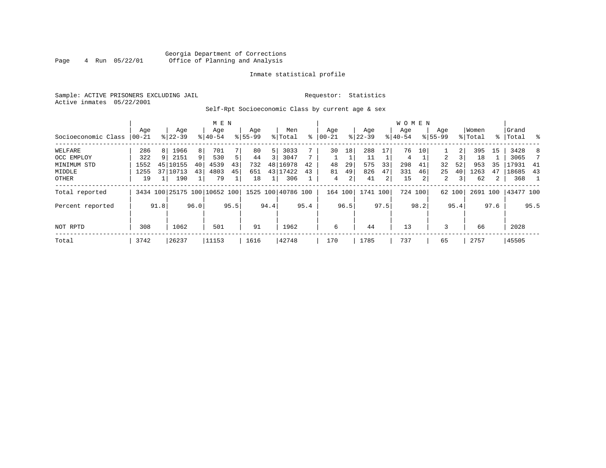# Georgia Department of Corrections<br>4 Run 05/22/01 Office of Planning and Analysis Page 4 Run 05/22/01 Office of Planning and Analysis

#### Inmate statistical profile

Sample: ACTIVE PRISONERS EXCLUDING JAIL **Requestor:** Statistics Active inmates 05/22/2001

Self-Rpt Socioeconomic Class by current age & sex

|                     |            |      |                              |      | M E N     |      |             |      |                    |      |            |      |           |                | <b>WOMEN</b> |         |                |        |          |                |           |      |
|---------------------|------------|------|------------------------------|------|-----------|------|-------------|------|--------------------|------|------------|------|-----------|----------------|--------------|---------|----------------|--------|----------|----------------|-----------|------|
|                     | Age        |      | Age                          |      | Age       |      | Age         |      | Men                |      | Age        |      | Age       |                | Age          |         | Age            |        | Women    |                | Grand     |      |
| Socioeconomic Class | $ 00 - 21$ |      | $8 22-39$                    |      | $8 40-54$ |      | $8155 - 99$ |      | % Total            | ៖    | $ 00 - 21$ |      | $8 22-39$ |                | $8 40-54$    |         | $ 55-99$       |        | % Total  |                | %   Total | း    |
| WELFARE             | 286        | 8    | 1966                         | 8    | 701       |      | 80          | 5    | 3033               |      | 30         | 18   | 288       | 17             | 76           | 10      |                | 2      | 395      | 15             | 3428      | 8    |
| OCC EMPLOY          | 322        | 9    | 2151                         | 9    | 530       |      | 44          | 3    | 3047               |      |            |      | 11        |                | 4            |         | $\mathfrak{D}$ |        | 18       |                | 3065      |      |
| MINIMUM STD         | 1552       | 45   | 10155                        | 40   | 4539      | 43   | 732         | 48   | 16978              | 42   | 48         | 29   | 575       | 33             | 298          | 41      | 32             | 52     | 953      | 35             | 17931     | 41   |
| MIDDLE              | 1255       |      | 37 10713                     | 43   | 4803      | 45   | 651         | 43   | 17422              | 43   | 81         | 49   | 826       | 47             | 331          | 46      | 25             | 40     | 1263     | 47             | 18685     | 43   |
| OTHER               | 19         |      | 190                          |      | 79        |      | 18          |      | 306                |      | 4          | 2    | 41        | $\overline{a}$ | 15           | 2       | 2              | 3      | 62       | $\overline{2}$ | 368       | -1   |
| Total reported      |            |      | 3434 100 25175 100 10652 100 |      |           |      |             |      | 1525 100 40786 100 |      | 164 100    |      | 1741 100  |                |              | 724 100 |                | 62 100 | 2691 100 |                | 43477 100 |      |
| Percent reported    |            | 91.8 |                              | 96.0 |           | 95.5 |             | 94.4 |                    | 95.4 |            | 96.5 |           | 97.5           |              | 98.2    |                | 95.4   |          | 97.6           |           | 95.5 |
| NOT RPTD            | 308        |      | 1062                         |      | 501       |      | 91          |      | 1962               |      | 6          |      | 44        |                | 13           |         | 3              |        | 66       |                | 2028      |      |
| Total               | 3742       |      | 26237                        |      | 11153     |      | 1616        |      | 42748              |      | 170        |      | 1785      |                | 737          |         | 65             |        | 2757     |                | 45505     |      |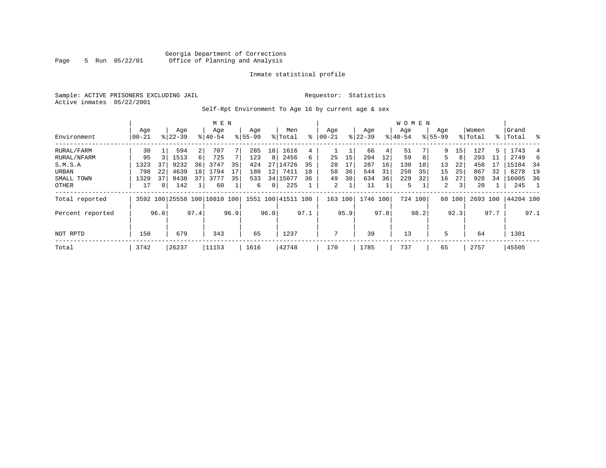# Georgia Department of Corrections<br>5 Run 05/22/01 Office of Planning and Analysis Page 5 Run 05/22/01 Office of Planning and Analysis

#### Inmate statistical profile

Sample: ACTIVE PRISONERS EXCLUDING JAIL **Requestor:** Statistics Active inmates 05/22/2001

Self-Rpt Environment To Age 16 by current age & sex

|                  |                   |      |                    |      | M E N                        |      |                    |      |                    |      |                 |      |                  |      | <b>WOMEN</b>     |      |                    |                 |                  |      |                 |      |
|------------------|-------------------|------|--------------------|------|------------------------------|------|--------------------|------|--------------------|------|-----------------|------|------------------|------|------------------|------|--------------------|-----------------|------------------|------|-----------------|------|
| Environment      | Age<br>$ 00 - 21$ |      | Age<br>$8122 - 39$ |      | Age<br>$8140 - 54$           |      | Age<br>$8155 - 99$ |      | Men<br>% Total     | ៖    | Age<br>$ 00-21$ |      | Age<br>$ 22-39 $ |      | Aqe<br>$ 40-54 $ |      | Age<br>$8155 - 99$ |                 | Women<br>% Total | ႜၟ   | Grand<br> Total | ွေ   |
| RURAL/FARM       | 30                |      | 594                | 2    | 707                          |      | 285                | 18   | 1616               | 4    |                 |      | 66               | 4    | 51               |      | 9                  | 15 <sub>1</sub> | 127              | 5    | 1743            |      |
| RURAL/NFARM      | 95                |      | 1513               | 6    | 725                          |      | 123                | 8    | 2456               | 6    | 25              | 15   | 204              | 12   | 59               | 8    |                    | 8               | 293              |      | 2749            | 6    |
| S.M.S.A          | 1323              | 37   | 9232               | 36   | 3747                         | 35   | 424                | 27   | 14726              | 35   | 28              | 17   | 287              | 16   | 130              | 18   | 13                 | 22              | 458              |      | 15184           | - 34 |
| URBAN            | 798               | 22   | 4639               | 18   | 1794                         | 17   | 180                | 12   | 7411               | 18   | 58              | 36   | 544              | 31   | 250              | 35   | 15                 | 25              | 867              | 32   | 8278            | 19   |
| SMALL TOWN       | 1329              | 37   | 9438               | 37   | 3777                         | 35   | 533                |      | 34 15077           | 36   | 49              | 30   | 634              | 36   | 229              | 32   | 16                 | 27              | 928              | 34   | 16005           | 36   |
| OTHER            | 17                | 0    | 142                |      | 60                           |      | 6                  | 0    | 225                |      | 2               |      | 11               |      | 5                |      | 2                  | 3 <sup>1</sup>  | 20               |      | 245             |      |
| Total reported   |                   |      |                    |      | 3592 100 25558 100 10810 100 |      |                    |      | 1551 100 41511 100 |      | 163             | 100  | 1746 100         |      | 724 100          |      |                    | 60 100          | 2693 100         |      | 44204 100       |      |
| Percent reported |                   | 96.0 |                    | 97.4 |                              | 96.9 |                    | 96.0 |                    | 97.1 |                 | 95.9 |                  | 97.8 |                  | 98.2 |                    | 92.3            |                  | 97.7 |                 | 97.1 |
| NOT RPTD         | 150               |      | 679                |      | 343                          |      | 65                 |      | 1237               |      | 7               |      | 39               |      | 13               |      | 5                  |                 | 64               |      | 1301            |      |
| Total            | 3742              |      | 26237              |      | 11153                        |      | 1616               |      | 42748              |      | 170             |      | 1785             |      | 737              |      | 65                 |                 | 2757             |      | 45505           |      |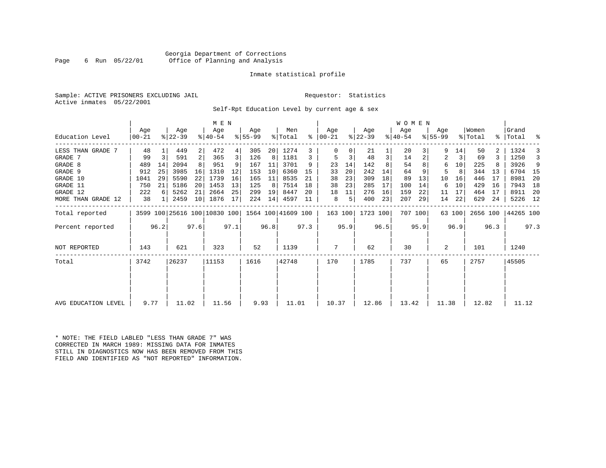### Georgia Department of Corrections Page 6 Run 05/22/01 Office of Planning and Analysis

#### Inmate statistical profile

|  | Sample: ACTIVE PRISONERS EXCLUDING JAI |  |
|--|----------------------------------------|--|
|  | Active inmates 05/22/2001              |  |

IL Requestor: Statistics

Self-Rpt Education Level by current age & sex

|                     |                  |      |                              |      | M E N            |      |                 |                 |                    |           |                  |      |                  |      | WOMEN            |      |                    |        |                  |      |                    |      |
|---------------------|------------------|------|------------------------------|------|------------------|------|-----------------|-----------------|--------------------|-----------|------------------|------|------------------|------|------------------|------|--------------------|--------|------------------|------|--------------------|------|
| Education Level     | Age<br>$ 00-21 $ |      | Age<br>$ 22-39 $             |      | Age<br>$8 40-54$ |      | Aqe<br>$ 55-99$ |                 | Men<br>% Total     | $\approx$ | Aqe<br>$ 00-21 $ |      | Aqe<br>$ 22-39 $ |      | Age<br>$ 40-54 $ |      | Aqe<br>$8155 - 99$ |        | Women<br>% Total |      | Grand<br>%   Total | ႜ    |
| LESS THAN GRADE 7   | 48               |      | 449                          | 2    | 472              |      | 305             | 20 <sub>1</sub> | 1274               | 3         |                  |      | 21               |      | 20               | 3    | 9                  | 14     | 50               |      | 1324               | 3    |
| GRADE 7             | 99               | 3    | 591                          | 2    | 365              |      | 126             | 8               | 1181               | 3         | 5                | 3    | 48               | 3    | 14               | 2    | 2                  | 3      | 69               | 3    | 1250               | 3    |
| GRADE 8             | 489              | 14   | 2094                         |      | 951              |      | 167             | 11              | 3701               |           | 23               | 14   | 142              |      | 54               |      | 6                  | 10     | 225              |      | 3926               | 9    |
| GRADE 9             | 912              | 25   | 3985                         | 16   | 1310             | 12   | 153             | 10              | 6360               | 15        | 33               | 20   | 242              | 14   | 64               |      | 5                  | 8      | 344              | 13   | 6704               | 15   |
| GRADE 10            | 1041             | 29   | 5590                         | 22   | 1739             | 16   | 165             | 11              | 8535               | 21        | 38               | 23   | 309              | 18   | 89               | 13   | 10                 | 16     | 446              | 17   | 8981               | 20   |
| GRADE 11            | 750              | 21   | 5186                         | 20   | 1453             | 13   | 125             | 8               | 7514               | 18        | 38               | 23   | 285              | 17   | 100              | 14   | 6                  | 10     | 429              | 16   | 7943               | 18   |
| GRADE 12            | 222              | 6    | 5262                         | 21   | 2664             | 25   | 299             | 19              | 8447               | 20        | 18               | 11   | 276              | 16   | 159              | 22   | 11                 | 17     | 464              | 17   | 8911               | -20  |
| MORE THAN GRADE 12  | 38               | 1    | 2459                         | 10   | 1876             | 17   | 224             | 14              | 4597               | 11        | 8                | 5    | 400              | 23   | 207              | 29   | 14                 | 22     | 629              | 24   | 5226 12            |      |
| Total reported      |                  |      | 3599 100 25616 100 10830 100 |      |                  |      |                 |                 | 1564 100 41609 100 |           | 163 100          |      | 1723 100         |      | 707 100          |      |                    | 63 100 | 2656 100         |      | 44265 100          |      |
| Percent reported    |                  | 96.2 |                              | 97.6 |                  | 97.1 |                 | 96.8            |                    | 97.3      |                  | 95.9 |                  | 96.5 |                  | 95.9 |                    | 96.9   |                  | 96.3 |                    | 97.3 |
| <b>NOT REPORTED</b> | 143              |      | 621                          |      | 323              |      | 52              |                 | 1139               |           | 7                |      | 62               |      | 30               |      | 2                  |        | 101              |      | 1240               |      |
| Total               | 3742             |      | 26237                        |      | 11153            |      | 1616            |                 | 42748              |           | 170              |      | 1785             |      | 737              |      | 65                 |        | 2757             |      | 45505              |      |
|                     |                  |      |                              |      |                  |      |                 |                 |                    |           |                  |      |                  |      |                  |      |                    |        |                  |      |                    |      |
|                     |                  |      |                              |      |                  |      |                 |                 |                    |           |                  |      |                  |      |                  |      |                    |        |                  |      |                    |      |
| AVG EDUCATION LEVEL | 9.77             |      | 11.02                        |      | 11.56            |      | 9.93            |                 | 11.01              |           | 10.37            |      | 12.86            |      | 13.42            |      | 11.38              |        | 12.82            |      | 11.12              |      |

\* NOTE: THE FIELD LABLED "LESS THAN GRADE 7" WAS CORRECTED IN MARCH 1989: MISSING DATA FOR INMATES STILL IN DIAGNOSTICS NOW HAS BEEN REMOVED FROM THIS FIELD AND IDENTIFIED AS "NOT REPORTED" INFORMATION.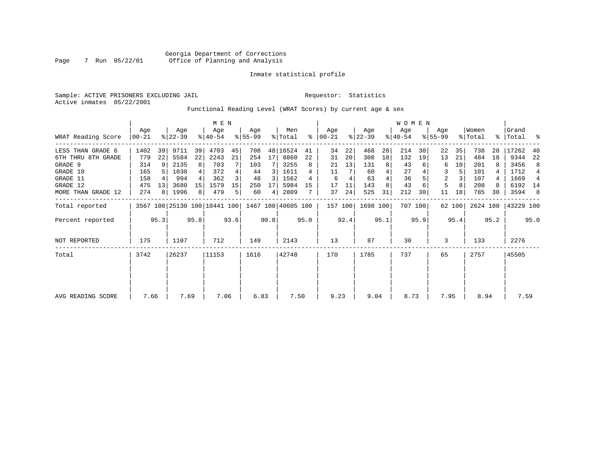Sample: ACTIVE PRISONERS EXCLUDING JAIL **Requestor:** Statistics Active inmates 05/22/2001

Functional Reading Level (WRAT Scores) by current age & sex

|                    |                |                 | M E N            |      |                                                 |      |                  |      |                |      |                    |      |                  |      | WOMEN            |         |                    |        |                  |      |                    |                |
|--------------------|----------------|-----------------|------------------|------|-------------------------------------------------|------|------------------|------|----------------|------|--------------------|------|------------------|------|------------------|---------|--------------------|--------|------------------|------|--------------------|----------------|
| WRAT Reading Score | Age<br>  00-21 |                 | Age<br>$ 22-39 $ |      | Age<br>$8140 - 54$                              |      | Age<br>$8 55-99$ |      | Men<br>% Total | ⊱    | Age<br>$ 00 - 21 $ |      | Age<br>$ 22-39 $ |      | Age<br>$ 40-54 $ |         | Age<br>$8155 - 99$ |        | Women<br>% Total |      | Grand<br>%   Total | ႜ              |
| LESS THAN GRADE 6  | 1402           | 39              | 9711             | 39   | 4703                                            | 45   | 708              |      | 48 16524       | 41   | 34                 | 22   | 468              | 28   | 214              | 30      | 22                 | 35     | 738              | 28   | 17262              | 40             |
| 6TH THRU 8TH GRADE | 779            | 22              | 5584             | 22   | 2243                                            | 21   | 254              | 17   | 8860           | 22   | 31                 | 20   | 308              | 18   | 132              | 19      | 13                 | 21     | 484              | 18   | 9344               | 22             |
| GRADE 9            | 314            | 9               | 2135             | 8    | 703                                             |      | 103              |      | 3255           | 8    | 21                 | 13   | 131              | 8    | 43               |         | 6                  | 10     | 201              |      | 3456               | 8              |
| GRADE 10           | 165            |                 | 1030             |      | 372                                             |      | 44               | 3    | 1611           | 4    | 11                 |      | 60               | 4    | 27               |         | 3                  |        | 101              |      | 1712               | $\overline{4}$ |
| GRADE 11           | 158            |                 | 994              |      | 362                                             |      | 48               | 3    | 1562           | 4    | 6                  | 4    | 63               |      | 36               |         | 2                  |        | 107              |      | 1669               | 4              |
| GRADE 12           | 475            | 13 <sup>1</sup> | 3680             | 15   | 1579                                            | 15   | 250              | 17   | 5984           | 15   | 17                 |      | 143              |      | 43               |         | 5                  |        | 208              |      | 6192 14            |                |
| MORE THAN GRADE 12 | 274            | 8 I             | 1996             | 8    | 479                                             | 5.   | 60               | 4    | 2809           |      | 37                 | 24   | 525              | 31   | 212              | 30      | 11                 | 18     | 785              | 30   | 3594               | 8              |
| Total reported     |                |                 |                  |      | 3567 100 25130 100 10441 100 1467 100 40605 100 |      |                  |      |                |      | 157 100            |      | 1698 100         |      |                  | 707 100 |                    | 62 100 | 2624 100         |      | 43229 100          |                |
| Percent reported   |                | 95.3            |                  | 95.8 |                                                 | 93.6 |                  | 90.8 |                | 95.0 |                    | 92.4 |                  | 95.1 |                  | 95.9    |                    | 95.4   |                  | 95.2 |                    | 95.0           |
| NOT REPORTED       | 175            |                 | 1107             |      | 712                                             |      | 149              |      | 2143           |      | 13                 |      | 87               |      | 30               |         | 3                  |        | 133              |      | 2276               |                |
| Total              | 3742           |                 | 26237            |      | 11153                                           |      | 1616             |      | 42748          |      | 170                |      | 1785             |      | 737              |         | 65                 |        | 2757             |      | 45505              |                |
|                    |                |                 |                  |      |                                                 |      |                  |      |                |      |                    |      |                  |      |                  |         |                    |        |                  |      |                    |                |
| AVG READING SCORE  | 7.66           |                 | 7.69             |      | 7.06                                            |      | 6.83             |      | 7.50           |      | 9.23               |      | 9.04             |      | 8.73             |         | 7.95               |        | 8.94             |      | 7.59               |                |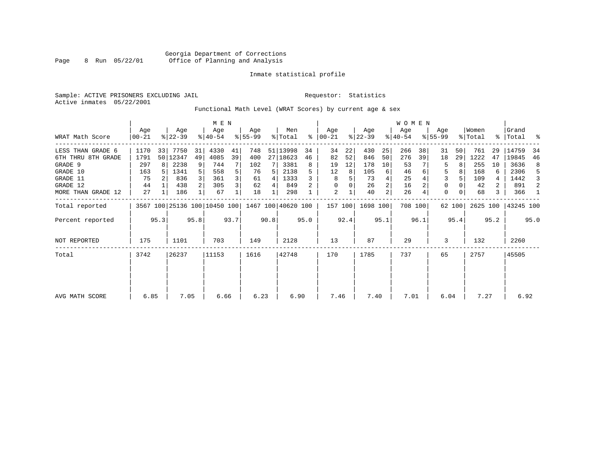Sample: ACTIVE PRISONERS EXCLUDING JAIL **Requestor:** Statistics Active inmates 05/22/2001

Functional Math Level (WRAT Scores) by current age & sex

|                                |                  |      |                    |                | M E N                        |      |                 |      |                    |         |                      |          |                  |          | <b>WOMEN</b>     |         |                    |        |                  |          |                    |         |
|--------------------------------|------------------|------|--------------------|----------------|------------------------------|------|-----------------|------|--------------------|---------|----------------------|----------|------------------|----------|------------------|---------|--------------------|--------|------------------|----------|--------------------|---------|
| WRAT Math Score                | Age<br>$00 - 21$ |      | Age<br>$ 22-39 $   |                | Age<br>$ 40-54 $             |      | Aqe<br>$ 55-99$ |      | Men<br>% Total     |         | Aqe<br>$8   00 - 21$ |          | Aqe<br>$ 22-39 $ |          | Age<br>$ 40-54 $ |         | Aqe<br>$8155 - 99$ |        | Women<br>% Total |          | Grand<br>% Total % |         |
| LESS THAN GRADE 6              | 1170             | 33   | 7750               | 31             | 4330                         | 41   | 748             |      | 51 13998           | 34      | 34                   | 22       | 430              | 25       | 266              | 38      | 31                 | 50     | 761              | 29       | 14759              | 34      |
| 6TH THRU 8TH GRADE<br>GRADE 9  | 1791<br>297      |      | 50   12347<br>2238 | 49<br>9        | 4085<br>744                  | 39   | 400<br>102      |      | 27   18623<br>3381 | 46<br>8 | 82<br>19             | 52<br>12 | 846<br>178       | 50<br>10 | 276<br>53        | 39      | 18<br>5            | 29     | 1222<br>255      | 47<br>10 | 19845<br>3636      | 46<br>8 |
| GRADE 10                       | 163              |      | 1341               | 5 <sup>1</sup> | 558                          | 5    | 76              | 5    | 2138               |         | 12                   | 8        | 105              | 6        | 46               |         | 5                  |        | 168              | 6        | 2306               | 5       |
| GRADE 11                       | 75               |      | 836                |                | 361                          | 3    | 61              | 4    | 1333               |         | 8                    |          | 73               |          | 25               |         |                    |        | 109              | 4        | 1442               | 3       |
| GRADE 12<br>MORE THAN GRADE 12 | 44<br>27         |      | 438<br>186         | 2              | 305<br>67                    | 3    | 62<br>18        | 4    | 849<br>298         |         | 0<br>2               |          | 26<br>40         | 2        | 16<br>26         |         | 0<br>0             |        | 42<br>68         | 2<br>3   | 891<br>366         | 2<br>1  |
| Total reported                 |                  |      |                    |                | 3567 100 25136 100 10450 100 |      |                 |      | 1467 100 40620 100 |         | 157 100              |          | 1698 100         |          |                  | 708 100 |                    | 62 100 | 2625 100         |          | 43245 100          |         |
| Percent reported               |                  | 95.3 |                    | 95.8           |                              | 93.7 |                 | 90.8 |                    | 95.0    |                      | 92.4     |                  | 95.1     |                  | 96.1    |                    | 95.4   |                  | 95.2     |                    | 95.0    |
| NOT REPORTED                   | 175              |      | 1101               |                | 703                          |      | 149             |      | 2128               |         | 13                   |          | 87               |          | 29               |         | 3                  |        | 132              |          | 2260               |         |
| Total                          | 3742             |      | 26237              |                | 11153                        |      | 1616            |      | 42748              |         | 170                  |          | 1785             |          | 737              |         | 65                 |        | 2757             |          | 45505              |         |
|                                |                  |      |                    |                |                              |      |                 |      |                    |         |                      |          |                  |          |                  |         |                    |        |                  |          |                    |         |
|                                |                  |      |                    |                |                              |      |                 |      |                    |         |                      |          |                  |          |                  |         |                    |        |                  |          |                    |         |
| AVG MATH SCORE                 | 6.85             |      | 7.05               |                | 6.66                         |      | 6.23            |      | 6.90               |         | 7.46                 |          | 7.40             |          | 7.01             |         | 6.04               |        | 7.27             |          | 6.92               |         |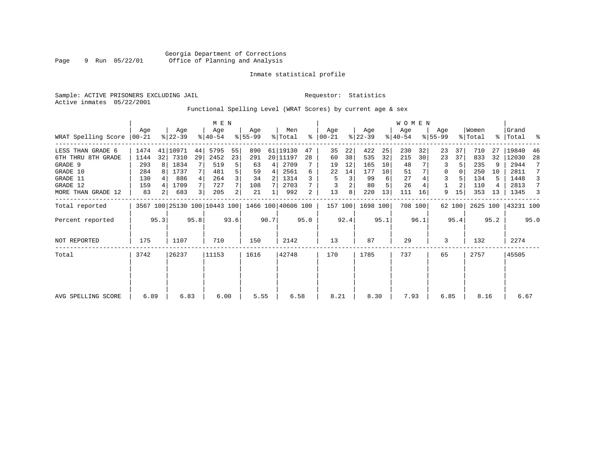Sample: ACTIVE PRISONERS EXCLUDING JAIL **Requestor:** Statistics Active inmates 05/22/2001

Functional Spelling Level (WRAT Scores) by current age & sex

| Aqe<br>WRAT Spelling Score<br>$ 00-21 $ | Age          |                                    | Age                           |                   | Age                   |          |              | ႜ  | Aqe<br>$ 00 - 21 $                                                                                                                                                |    | Age                     |           | Age          |                              | Age                     |                    |                |                          | Grand                    | ႜ         |
|-----------------------------------------|--------------|------------------------------------|-------------------------------|-------------------|-----------------------|----------|--------------|----|-------------------------------------------------------------------------------------------------------------------------------------------------------------------|----|-------------------------|-----------|--------------|------------------------------|-------------------------|--------------------|----------------|--------------------------|--------------------------|-----------|
|                                         |              | 44                                 | 5795                          | 55                | 890                   |          |              | 47 | 35                                                                                                                                                                | 22 | 422                     | 25        |              | 32                           | 23                      | 37                 | 710            | 27                       | 19840                    | 46        |
| 1144                                    | 7310         | 29                                 | 2452                          | 23                | 291                   |          |              | 28 | 60                                                                                                                                                                | 38 | 535                     | 32        | 215          | 30                           | 23                      | 37                 | 833            | 32                       | 12030                    | 28        |
| 293                                     | 1834         |                                    | 519                           | 5                 | 63                    | 4        |              |    | 19                                                                                                                                                                | 12 | 165                     | 10        | 48           |                              | 3                       |                    | 235            |                          | 2944                     |           |
| 284                                     | 1737         |                                    | 481                           |                   | 59                    | 4        |              | 6  | 22                                                                                                                                                                | 14 | 177                     | 10        | 51           |                              | 0                       |                    | 250            | 10                       | 2811                     |           |
| 130                                     | 886          |                                    | 264                           |                   | 34                    |          |              |    | 5                                                                                                                                                                 | 3  | 99                      | 6         | 27           |                              | 3                       |                    | 134            | 5.                       | 1448                     | 3         |
| 159                                     | 1709         |                                    | 727                           |                   | 108                   |          |              |    |                                                                                                                                                                   |    | 80                      |           | 26           |                              |                         |                    | 110            |                          | 2813                     | 7         |
| 83                                      | 683          | 3                                  | 205                           | $\overline{2}$    | 21                    |          |              | 2  | 13                                                                                                                                                                | 8  | 220                     | 13        | 111          | 16                           | 9                       | 15                 | 353            | 13                       | 1345                     | 3         |
|                                         |              |                                    |                               |                   |                       |          |              |    |                                                                                                                                                                   |    |                         |           |              |                              |                         |                    |                |                          | 43231 100                |           |
|                                         |              |                                    |                               |                   |                       |          |              |    |                                                                                                                                                                   |    |                         |           |              |                              |                         |                    |                |                          |                          | 95.0      |
| 175                                     | 1107         |                                    | 710                           |                   | 150                   |          |              |    | 13                                                                                                                                                                |    | 87                      |           | 29           |                              | 3                       |                    | 132            |                          | 2274                     |           |
| 3742                                    | 26237        |                                    | 11153                         |                   | 1616                  |          |              |    | 170                                                                                                                                                               |    | 1785                    |           | 737          |                              | 65                      |                    | 2757           |                          | 45505                    |           |
|                                         |              |                                    |                               |                   |                       |          |              |    |                                                                                                                                                                   |    |                         |           |              |                              |                         |                    |                |                          |                          |           |
|                                         |              |                                    |                               |                   |                       |          |              |    |                                                                                                                                                                   |    |                         |           |              |                              |                         |                    |                |                          | 6.67                     |           |
|                                         | 1474<br>6.89 | 32 <br>8<br>2 <sub>1</sub><br>95.3 | $ 22-39 $<br>41 10971<br>6.83 | $ 40-54 $<br>95.8 | M E N<br>93.6<br>6.00 | $ 55-99$ | 90.7<br>5.55 |    | Men<br>% Total<br>61 19130<br>20 11197<br>2709<br>2561<br>1314<br>2703<br>992<br>3567 100 25130 100 10443 100 1466 100 40606 100<br>95.0<br>2142<br>42748<br>6.58 |    | 157 100<br>92.4<br>8.21 | $ 22-39 $ | 95.1<br>8.30 | $ 40-54 $<br>230<br>1698 100 | 708 100<br>96.1<br>7.93 | WOMEN<br>$8 55-99$ | 62 100<br>6.85 | Women<br>% Total<br>95.4 | 2625 100<br>95.2<br>8.16 | %   Total |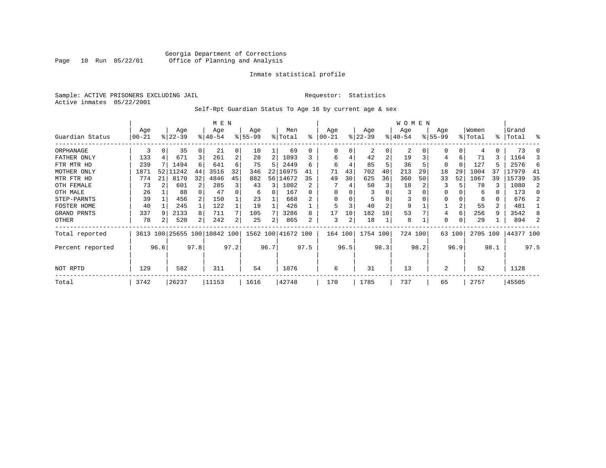### Georgia Department of Corrections Page 10 Run 05/22/01 Office of Planning and Analysis

#### Inmate statistical profile

Sample: ACTIVE PRISONERS EXCLUDING JAIL **Requestor:** Statistics Active inmates 05/22/2001

Self-Rpt Guardian Status To Age 16 by current age & sex

|                  |            |      |          |      | M E N                        |      |          |      |                    |              |           |      |           |                | W O M E N |      |              |        |          |                |           |      |
|------------------|------------|------|----------|------|------------------------------|------|----------|------|--------------------|--------------|-----------|------|-----------|----------------|-----------|------|--------------|--------|----------|----------------|-----------|------|
|                  | Age        |      | Age      |      | Age                          |      | Age      |      | Men                |              | Age       |      | Age       |                | Age       |      | Age          |        | Women    |                | Grand     |      |
| Guardian Status  | $ 00 - 21$ |      | $ 22-39$ |      | $8 40-54$                    |      | $ 55-99$ |      | % Total            | ⊱            | $00 - 21$ |      | $ 22-39 $ |                | $ 40-54 $ |      | $ 55-99$     |        | % Total  |                | %   Total | ႜ    |
| ORPHANAGE        | 3          | 0    | 35       | 0    | 21                           | 0    | 10       |      | 69                 | <sup>0</sup> | 0         |      | 2         | 0              | 2         |      | <sup>0</sup> |        |          |                | 73        |      |
| FATHER ONLY      | 133        |      | 671      |      | 261                          | 2    | 28       | 2    | 1093               |              | 6         | 4    | 42        | $\overline{2}$ | 19        |      | 4            | 6      | 71       |                | 1164      |      |
| FTR MTR HD       | 239        |      | 1494     | 6    | 641                          | 6    | 75       | 5    | 2449               | б            | 6         | 4    | 85        | 5              | 36        |      | $\Omega$     |        | 127      | 5              | 2576      | 6    |
| MOTHER ONLY      | 1871       | 52   | 11242    | 44   | 3516                         | 32   | 346      | 22   | 16975              | 41           | 71        | 43   | 702       | 40             | 213       | 29   | 18           | 29     | 1004     | 37             | 17979     | -41  |
| MTR FTR HD       | 774        | 21   | 8170     | 32   | 4846                         | 45   | 882      |      | 56 14672           | 35           | 49        | 30   | 625       | 36             | 360       | 50   | 33           | 52     | 1067     | 39             | 15739     | 35   |
| OTH FEMALE       | 73         |      | 601      |      | 285                          | 3    | 43       | 3    | 1002               |              |           |      | 50        | 3              | 18        |      | 3            |        | 78       | 3              | 1080      | 2    |
| OTH MALE         | 26         |      | 88       |      | 47                           |      | 6        | 0    | 167                | U            | $\Omega$  |      |           |                | 3         |      | $\Omega$     |        | 6        | 0              | 173       | O    |
| STEP-PARNTS      | 39         |      | 456      |      | 150                          |      | 23       |      | 668                |              | $\Omega$  |      |           |                |           |      | $\Omega$     |        | 8        | 0              | 676       |      |
| FOSTER HOME      | 40         |      | 245      | 1    | 122                          |      | 19       |      | 426                |              |           |      | 40        | $\overline{c}$ | 9         |      |              |        | 55       | $\overline{2}$ | 481       |      |
| GRAND PRNTS      | 337        |      | 2133     | 8    | 711                          |      | 105      |      | 3286               | 8            | 17        | 10   | 182       | 10             | 53        |      | 4            | 6      | 256      | 9              | 3542      | 8    |
| OTHER            | 78         |      | 520      | 2    | 242                          | 2    | 25       | 2    | 865                | 2            | 3         | 2    | 18        |                | 8         |      | 0            |        | 29       |                | 894       |      |
| Total reported   |            |      |          |      | 3613 100 25655 100 10842 100 |      |          |      | 1562 100 41672 100 |              | 164 100   |      | 1754 100  |                | 724 100   |      |              | 63 100 | 2705 100 |                | 44377 100 |      |
| Percent reported |            | 96.6 |          | 97.8 |                              | 97.2 |          | 96.7 |                    | 97.5         |           | 96.5 |           | 98.3           |           | 98.2 |              | 96.9   |          | 98.1           |           | 97.5 |
| NOT RPTD         | 129        | 582  |          |      | 311                          |      | 54       |      | 1076               |              | 6         |      | 31        |                | 13        |      | 2            |        | 52       |                | 1128      |      |
| Total            | 3742       |      | 26237    |      | 11153                        |      | 1616     |      | 42748              |              | 170       |      | 1785      |                | 737       |      | 65           |        | 2757     |                | 45505     |      |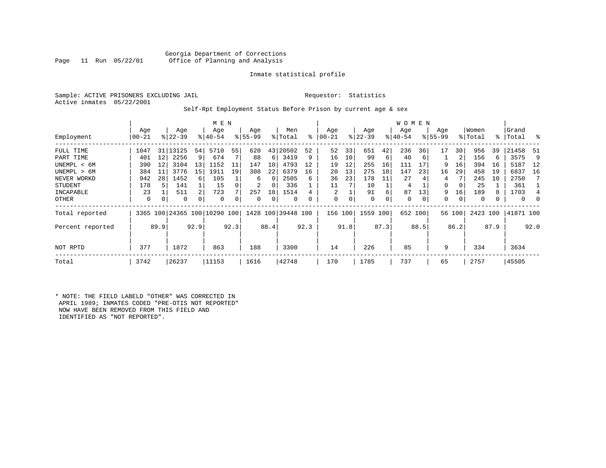#### Georgia Department of Corrections<br>Page 11 Run 05/22/01 office of Planning and Analysis Office of Planning and Analysis

#### Inmate statistical profile

Sample: ACTIVE PRISONERS EXCLUDING JAIL **Requestor:** Statistics Active inmates 05/22/2001

#### Self-Rpt Employment Status Before Prison by current age & sex

|                  |           | M E N |           |      |                          |      |           |          |                    |           |            |      |             |      | W O M E N   |      |           |        |          |      |           |      |
|------------------|-----------|-------|-----------|------|--------------------------|------|-----------|----------|--------------------|-----------|------------|------|-------------|------|-------------|------|-----------|--------|----------|------|-----------|------|
|                  | Age       |       | Age       |      | Age                      |      | Age       |          | Men                |           | Age        |      | Age         |      | Age         |      | Age       |        | Women    |      | Grand     |      |
| Employment       | $00 - 21$ |       | $ 22-39 $ |      | $8 40-54$                |      | $8 55-99$ |          | % Total            | $\approx$ | $ 00 - 21$ |      | $ 22-39 $   |      | $ 40-54 $   |      | $8 55-99$ |        | % Total  |      | %   Total | ႜ    |
| FULL TIME        | 1047      | 31    | 13125     | 54   | 5710                     | 55   | 620       | 43       | 20502              | 52        | 52         | 33   | 651         | 42   | 236         | 36   | 17        | 30     | 956      | 39   | 21458     | -51  |
| PART TIME        | 401       | 12    | 2256      | 9    | 674                      |      | 88        | 6        | 3419               | 9         | 16         | 10   | 99          | 6    | 40          | 6    |           | 2      | 156      | 6    | 3575      | 9    |
| UNEMPL < 6M      | 390       | 12    | 3104      | 13   | 1152                     | 11   | 147       | 10       | 4793               | 12        | 19         | 12   | 255         | 16   | 111         | 17   | 9         | 16     | 394      | 16   | 5187      | 12   |
| UNEMPL > 6M      | 384       | 11    | 3776      | 15   | 1911                     | 19   | 308       | 22       | 6379               | 16        | 20         | 13   | 275         | 18   | 147         | 23   | 16        | 29     | 458      | 19   | 6837      | 16   |
| NEVER WORKD      | 942       | 28    | 1452      | 6    | 105                      |      | 6         | $\Omega$ | 2505               | 6         | 36         | 23   | 178         | 11   | 27          |      | 4         |        | 245      | 10   | 2750      |      |
| <b>STUDENT</b>   | 178       | 5     | 141       |      | 15                       |      | 2         | 0        | 336                |           | 11         |      | 10          |      | 4           |      | 0         | 0      | 25       |      | 361       |      |
| INCAPABLE        | 23        |       | 511       | 2    | 723                      |      | 257       | 18       | 1514               |           | 2          |      | 91          | 6    | 87          | 13   | 9         | 16     | 189      | 8    | 1703      | 4    |
| OTHER            | 0         | 0     | 0         | 0    | 0                        |      | 0         | 0        | 0                  |           | 0          | 0    | $\mathbf 0$ | 0    | $\mathbf 0$ | 0    | 0         | 0      | 0        |      | $\circ$   |      |
| Total reported   |           |       |           |      | 3365 100 24365 100 10290 | 100  |           |          | 1428 100 39448 100 |           | 156        | 100  | 1559        | 100  | 652 100     |      |           | 56 100 | 2423 100 |      | 41871 100 |      |
| Percent reported |           | 89.9  |           | 92.9 |                          | 92.3 |           | 88.4     |                    | 92.3      |            | 91.8 |             | 87.3 |             | 88.5 |           | 86.2   |          | 87.9 |           | 92.0 |
| NOT RPTD         | 377       |       | 1872      |      | 863                      |      | 188       |          | 3300               |           | 14         |      | 226         |      | 85          |      | 9         |        | 334      |      | 3634      |      |
| Total            | 3742      |       | 26237     |      | 11153                    |      | 1616      |          | 42748              |           | 170        |      | 1785        |      | 737         |      | 65        |        | 2757     |      | 45505     |      |

\* NOTE: THE FIELD LABELD "OTHER" WAS CORRECTED IN APRIL 1989; INMATES CODED "PRE-OTIS NOT REPORTED" NOW HAVE BEEN REMOVED FROM THIS FIELD AND IDENTIFIED AS "NOT REPORTED".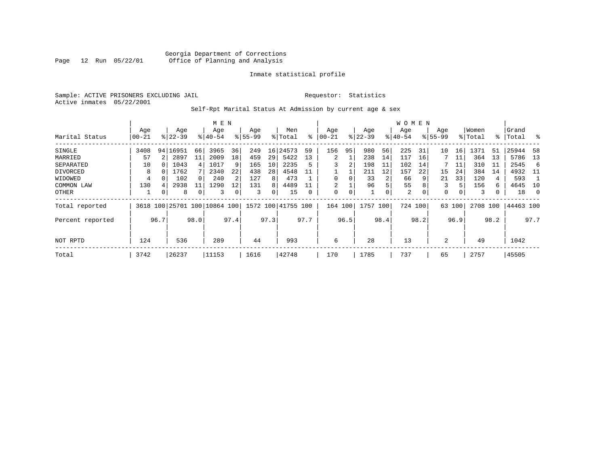Sample: ACTIVE PRISONERS EXCLUDING JAIL **Requestor:** Statistics Active inmates 05/22/2001

# Self-Rpt Marital Status At Admission by current age & sex

|                  |           |      |                              |             | M E N     |                 |           |      |                    |      |         |      |           |      | W O M E N |      |                |        |          |      |           |                |
|------------------|-----------|------|------------------------------|-------------|-----------|-----------------|-----------|------|--------------------|------|---------|------|-----------|------|-----------|------|----------------|--------|----------|------|-----------|----------------|
|                  | Age       |      | Age                          |             | Age       |                 | Age       |      | Men                |      | Age     |      | Age       |      | Age       |      | Age            |        | Women    |      | Grand     |                |
| Marital Status   | $00 - 21$ |      | $ 22-39 $                    |             | $8 40-54$ |                 | $8 55-99$ |      | % Total            | ፟ዼ   | 00-21   |      | $ 22-39 $ |      | $ 40-54 $ |      | $8155 - 99$    |        | % Total  |      | %   Total | း              |
| SINGLE           | 3408      |      | 94   16951                   | 66          | 3965      | 36              | 249       | 16   | 24573              | 59   | 156     | 95   | 980       | 56   | 225       | 31   | 10             | 16     | 1371     | 51   | 25944     | 58             |
| MARRIED          | 57        |      | 2897                         | 11          | 2009      | 18 <sup>1</sup> | 459       | 29   | 5422               | 13   | 2       |      | 238       | 14   | 117       | 16   |                | 11     | 364      | 13   | 5786      | 13             |
| SEPARATED        | 10        |      | 1043                         | 4           | 1017      | 9               | 165       | 10   | 2235               |      | 3       | 2    | 198       | 11   | 102       | 14   |                | 11     | 310      | 11   | 2545      | -6             |
| DIVORCED         | 8         |      | 1762                         |             | 2340      | 22              | 438       | 28   | 4548               |      |         |      | 211       | 12   | 157       | 22   | 15             | 24     | 384      | 14   | 4932      | - 11           |
| WIDOWED          | 4         |      | 102                          | 0           | 240       |                 | 127       | 8    | 473                |      |         |      | 33        | 2    | 66        | 9    | 21             | 33     | 120      | 4    | 593       |                |
| COMMON LAW       | 130       |      | 2938                         |             | 1290      | 12              | 131       | 8    | 4489               |      | 2       |      | 96        | 5    | 55        | 8    | 3              | 5.     | 156      | 6    | 4645      | 10             |
| OTHER            |           | 0    | 8                            | $\mathbf 0$ | 3         |                 | 3         | 0    | 15                 | 0    | 0       | 0    |           | 0    | 2         | 0    | 0              | 0      | 3        |      | 18        | $\overline{0}$ |
| Total reported   |           |      | 3618 100 25701 100 10864 100 |             |           |                 |           |      | 1572 100 41755 100 |      | 164 100 |      | 1757 100  |      | 724 100   |      |                | 63 100 | 2708 100 |      | 44463 100 |                |
| Percent reported |           | 96.7 |                              | 98.0        |           | 97.4            |           | 97.3 |                    | 97.7 |         | 96.5 |           | 98.4 |           | 98.2 |                | 96.9   |          | 98.2 |           | 97.7           |
|                  |           |      |                              |             |           |                 |           |      |                    |      |         |      |           |      |           |      |                |        |          |      |           |                |
| NOT RPTD         | 124       |      | 536                          |             | 289       |                 | 44        |      | 993                |      | 6       |      | 28        |      | 13        |      | $\mathfrak{D}$ |        | 49       |      | 1042      |                |
| Total            | 3742      |      | 26237                        |             | 11153     |                 | 1616      |      | 42748              |      | 170     |      | 1785      |      | 737       |      | 65             |        | 2757     |      | 45505     |                |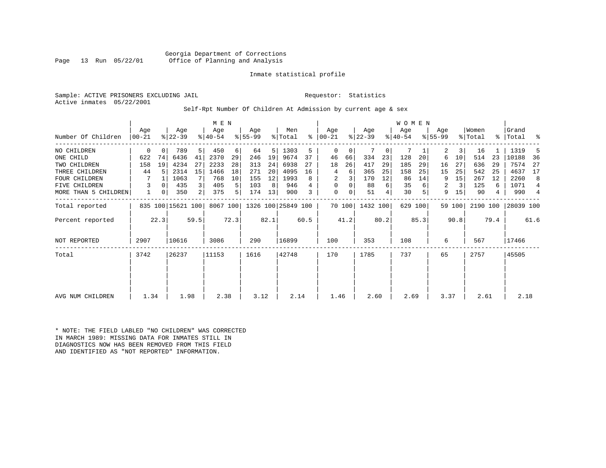Georgia Department of Corrections Office of Planning and Analysis

#### Inmate statistical profile

Sample: ACTIVE PRISONERS EXCLUDING JAIL **Requestor:** Statistics Active inmates 05/22/2001

Self-Rpt Number Of Children At Admission by current age & sex

|                      |                |          |                   |                | M E N            |          |                  |      |                    |           |                  |        |                  |      | <b>WOMEN</b>    |         |                  |        |                  |           |                |      |
|----------------------|----------------|----------|-------------------|----------------|------------------|----------|------------------|------|--------------------|-----------|------------------|--------|------------------|------|-----------------|---------|------------------|--------|------------------|-----------|----------------|------|
| Number Of Children   | Aqe<br>  00-21 |          | Age<br>$ 22-39 $  |                | Age<br>$ 40-54 $ |          | Age<br>$ 55-99 $ |      | Men<br>% Total     | $\approx$ | Aqe<br>$ 00-21 $ |        | Age<br>$ 22-39 $ |      | Age<br>$ 40-54$ |         | Aqe<br>$8 55-99$ |        | Women<br>% Total | $\approx$ | Grand<br>Total | ႜ    |
|                      |                |          |                   |                |                  |          |                  |      |                    |           |                  |        |                  |      |                 |         |                  |        |                  |           |                |      |
| NO CHILDREN          | 0              | $\Omega$ | 789               | 5              | 450              | $6 \mid$ | 64               | 5    | 1303               | 5         | $\Omega$         | 0      |                  | 0    | 7               |         | 2                | 3      | 16               |           | 1319           |      |
| ONE CHILD            | 622            | 74       | 6436              | 41             | 2370             | 29       | 246              | 19   | 9674               | 37        | 46               | 66     | 334              | 23   | 128             | 20      | 6                | 10     | 514              | 23        | 10188          | 36   |
| TWO CHILDREN         | 158            | 19       | 4234              | 27             | 2233             | 28       | 313              | 24   | 6938               | 27        | 18               | 26     | 417              | 29   | 185             | 29      | 16               | 27     | 636              | 29        | 7574           | 27   |
| THREE CHILDREN       | 44             |          | 2314              | 15             | 1466             | 18       | 271              | 20   | 4095               | 16        | 4                | 6      | 365              | 25   | 158             | 25      | 15               | 25     | 542              | 25        | 4637           | 17   |
| <b>FOUR CHILDREN</b> |                |          | 1063              | 7              | 768              | 10       | 155              | 12   | 1993               | 8         | 2                | 3      | 170              | 12   | 86              | 14      | 9                | 15     | 267              | 12        | 2260           | 8    |
| FIVE CHILDREN        | 3              | $\Omega$ | 435               | $\overline{3}$ | 405              | 5        | 103              | 8    | 946                |           | 0                | 0      | 88               | 6    | 35              |         | 2                | 3      | 125              | 6         | 1071           | 4    |
| MORE THAN 5 CHILDREN |                | 0        | 350               | 2              | 375              | 5        | 174              | 13   | 900                | 3         | 0                | 0      | 51               | 4    | 30              |         | 9                | 15     | 90               | 4         | 990            | 4    |
| Total reported       |                |          | 835 100 15621 100 |                | 8067 100         |          |                  |      | 1326 100 25849 100 |           |                  | 70 100 | 1432 100         |      |                 | 629 100 |                  | 59 100 | 2190 100         |           | 28039 100      |      |
| Percent reported     |                | 22.3     |                   | 59.5           |                  | 72.3     |                  | 82.1 |                    | 60.5      |                  | 41.2   |                  | 80.2 |                 | 85.3    |                  | 90.8   |                  | 79.4      |                | 61.6 |
| <b>NOT REPORTED</b>  | 2907           |          | 10616             |                | 3086             |          | 290              |      | 16899              |           | 100              |        | 353              |      | 108             |         | 6                |        | 567              |           | 17466          |      |
| Total                | 3742           |          | 26237             |                | 11153            |          | 1616             |      | 42748              |           | 170              |        | 1785             |      | 737             |         | 65               |        | 2757             |           | 45505          |      |
|                      |                |          |                   |                |                  |          |                  |      |                    |           |                  |        |                  |      |                 |         |                  |        |                  |           |                |      |
|                      |                |          |                   |                |                  |          |                  |      |                    |           |                  |        |                  |      |                 |         |                  |        |                  |           |                |      |
| AVG NUM CHILDREN     | 1.34           |          | 1.98              |                | 2.38             |          | 3.12             |      | 2.14               |           | 1.46             |        | 2.60             |      | 2.69            |         | 3.37             |        | 2.61             |           | 2.18           |      |

\* NOTE: THE FIELD LABLED "NO CHILDREN" WAS CORRECTED IN MARCH 1989: MISSING DATA FOR INMATES STILL IN DIAGNOSTICS NOW HAS BEEN REMOVED FROM THIS FIELD AND IDENTIFIED AS "NOT REPORTED" INFORMATION.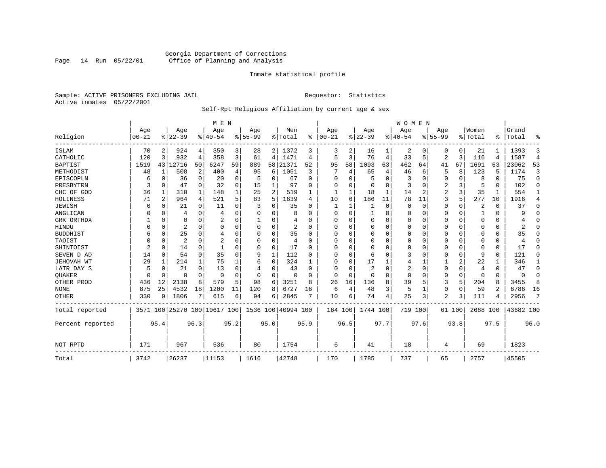# Georgia Department of Corrections<br>Page 14 Run 05/22/01 Office of Planning and Analysis Page 14 Run 05/22/01 Office of Planning and Analysis

#### Inmate statistical profile

Sample: ACTIVE PRISONERS EXCLUDING JAIL **Requestor:** Statistics Active inmates 05/22/2001

# Self-Rpt Religious Affiliation by current age & sex

|                  |                |                |                |          | M E N                        |          |           |          |               |              |          |        |             |      | <b>WOMEN</b> |          |           |             |          |          |           |                |
|------------------|----------------|----------------|----------------|----------|------------------------------|----------|-----------|----------|---------------|--------------|----------|--------|-------------|------|--------------|----------|-----------|-------------|----------|----------|-----------|----------------|
|                  | Age            |                | Age            |          | Age                          |          | Age       |          | Men           |              | Age      |        | Age         |      | Aqe          |          | Age       |             | Women    |          | Grand     |                |
| Religion         | $00 - 21$      |                | $ 22-39 $      |          | $ 40-54$                     |          | $8 55-99$ |          | % Total       | %            | $ 00-21$ |        | $ 22-39$    |      | $ 40-54$     |          | $8 55-99$ |             | % Total  | ፠        | Total     | ዱ              |
| ISLAM            | 70             | 2              | 924            | 4        | 350                          | 3        | 28        |          | 2 1372        | 3            | 3        | 2      | 16          |      | 2            | 0        | 0         | 0           | 21       |          | 1393      | 3              |
| CATHOLIC         | 120            | 3              | 932            | 4        | 358                          | 3        | 61        | 4        | 1471          | 4            | 5        | 3      | 76          | 4    | 33           | 5        | 2         | 3           | 116      | 4        | 1587      | $\overline{4}$ |
| <b>BAPTIST</b>   | 1519           | 43             | 12716          | 50       | 6247                         | 59       | 889       | 58       | 21371         | 52           | 95       | 58     | 1093        | 63   | 462          | 64       | 41        | 67          | 1691     | 63       | 23062     | 53             |
| METHODIST        | 48             | 1              | 508            | 2        | 400                          | 4        | 95        | 6        | 1051          | 3            |          | 4      | 65          | 4    | 46           | 6        | 5         | 8           | 123      | 5        | 1174      | 3              |
| EPISCOPLN        | 6              | 0              | 36             | 0        | 20                           | 0        | 5         | 0        | 67            | $\Omega$     | U        | O      | 5           | O    | 3            | $\Omega$ | 0         | $\Omega$    | 8        | $\Omega$ | 75        | 0              |
| PRESBYTRN        | 3              | $\Omega$       | 47             | $\Omega$ | 32                           | $\Omega$ | 15        |          | 97            | O            | 0        | U      | 0           | 0    | 3            | 0        | 2         | 3           | 5        | $\Omega$ | 102       | $\Omega$       |
| CHC OF GOD       | 36             | 1              | 310            | 1        | 148                          |          | 25        | 2        | 519           |              | 1        |        | 18          | 1    | 14           | 2        | 2         | 3           | 35       |          | 554       | 1              |
| HOLINESS         | 71             | $\overline{2}$ | 964            | 4        | 521                          | 5        | 83        | 5        | 1639          | 4            | 10       | 6      | 186         | 11   | 78           | 11       | 3         | 5           | 277      | 10       | 1916      | 4              |
| <b>JEWISH</b>    | O              | $\Omega$       | 21             | $\Omega$ | 11                           | $\Omega$ |           | U        | 35            | O            |          |        |             | 0    | $\Omega$     | $\Omega$ | 0         | 0           | 2        | $\Omega$ | 37        | 0              |
| ANGLICAN         |                | $\Omega$       | 4              | $\Omega$ | 4                            |          |           | 0        | 8             |              | $\Omega$ | U      |             | 0    | 0            | $\Omega$ | 0         | $\Omega$    |          | $\Omega$ | 9         | $\Omega$       |
| GRK ORTHDX       |                | $\Omega$       | 0              | $\Omega$ |                              | O        |           | 0        |               | U            | U        | U      | $\Omega$    | 0    | $\Omega$     | 0        | 0         | $\Omega$    | $\Omega$ | $\Omega$ |           | $\Omega$       |
| HINDU            |                | $\Omega$       | $\overline{2}$ | $\Omega$ | $\Omega$                     | $\Omega$ |           | 0        | 2             | <sup>0</sup> | U        |        | 0           | U    | $\Omega$     | $\Omega$ | 0         | $\Omega$    | O        | $\Omega$ | 2         | $\Omega$       |
| <b>BUDDHIST</b>  | 6              | $\Omega$       | 25             | $\Omega$ | 4                            | $\Omega$ |           | $\Omega$ | 35            | U            | $\Omega$ |        | $\Omega$    | O    | $\Omega$     | $\Omega$ | Ω         | $\Omega$    | $\Omega$ | $\Omega$ | 35        | $\Omega$       |
| TAOIST           |                | $\Omega$       | $\overline{a}$ | $\Omega$ | $\overline{2}$               |          |           | $\Omega$ | 4             | U            | U        | O      | $\Omega$    | 0    | $\Omega$     | $\Omega$ | 0         | $\Omega$    | $\Omega$ | $\Omega$ | 4         | $\Omega$       |
| SHINTOIST        | $\overline{2}$ | $\Omega$       | 14             | $\Omega$ |                              |          |           | $\Omega$ | 17            | O            | U        | $\cap$ | $\mathbf 0$ | O    | O            | $\Omega$ | 0         | $\Omega$    | $\Omega$ | $\Omega$ | 17        | $\Omega$       |
| SEVEN D AD       | 14             | $\Omega$       | 54             | $\Omega$ | 35                           | $\Omega$ | 9         | 1        | 112           | U            | U        | $\cap$ | 6           | U    | 3            | $\Omega$ | 0         | $\Omega$    | 9        | $\Omega$ | 121       | O              |
| JEHOVAH WT       | 29             | 1              | 214            | 1        | 75                           |          | 6         | 0        | 324           |              | $\Omega$ | O      | 17          |      | 4            |          |           | 2           | 22       |          | 346       | 1              |
| LATR DAY S       |                | $\Omega$       | 21             | $\Omega$ | 13                           |          |           | 0        | 43            | n            | 0        |        | 2           | 0    | 2            | $\Omega$ | 0         | 0           | 4        | $\Omega$ | 47        | $\Omega$       |
| <b>OUAKER</b>    |                | 0              | O              | 0        | $\Omega$                     | $\Omega$ | O         | 0        | $\Omega$      |              | $\Omega$ | O      | 0           | 0    | $\Omega$     | 0        | 0         | $\mathbf 0$ | $\Omega$ | 0        | $\Omega$  | 0              |
| OTHER PROD       | 436            | 12             | 2138           | 8        | 579                          | 5        | 98        | 6        | 3251          | 8            | 26       | 16     | 136         | 8    | 39           | 5        | 3         | 5           | 204      | 8        | 3455      | 8              |
| <b>NONE</b>      | 875            | 25             | 4532           | 18       | 1200                         | 11       | 120       | 8        | 6727          | 16           | 6        | 4      | 48          | 3    | 5            | 1        | 0         | $\mathbf 0$ | 59       | 2        | 6786      | 16             |
| <b>OTHER</b>     | 330            | 9              | 1806           | 7        | 615                          | 6        | 94        | 6        | 2845          |              | 10       | 6      | 74          | 4    | 25           | 3        | 2         | 3           | 111      |          | 2956      | 7              |
| Total reported   |                |                |                |          | 3571 100 25270 100 10617 100 |          | 1536      |          | 100 40994 100 |              | 164 100  |        | 1744 100    |      | 719          | 100      |           | 61 100      | 2688 100 |          | 43682 100 |                |
| Percent reported |                | 95.4           |                | 96.3     |                              | 95.2     |           | 95.0     |               | 95.9         |          | 96.5   |             | 97.7 |              | 97.6     |           | 93.8        |          | 97.5     |           | 96.0           |
| NOT RPTD         | 171            |                | 967            |          | 536                          |          | 80        |          | 1754          |              | 6        |        | 41          |      | 18           |          | 4         |             | 69       |          | 1823      |                |
| Total            | 3742           |                | 26237          |          | 11153                        |          | 1616      |          | 42748         |              | 170      |        | 1785        |      | 737          |          | 65        |             | 2757     |          | 45505     |                |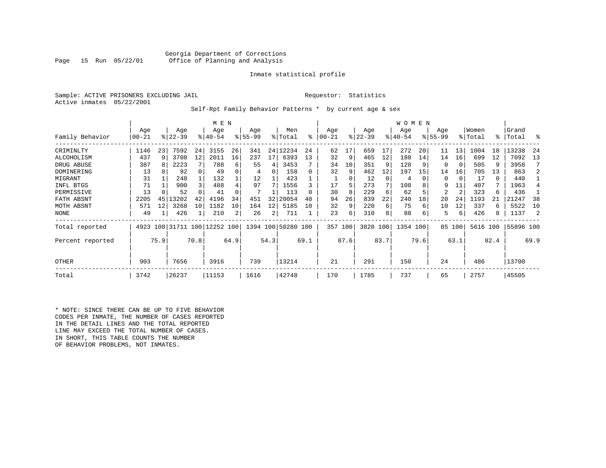#### Georgia Department of Corrections<br>Page 15 Run 05/22/01 Office of Planning and Analysis Office of Planning and Analysis

#### Inmate statistical profile

Sample: ACTIVE PRISONERS EXCLUDING JAIL **Requestor:** Statistics Active inmates 05/22/2001

Self-Rpt Family Behavior Patterns \* by current age & sex

|                  | M E N     |      |           |      |                              |      |          |      |                    |      |          |      |           |      | WOMEN     |      |          |        |          |      |           |      |
|------------------|-----------|------|-----------|------|------------------------------|------|----------|------|--------------------|------|----------|------|-----------|------|-----------|------|----------|--------|----------|------|-----------|------|
|                  | Age       |      | Age       |      | Age                          |      | Age      |      | Men                |      | Age      |      | Age       |      | Age       |      | Age      |        | Women    |      | Grand     |      |
| Family Behavior  | $00 - 21$ |      | $ 22-39 $ |      | $8 40-54$                    |      | $ 55-99$ |      | % Total            | ႜ    | $ 00-21$ |      | $ 22-39 $ |      | $ 40-54 $ |      | $ 55-99$ |        | % Total  | °≈   | Total     | ႜ    |
| CRIMINLTY        | 1146      | 23   | 7592      | 24   | 3155                         | 26   | 341      | 24   | 12234              | 24   | 62       | 17   | 659       | 17   | 272       | 20   | 11       | 13     | 1004     | 18   | 13238     | 24   |
| ALCOHOLISM       | 437       | 9    | 3708      | 12   | 2011                         | 16   | 237      | 17   | 6393               | 13   | 32       | 9    | 465       | 12   | 188       | 14   | 14       | 16     | 699      | 12   | 7092      | 13   |
| DRUG ABUSE       | 387       |      | 2223      |      | 788                          | 6    | 55       | 4    | 3453               |      | 34       | 10   | 351       | 9    | 120       |      | 0        | 0      | 505      | 9    | 3958      |      |
| DOMINERING       | 13        |      | 92        |      | 49                           |      | 4        | 0    | 158                |      | 32       | 9    | 462       | 12   | 197       | 15   | 14       | 16     | 705      | 13   | 863       |      |
| MIGRANT          | 31        |      | 248       |      | 132                          |      | 12       |      | 423                |      |          | 0    | 12        | 0    | 4         |      | 0        | 0      | 17       | 0    | 440       |      |
| INFL BTGS        | 71        |      | 900       |      | 488                          |      | 97       |      | 1556               |      | 17       | 5    | 273       |      | 108       |      | 9        | 11     | 407      |      | 1963      |      |
| PERMISSIVE       | 13        |      | 52        |      | 41                           |      |          |      | 113                |      | 30       | 8    | 229       | 6    | 62        |      | 2        | 2      | 323      | 6    | 436       |      |
| FATH ABSNT       | 2205      | 45   | 13202     | 42   | 4196                         | 34   | 451      | 32   | 20054              | 40   | 94       | 26   | 839       | 22   | 240       | 18   | 20       | 24     | 1193     |      | 21247     | 38   |
| MOTH ABSNT       | 571       | 12   | 3268      | 10   | 1182                         | 10   | 164      | 12   | 5185               | 10   | 32       | 9    | 220       | 6    | 75        | 6    | 10       | 12     | 337      | 6    | 5522      | 10   |
| NONE             | 49        |      | 426       |      | 210                          | 2    | 26       | 2    | 711                |      | 23       | 6    | 310       | 8    | 88        |      | 5        | 6      | 426      | 8    | 1137      |      |
| Total reported   |           |      |           |      | 4923 100 31711 100 12252 100 |      |          |      | 1394 100 50280 100 |      | 357 100  |      | 3820 100  |      | 1354 100  |      |          | 85 100 | 5616 100 |      | 55896 100 |      |
| Percent reported |           | 75.9 |           | 70.8 |                              | 64.9 |          | 54.3 |                    | 69.1 |          | 87.6 |           | 83.7 |           | 79.6 |          | 63.1   |          | 82.4 |           | 69.9 |
| OTHER            | 903       |      | 7656      |      | 3916                         |      | 739      |      | 13214              |      | 21       |      | 291       |      | 150       |      | 24       |        | 486      |      | 13700     |      |
| Total            | 3742      |      | 26237     |      | 11153                        |      | 1616     |      | 42748              |      | 170      |      | 1785      |      | 737       |      | 65       |        | 2757     |      | 45505     |      |

\* NOTE: SINCE THERE CAN BE UP TO FIVE BEHAVIOR CODES PER INMATE, THE NUMBER OF CASES REPORTED IN THE DETAIL LINES AND THE TOTAL REPORTED LINE MAY EXCEED THE TOTAL NUMBER OF CASES. IN SHORT, THIS TABLE COUNTS THE NUMBER OF BEHAVIOR PROBLEMS, NOT INMATES.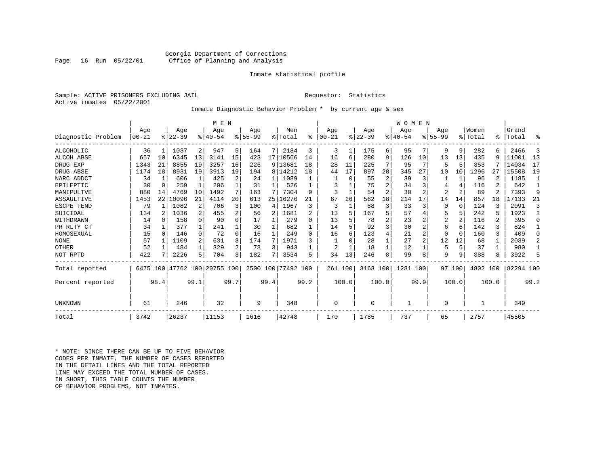#### Georgia Department of Corrections<br>Page 16 Run 05/22/01 Office of Planning and Analysis Office of Planning and Analysis

#### Inmate statistical profile

Sample: ACTIVE PRISONERS EXCLUDING JAIL **Requestor:** Statistics Active inmates 05/22/2001

# Inmate Diagnostic Behavior Problem \* by current age & sex

|                    |           |              |           |              | M E N                        |      |           |      |           |              |           |       |           |                | WOMEN    |                |                |                 |          |       |           |                |
|--------------------|-----------|--------------|-----------|--------------|------------------------------|------|-----------|------|-----------|--------------|-----------|-------|-----------|----------------|----------|----------------|----------------|-----------------|----------|-------|-----------|----------------|
|                    | Age       |              | Age       |              | Age                          |      | Age       |      | Men       |              | Age       |       | Age       |                | Age      |                | Age            |                 | Women    |       | Grand     |                |
| Diagnostic Problem | $00 - 21$ |              | $ 22-39 $ |              | $ 40-54$                     |      | $8 55-99$ |      | % Total   | ి            | $00 - 21$ |       | $8 22-39$ |                | $ 40-54$ |                | $8155 - 99$    |                 | % Total  | ⊱     | Total     | ႜ              |
| <b>ALCOHOLIC</b>   | 36        | 1            | 1037      | 2            | 947                          | 5    | 164       | 7    | 2184      | 3            | 3         | 1     | 175       | 6 I            | 95       | 7              | 9              | 9               | 282      | 6     | 2466      | 3              |
| ALCOH ABSE         | 657       | 10           | 6345      | 13           | 3141                         | 15   | 423       |      | 17 10566  | 14           | 16        | 6     | 280       | 9              | 126      | 10             | 13             | 13              | 435      | 9     | 11001     | 13             |
| DRUG EXP           | 1343      | 21           | 8855      | 19           | 3257                         | 16   | 226       |      | 9 13681   | 18           | 28        | 11    | 225       |                | 95       | 7              |                | 5               | 353      |       | 14034     | 17             |
| DRUG ABSE          | 1174      | 18           | 8931      | 19           | 3913                         | 19   | 194       |      | 8 14212   | 18           | 44        | 17    | 897       | 28             | 345      | 27             | 10             | 10 <sup>1</sup> | 1296     | 27    | 15508     | 19             |
| NARC ADDCT         | 34        | 1            | 606       |              | 425                          | 2    | 24        |      | 1089      |              |           | 0     | 55        | 2              | 39       | 3              |                |                 | 96       |       | 1185      |                |
| EPILEPTIC          | 30        | 0            | 259       | $\mathbf{1}$ | 206                          |      | 31        |      | 526       |              |           |       | 75        | $\overline{2}$ | 34       | 3              |                | 4               | 116      | 2     | 642       |                |
| MANIPULTVE         | 880       | 14           | 4769      | 10           | 1492                         |      | 163       |      | 7304      | 9            | 3         |       | 54        | $\overline{2}$ | 30       | 2              | $\overline{2}$ | 2               | 89       |       | 7393      | 9              |
| ASSAULTIVE         | 1453      | 22           | 10096     | 21           | 4114                         | 20   | 613       | 25   | 16276     | 21           | 67        | 26    | 562       | 18             | 214      | 17             | 14             | 14              | 857      | 18    | 17133     | 21             |
| ESCPE TEND         | 79        |              | 1082      | 2            | 706                          |      | 100       | 4    | 1967      | 3            | 3         |       | 88        | 3              | 33       | 3              |                | 0               | 124      | 3     | 2091      | 3              |
| SUICIDAL           | 134       |              | 1036      | 2            | 455                          |      | 56        | 2    | 1681      | 2            | 13        | 5.    | 167       |                | 57       |                |                | 5               | 242      | 5     | 1923      | $\overline{a}$ |
| WITHDRAWN          | 14        | <sup>0</sup> | 158       | $\Omega$     | 90                           |      | 17        |      | 279       | <sup>0</sup> | 13        |       | 78        |                | 23       |                | 2              | 2               | 116      | 2     | 395       | $\Omega$       |
| PR RLTY CT         | 34        |              | 377       | $\mathbf{1}$ | 241                          |      | 30        |      | 682       |              | 14        |       | 92        |                | 30       | 2              | б              | 6               | 142      |       | 824       |                |
| HOMOSEXUAL         | 15        | $\Omega$     | 146       | $\Omega$     | 72                           | 0    | 16        |      | 249       | $\Omega$     | 16        | б.    | 123       |                | 21       | $\overline{a}$ |                | $\Omega$        | 160      | ς     | 409       | $\Omega$       |
| <b>NONE</b>        | 57        |              | 1109      | 2            | 631                          |      | 174       | 7    | 1971      |              |           |       | 28        |                | 27       | $\overline{a}$ | 12             | 12              | 68       |       | 2039      | 2              |
| OTHER              | 52        |              | 484       | $\mathbf{1}$ | 329                          | 2    | 78        | 3    | 943       |              | 2         |       | 18        |                | 12       |                | 5              | 5               | 37       |       | 980       |                |
| NOT RPTD           | 422       |              | 2226      | 5            | 704                          | 3    | 182       | 7    | 3534      | 5            | 34        | 13    | 246       | 8              | 99       | 8              | 9              | 9               | 388      |       | 3922      | 5              |
| Total reported     |           |              |           |              | 6475 100 47762 100 20755 100 |      | 2500 100  |      | 77492 100 |              | 261 100   |       | 3163 100  |                | 1281 100 |                |                | 97 100          | 4802 100 |       | 82294 100 |                |
| Percent reported   |           | 98.4         |           | 99.1         |                              | 99.7 |           | 99.4 |           | 99.2         |           | 100.0 |           | 100.0          |          | 99.9           |                | 100.0           |          | 100.0 |           | 99.2           |
| UNKNOWN            | 61        |              | 246       |              | 32                           |      | 9         |      | 348       |              | 0         |       | $\Omega$  |                |          |                | $\Omega$       |                 |          |       | 349       |                |
| Total              | 3742      |              | 26237     |              | 11153                        |      | 1616      |      | 42748     |              | 170       |       | 1785      |                | 737      |                | 65             |                 | 2757     |       | 45505     |                |

\* NOTE: SINCE THERE CAN BE UP TO FIVE BEHAVIOR CODES PER INMATE, THE NUMBER OF CASES REPORTED IN THE DETAIL LINES AND THE TOTAL REPORTED LINE MAY EXCEED THE TOTAL NUMBER OF CASES.IN SHORT, THIS TABLE COUNTS THE NUMBER OF BEHAVIOR PROBLEMS, NOT INMATES.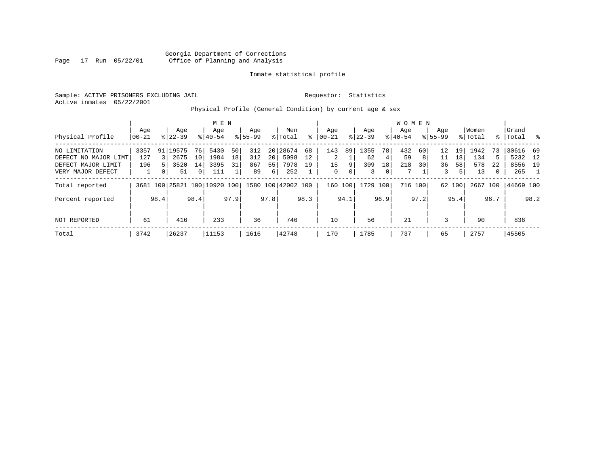Sample: ACTIVE PRISONERS EXCLUDING JAIL **Requestor:** Statistics Active inmates 05/22/2001

Physical Profile (General Condition) by current age & sex

|                      |       |          |           |                 | M E N                        |      |             |      |                    |      |                |      |           |      | <b>WOMEN</b> |         |                 |        |         |      |           |                |
|----------------------|-------|----------|-----------|-----------------|------------------------------|------|-------------|------|--------------------|------|----------------|------|-----------|------|--------------|---------|-----------------|--------|---------|------|-----------|----------------|
|                      | Age   |          | Age       |                 | Age                          |      | Age         |      | Men                |      | Age            |      | Age       |      | Aqe          |         | Age             |        | Women   |      | Grand     |                |
| Physical Profile     | 00-21 |          | $8 22-39$ |                 | $8 40-54$                    |      | $8155 - 99$ |      | % Total            | ႜ    | $ 00-21$       |      | $ 22-39 $ |      | $8 40-54$    |         | $8155 - 99$     |        | % Total |      | %   Total | - 왕            |
| NO LIMITATION        | 3357  |          | 91 19575  | 76              | 5430                         | 50   | 312         |      | 20 28674           | 68   | 143            | 89   | 1355      | 78   | 432          | 60      | 12 <sup>°</sup> | 19     | 1942    | 73   | 30616 69  |                |
| DEFECT NO MAJOR LIMT | 127   | 3        | 2675      | 10 <sup>1</sup> | 1984                         | 18   | 312         | 20   | 5098               | 12   | $\overline{2}$ |      | 62        | 4    | 59           | 8 I     | 11              | 18     | 134     | 5.   | 5232 12   |                |
| DEFECT MAJOR LIMIT   | 196   |          | 3520      | 14              | 3395                         | 31   | 867         | 55   | 7978               | 19   | 15             | 9    | 309       | 18   | 218          | 30      | 36              | 58     | 578     | 22   | 8556 19   |                |
| VERY MAJOR DEFECT    |       | $\Omega$ | 51        | 0 <sup>1</sup>  | 111                          |      | 89          | 6    | 252                |      | 0              | 0    | 3         | 0    | 7            |         | 3               | 5      | 13      | 0    | 265       | $\overline{1}$ |
| Total reported       |       |          |           |                 | 3681 100 25821 100 10920 100 |      |             |      | 1580 100 42002 100 |      | 160            | 100  | 1729 100  |      |              | 716 100 |                 | 62 100 | 2667    | 100  | 44669 100 |                |
| Percent reported     |       | 98.4     |           | 98.4            |                              | 97.9 |             | 97.8 |                    | 98.3 |                | 94.1 |           | 96.9 |              | 97.2    |                 | 95.4   |         | 96.7 |           | 98.2           |
| NOT REPORTED         | 61    |          | 416       |                 | 233                          |      | 36          |      | 746                |      | 10             |      | 56        |      | 21           |         | 3               |        | 90      |      | 836       |                |
| Total                | 3742  |          | 26237     |                 | 11153                        |      | 1616        |      | 42748              |      | 170            |      | 1785      |      | 737          |         | 65              |        | 2757    |      | 45505     |                |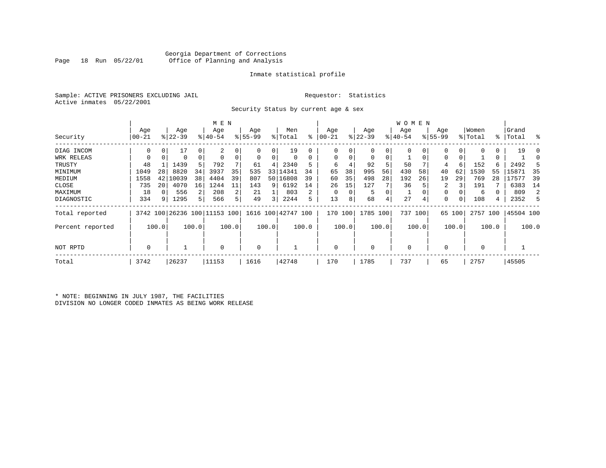### Georgia Department of Corrections Office of Planning and Analysis

#### Inmate statistical profile

Sample: ACTIVE PRISONERS EXCLUDING JAIL **Requestor:** Statistics Active inmates 05/22/2001

Security Status by current age & sex

|                  |          | M E N |           |          |           |       |          |       |                                                     |       |           |       |           |       | W O M E N   |       |             |        |             |       |           |       |
|------------------|----------|-------|-----------|----------|-----------|-------|----------|-------|-----------------------------------------------------|-------|-----------|-------|-----------|-------|-------------|-------|-------------|--------|-------------|-------|-----------|-------|
|                  | Age      |       | Age       |          | Age       |       | Age      |       | Men                                                 |       | Age       |       | Age       |       | Age         |       | Age         |        | Women       |       | Grand     |       |
| Security         | $ 00-21$ |       | $ 22-39 $ |          | $8 40-54$ |       | $ 55-99$ |       | % Total                                             | ి     | $00 - 21$ |       | $ 22-39 $ |       | $ 40-54$    |       | $8155 - 99$ |        | % Total     |       | %   Total | း     |
| DIAG INCOM       | 0        |       |           | 0        | 2         |       |          | 0     | 19                                                  |       | O         |       | 0         | 0     |             |       |             | 0      | $\Omega$    | 0     | 19        |       |
| WRK RELEAS       |          |       | 0         | $\Omega$ |           |       | 0        | 0     |                                                     |       | $\Omega$  |       | 0         | 0     |             |       | 0           |        |             | 0     |           |       |
| TRUSTY           | 48       |       | 1439      | 5        | 792       |       | 61       | 4     | 2340                                                |       | 6         |       | 92        | 5     | 50          |       | 4           | 6      | 152         | б.    | 2492      |       |
| MINIMUM          | 1049     | 28    | 8820      | 34       | 3937      | 35    | 535      | 33    | 14341                                               | 34    | 65        | 38    | 995       | 56    | 430         | 58    | 40          | 62     | 1530        | 55    | 15871     | 35    |
| MEDIUM           | 1558     | 42    | 10039     | 38       | 4404      | 39    | 807      |       | 50 16808                                            | 39    | 60        | 35    | 498       | 28    | 192         | 26    | 19          | 29     | 769         | 28    | 17577     | 39    |
| CLOSE            | 735      | 20    | 4070      | 16       | 1244      | 11    | 143      | 9     | 6192                                                | 14    | 26        | 15    | 127       |       | 36          |       | 2           |        | 191         |       | 6383      | 14    |
| MAXIMUM          | 18       |       | 556       | 2        | 208       | 2     | 21       |       | 803                                                 | 2     |           |       | 5         | 0     |             |       | 0           |        | 6           |       | 809       | 2     |
| DIAGNOSTIC       | 334      | 9     | 1295      | 5.       | 566       | 5 l   | 49       | 3     | 2244                                                | 5     | 13        |       | 68        | 4     | 27          | 4     | 0           |        | 108         | 4     | 2352      | 5     |
| Total reported   |          |       |           |          |           |       |          |       | 3742 100 26236 100 11153 100   1616 100   42747 100 |       | 170       | 100   | 1785 100  |       | 737 100     |       |             | 65 100 | 2757 100    |       | 45504 100 |       |
| Percent reported |          | 100.0 |           | 100.0    |           | 100.0 |          | 100.0 |                                                     | 100.0 |           | 100.0 |           | 100.0 |             | 100.0 |             | 100.0  |             | 100.0 |           | 100.0 |
| NOT RPTD         | 0        |       |           |          | $\Omega$  |       | 0        |       |                                                     |       | $\Omega$  |       | $\Omega$  |       | $\mathbf 0$ |       |             |        | $\mathbf 0$ |       |           |       |
| Total            | 3742     |       | 26237     |          | 11153     |       | 1616     |       | 42748                                               |       | 170       |       | 1785      |       | 737         |       | 65          |        | 2757        |       | 45505     |       |

\* NOTE: BEGINNING IN JULY 1987, THE FACILITIES DIVISION NO LONGER CODED INMATES AS BEING WORK RELEASE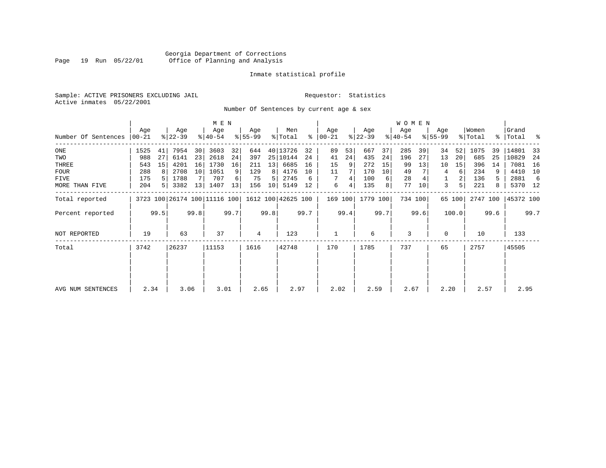### Georgia Department of Corrections Page 19 Run 05/22/01 Office of Planning and Analysis

#### Inmate statistical profile

Sample: ACTIVE PRISONERS EXCLUDING JAIL **Requestor:** Statistics Active inmates 05/22/2001

Number Of Sentences by current age & sex

|                     |                  |      |                  |      | M E N                        |      |                  |      |                    |      |                      |      |                  |      | <b>WOMEN</b>     |      |                    |        |                  |      |                    |      |
|---------------------|------------------|------|------------------|------|------------------------------|------|------------------|------|--------------------|------|----------------------|------|------------------|------|------------------|------|--------------------|--------|------------------|------|--------------------|------|
| Number Of Sentences | Age<br>$ 00-21 $ |      | Age<br>$ 22-39 $ |      | Age<br>$8 40-54$             |      | Age<br>$8 55-99$ |      | Men<br>% Total     |      | Age<br>$8   00 - 21$ |      | Age<br>$ 22-39 $ |      | Age<br>$ 40-54 $ |      | Age<br>$8155 - 99$ |        | Women<br>% Total |      | Grand<br>%   Total | ႜ    |
|                     |                  |      |                  |      |                              |      |                  |      |                    |      |                      |      |                  |      |                  |      |                    |        |                  |      |                    |      |
| ONE                 | 1525             | 41   | 7954             | 30   | 3603                         | 32   | 644              |      | 40 13726           | 32   | 89                   | 53   | 667              | 37   | 285              | 39   | 34                 | 52     | 1075             | 39   | 14801              | 33   |
| TWO                 | 988              | 27   | 6141             | 23   | 2618                         | 24   | 397              |      | 25 10144           | 24   | 41                   | 24   | 435              | 24   | 196              | 27   | 13                 | 20     | 685              | 25   | 10829              | 24   |
| THREE               | 543              | 15   | 4201             | 16   | 1730                         | 16   | 211              | 13   | 6685               | 16   | 15                   |      | 272              | 15   | 99               | 13   | 10                 | 15     | 396              | 14   | 7081               | 16   |
| <b>FOUR</b>         | 288              |      | 2708             | 10   | 1051                         | 9    | 129              | 8    | 4176               | 10   | 11                   |      | 170              | 10   | 49               |      | 4                  | 6      | 234              |      | 4410               | 10   |
| FIVE                | 175              |      | 1788             |      | 707                          |      | 75               | 5    | 2745               | 6    | 7                    | 4    | 100              | 6    | 28               |      |                    | 2      | 136              | 5.   | 2881               | -6   |
| MORE THAN FIVE      | 204              |      | 3382             | 13   | 1407                         | 13   | 156              | 10   | 5149               | 12   | 6                    | 4    | 135              | 8    | 77               | 10   | 3                  | 5      | 221              | 8    | 5370 12            |      |
| Total reported      |                  |      |                  |      | 3723 100 26174 100 11116 100 |      |                  |      | 1612 100 42625 100 |      | 169 100              |      | 1779 100         |      | 734 100          |      |                    | 65 100 | 2747 100         |      | 45372 100          |      |
| Percent reported    |                  | 99.5 |                  | 99.8 |                              | 99.7 |                  | 99.8 |                    | 99.7 |                      | 99.4 |                  | 99.7 |                  | 99.6 |                    | 100.0  |                  | 99.6 |                    | 99.7 |
| NOT REPORTED        | 19               |      | 63               |      | 37                           |      | 4                |      | 123                |      |                      |      | 6                |      | 3                |      | 0                  |        | 10               |      | 133                |      |
| Total               | 3742             |      | 26237            |      | 11153                        |      | 1616             |      | 42748              |      | 170                  |      | 1785             |      | 737              |      | 65                 |        | 2757             |      | 45505              |      |
|                     |                  |      |                  |      |                              |      |                  |      |                    |      |                      |      |                  |      |                  |      |                    |        |                  |      |                    |      |
|                     |                  |      |                  |      |                              |      |                  |      |                    |      |                      |      |                  |      |                  |      |                    |        |                  |      |                    |      |
|                     |                  |      |                  |      |                              |      |                  |      |                    |      |                      |      |                  |      |                  |      |                    |        |                  |      |                    |      |
| AVG NUM SENTENCES   | 2.34             |      | 3.06             |      | 3.01                         |      | 2.65             |      | 2.97               |      | 2.02                 |      | 2.59             |      | 2.67             |      | 2.20               |        | 2.57             |      | 2.95               |      |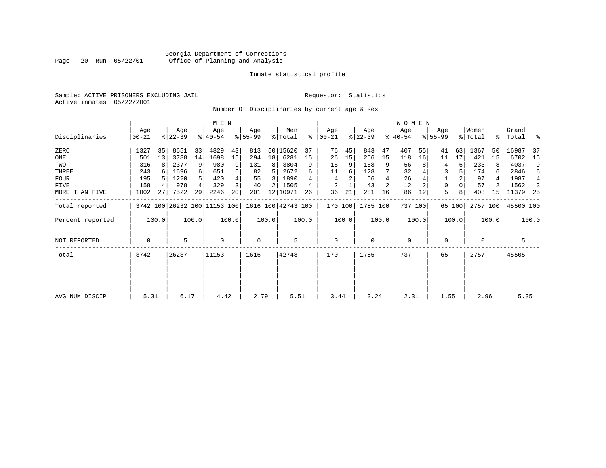# Georgia Department of Corrections Page 20 Run 05/22/01 Office of Planning and Analysis

#### Inmate statistical profile

Sample: ACTIVE PRISONERS EXCLUDING JAIL **Requestor:** Statistics Active inmates 05/22/2001

Number Of Disciplinaries by current age & sex

| Grand<br>%   Total % |
|----------------------|
| 16987<br>-37         |
| 6702<br>15           |
| 4037<br>9            |
| 2846<br>6            |
| 1987<br>4            |
| 1562<br>-3           |
| 11379 25             |
| 45500 100            |
| 100.0                |
| 5                    |
| 45505                |
|                      |
| 5.35                 |
|                      |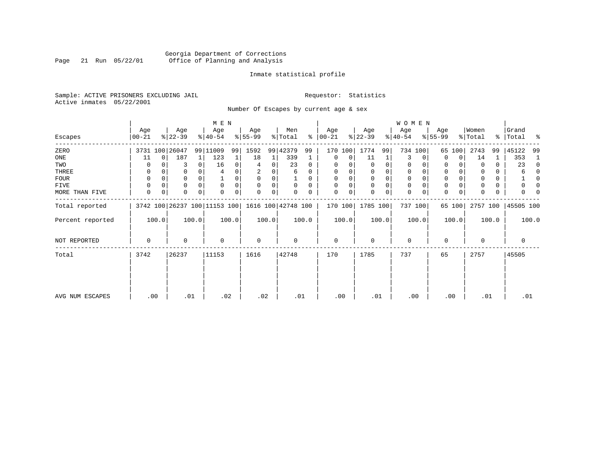# Georgia Department of Corrections<br>Page 21 Run 05/22/01 Office of Planning and Analysis Page 21 Run 05/22/01 Office of Planning and Analysis

#### Inmate statistical profile

Sample: ACTIVE PRISONERS EXCLUDING JAIL **Requestor:** Statistics Active inmates 05/22/2001

Number Of Escapes by current age & sex

|                  |              |                              |          | M E N            |       |                 |       |                            |          |                  |                |                  |       | W O M E N        |          |                  |             |                              |       |                      |          |
|------------------|--------------|------------------------------|----------|------------------|-------|-----------------|-------|----------------------------|----------|------------------|----------------|------------------|-------|------------------|----------|------------------|-------------|------------------------------|-------|----------------------|----------|
| Escapes          | Age<br>00-21 | Age<br>$ 22-39 $             |          | Age<br>$ 40-54 $ |       | Age<br>$ 55-99$ |       | Men<br>$\frac{1}{2}$ Total | ႜ        | Age<br>$ 00-21 $ |                | Age<br>$ 22-39 $ |       | Age<br>$ 40-54 $ |          | Age<br>$8 55-99$ |             | Women<br>$\frac{1}{2}$ Total |       | Grand<br>%   Total % |          |
| ZERO             |              | 3731 100 26047               |          | 99 11009         | 99    | 1592            |       | 99 42379                   | 99       |                  | 170 100        | 1774             | 99    |                  | 734 100  | 65               | 100         | 2743                         | 99    | 45122                | -99      |
| ONE              | 11           | 187<br>0                     | 1        | 123              |       | 18              |       | 339                        |          | $\Omega$         | 0              | 11               | 1     | 3                | 0        | 0                | 0           | 14                           | 1     | 353                  | 1        |
| TWO              | 0            |                              | 0        | 16               | 0     | 4               | 0     | 23                         | 0        |                  |                | 0                | 0     | 0                |          | $\Omega$         |             | 0                            | 0     | 23                   | $\Omega$ |
| THREE            | 0            |                              | 0        | 4                |       | 2               |       | 6                          | 0        | $\Omega$         |                | $\mathbf 0$      | 0     | 0                |          | 0                |             |                              | 0     |                      | 0        |
| FOUR             | 0            |                              | $\Omega$ |                  |       | $\Omega$        |       |                            |          |                  |                | $\Omega$         | 0     | $\Omega$         |          | $\Omega$         |             |                              | 0     |                      | ∩        |
| FIVE             | 0            | $\Omega$                     | $\Omega$ | $\Omega$         |       | $\Omega$        | 0     |                            | $\Omega$ | $\Omega$         |                | $\Omega$         | 0     | 0                | $\Omega$ | 0                |             |                              | 0     |                      | n        |
| MORE THAN FIVE   | 0            | 0<br>0                       | 0        | $\Omega$         |       | 0               | 0     |                            |          | $\mathbf 0$      | 0 <sup>1</sup> | $\Omega$         | 0     | 0                | 0        | $\mathbf 0$      | $\mathbf 0$ | $\Omega$                     | 0     | O                    |          |
| Total reported   |              | 3742 100 26237 100 11153 100 |          |                  |       |                 |       | 1616 100 42748 100         |          | 170 100          |                | 1785 100         |       |                  | 737 100  |                  | 65 100      | 2757 100                     |       | 45505 100            |          |
| Percent reported | 100.0        |                              | 100.0    |                  | 100.0 |                 | 100.0 |                            | 100.0    |                  | 100.0          |                  | 100.0 |                  | 100.0    |                  | 100.0       |                              | 100.0 |                      | 100.0    |
| NOT REPORTED     | 0            | $\Omega$                     |          | 0                |       | $\mathbf 0$     |       | $\Omega$                   |          | 0                |                | 0                |       | $\mathbf 0$      |          | 0                |             | $\Omega$                     |       | 0                    |          |
| Total            | 3742         | 26237                        |          | 11153            |       | 1616            |       | 42748                      |          | 170              |                | 1785             |       | 737              |          | 65               |             | 2757                         |       | 45505                |          |
|                  |              |                              |          |                  |       |                 |       |                            |          |                  |                |                  |       |                  |          |                  |             |                              |       |                      |          |
|                  |              |                              |          |                  |       |                 |       |                            |          |                  |                |                  |       |                  |          |                  |             |                              |       |                      |          |
| AVG NUM ESCAPES  | .00          |                              | .01      | .02              |       | .02             |       | .01                        |          | .00              |                | .01              |       |                  | .00      | .00              |             | .01                          |       | .01                  |          |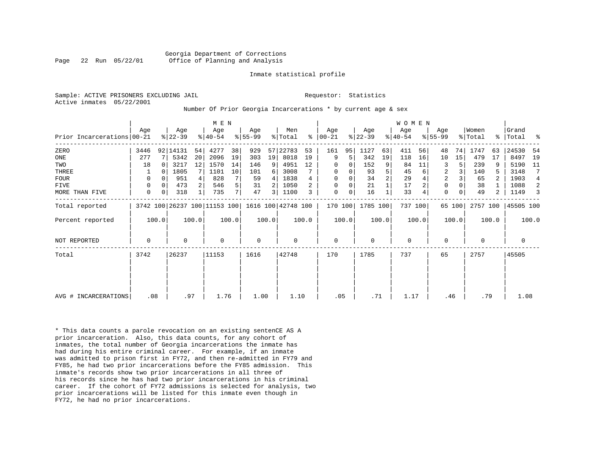Sample: ACTIVE PRISONERS EXCLUDING JAIL **Requestor:** Statistics Active inmates 05/22/2001

#### Number Of Prior Georgia Incarcerations \* by current age & sex

|                            |             |       |                  |       | M E N                        |       |                    |       |                |       |                  |       |                  |                | <b>WOMEN</b>     |       |                    |        |                  |       |                   |       |
|----------------------------|-------------|-------|------------------|-------|------------------------------|-------|--------------------|-------|----------------|-------|------------------|-------|------------------|----------------|------------------|-------|--------------------|--------|------------------|-------|-------------------|-------|
| Prior Incarcerations 00-21 | Age         |       | Age<br>$8 22-39$ |       | Age<br>$ 40-54 $             |       | Age<br>$8155 - 99$ |       | Men<br>% Total | ៖     | Age<br>$ 00-21 $ |       | Age<br>$ 22-39 $ |                | Age<br>$ 40-54 $ |       | Age<br>$8155 - 99$ |        | Women<br>% Total |       | Grand<br>%  Total | ႜ     |
| ZERO                       | 3446        |       | 92   14131       | 54    | 4277                         | 38    | 929                | 57    | 22783          | 53    | 161              | 95    | 1127             | 63             | 411              | 56    | 48                 | 74     | 1747             | 63    | 24530             | -54   |
| ONE                        | 277         |       | 5342             | 20    | 2096                         | 19    | 303                | 19    | 8018           | 19    | 9                | 5     | 342              | 19             | 118              | 16    | 10                 | 15     | 479              | 17    | 8497              | 19    |
| TWO                        | 18          | 0     | 3217             | 12    | 1570                         | 14    | 146                | 9     | 4951           | 12    | $\mathbf 0$      | 0     | 152              | 9              | 84               | 11    | 3                  |        | 239              |       | 5190              | - 11  |
| THREE                      |             | 0     | 1805             |       | 1101                         | 10    | 101                | 6     | 3008           |       | 0                | 0     | 93               | 5              | 45               | 6     | $\overline{2}$     |        | 140              |       | 3148              | 7     |
| <b>FOUR</b>                | 0           |       | 951              |       | 828                          |       | 59                 | 4     | 1838           |       | 0                |       | 34               | $\overline{2}$ | 29               |       | $\overline{2}$     |        | 65               |       | 1903              | 4     |
| <b>FIVE</b>                | 0           | 0     | 473              |       | 546                          | 5     | 31                 |       | 1050           |       | 0                | 0     | 21               |                | 17               |       | $\mathbf 0$        |        | 38               |       | 1088              | 2     |
| MORE THAN FIVE             | $\mathbf 0$ | 0     | 318              | 1     | 735                          | 7     | 47                 | 3     | 1100           |       | $\mathbf 0$      | 0     | 16               |                | 33               |       | $\mathbf 0$        |        | 49               | 2     | 1149              | 3     |
| Total reported             |             |       |                  |       | 3742 100 26237 100 11153 100 |       | 1616 100 42748 100 |       |                |       | 170 100          |       | 1785 100         |                | 737 100          |       |                    | 65 100 | 2757 100         |       | 45505 100         |       |
| Percent reported           |             | 100.0 |                  | 100.0 |                              | 100.0 |                    | 100.0 |                | 100.0 |                  | 100.0 |                  | 100.0          |                  | 100.0 |                    | 100.0  |                  | 100.0 |                   | 100.0 |
| <b>NOT REPORTED</b>        | 0           |       | 0                |       | $\mathbf 0$                  |       | $\mathbf 0$        |       | 0              |       | $\mathbf 0$      |       | 0                |                | 0                |       | 0                  |        | $\Omega$         |       | 0                 |       |
| Total                      | 3742        |       | 26237            |       | 11153                        |       | 1616               |       | 42748          |       | 170              |       | 1785             |                | 737              |       | 65                 |        | 2757             |       | 45505             |       |
|                            |             |       |                  |       |                              |       |                    |       |                |       |                  |       |                  |                |                  |       |                    |        |                  |       |                   |       |
|                            |             |       |                  |       |                              |       |                    |       |                |       |                  |       |                  |                |                  |       |                    |        |                  |       |                   |       |
| AVG # INCARCERATIONS       | .08         |       | .97              |       | 1.76                         |       | 1.00               |       | 1.10           |       | .05              |       | .71              |                | 1.17             |       | .46                |        | .79              |       | 1.08              |       |

\* This data counts a parole revocation on an existing sentenCE AS A prior incarceration. Also, this data counts, for any cohort of inmates, the total number of Georgia incarcerations the inmate has had during his entire criminal career. For example, if an inmate was admitted to prison first in FY72, and then re-admitted in FY79 and FY85, he had two prior incarcerations before the FY85 admission. This inmate's records show two prior incarcerations in all three of his records since he has had two prior incarcerations in his criminal career. If the cohort of FY72 admissions is selected for analysis, two prior incarcerations will be listed for this inmate even though in FY72, he had no prior incarcerations.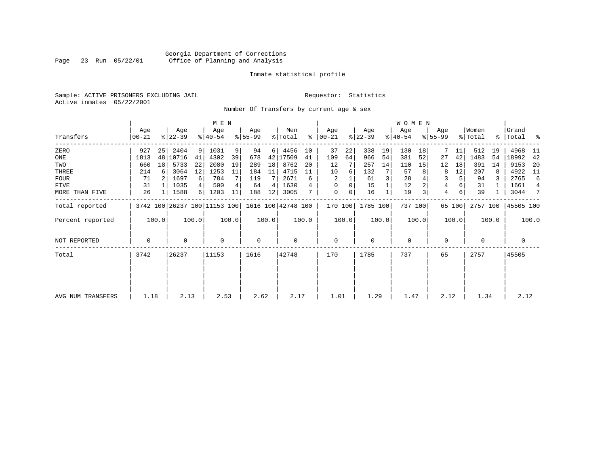# Georgia Department of Corrections<br>Page 23 Run 05/22/01 Office of Planning and Analysis Page 23 Run 05/22/01 Office of Planning and Analysis

#### Inmate statistical profile

Sample: ACTIVE PRISONERS EXCLUDING JAIL **Requestor:** Statistics Active inmates 05/22/2001

Number Of Transfers by current age & sex

|                   |              |       |                  |                | M E N                        |       |                  |       |                    |           |                  |       |                  |       | WOMEN            |         |                |        |                  |       |                      |                |
|-------------------|--------------|-------|------------------|----------------|------------------------------|-------|------------------|-------|--------------------|-----------|------------------|-------|------------------|-------|------------------|---------|----------------|--------|------------------|-------|----------------------|----------------|
| Transfers         | Age<br>00-21 |       | Age<br>$ 22-39 $ |                | Age<br>$ 40-54 $             |       | Age<br>$ 55-99 $ |       | Men<br>% Total     | $\approx$ | Age<br>$ 00-21 $ |       | Age<br>$ 22-39 $ |       | Age<br>$ 40-54 $ |         | Age<br>୫∣55-99 |        | Women<br>% Total |       | Grand<br>%   Total % |                |
| ZERO              | 927          | 25    | 2404             | 9 <sup>1</sup> | 1031                         | 9     | 94               | 6     | 4456               | 10        | 37               | 22    | 338              | 19    | 130              | 18      | 7              | 11     | 512              | 19    | 4968                 | - 11           |
| ONE               | 1813         | 48    | 10716            | 41             | 4302                         | 39    | 678              |       | 42 17509           | 41        | 109              | 64    | 966              | 54    | 381              | 52      | 27             | 42     | 1483             | 54    | 18992                | 42             |
| TWO               | 660          | 18    | 5733             | 22             | 2080                         | 19    | 289              | 18    | 8762               | 20        | 12               |       | 257              | 14    | 110              | 15      | 12             | 18     | 391              | 14    | 9153                 | -20            |
| THREE             | 214          | 6     | 3064             | 12             | 1253                         | 11    | 184              | 11    | 4715               | 11        | 10               | 6     | 132              |       | 57               |         | 8              | 12     | 207              |       | 4922                 | - 11           |
| FOUR              | -71          |       | 1697             | 6              | 784                          |       | 119              |       | 2671               | 6         | 2                |       | 61               |       | 28               |         | 3              |        | 94               |       | 2765                 | 6              |
| FIVE              | 31           |       | 1035             | 4 <sup>1</sup> | 500                          |       | 64               | 4     | 1630               |           | 0                |       | 15               |       | 12               |         | 4              |        | 31               |       | 1661                 | $\overline{4}$ |
| MORE THAN FIVE    | 26           |       | 1588             | 6              | 1203                         | 11    | 188              | 12    | 3005               |           | 0                | 0     | 16               |       | 19               | 3       | 4              | 6      | 39               |       | 3044                 | 7              |
| Total reported    |              |       |                  |                | 3742 100 26237 100 11153 100 |       |                  |       | 1616 100 42748 100 |           | 170 100          |       | 1785 100         |       |                  | 737 100 |                | 65 100 | 2757 100         |       | 45505 100            |                |
| Percent reported  |              | 100.0 |                  | 100.0          |                              | 100.0 |                  | 100.0 |                    | 100.0     |                  | 100.0 |                  | 100.0 |                  | 100.0   |                | 100.0  |                  | 100.0 |                      | 100.0          |
| NOT REPORTED      | 0            |       | $\Omega$         |                | 0                            |       | $\mathbf 0$      |       | $\Omega$           |           | 0                |       | $\Omega$         |       | 0                |         | $\Omega$       |        | $\Omega$         |       | 0                    |                |
| Total             | 3742         |       | 26237            |                | 11153                        |       | 1616             |       | 42748              |           | 170              |       | 1785             |       | 737              |         | 65             |        | 2757             |       | 45505                |                |
|                   |              |       |                  |                |                              |       |                  |       |                    |           |                  |       |                  |       |                  |         |                |        |                  |       |                      |                |
|                   |              |       |                  |                |                              |       |                  |       |                    |           |                  |       |                  |       |                  |         |                |        |                  |       |                      |                |
| AVG NUM TRANSFERS | 1.18         |       | 2.13             |                | 2.53                         |       | 2.62             |       | 2.17               |           | 1.01             |       | 1.29             |       | 1.47             |         | 2.12           |        | 1.34             |       | 2.12                 |                |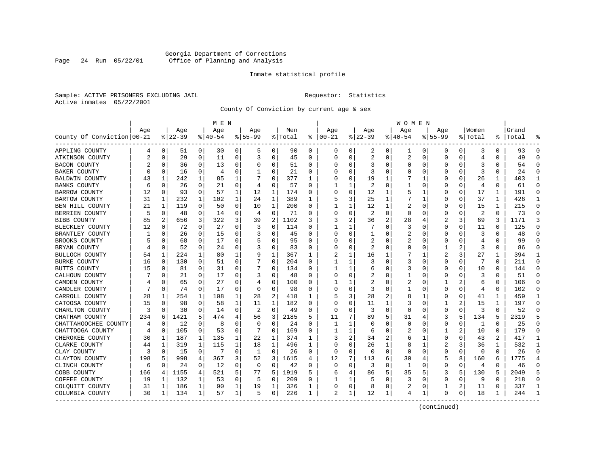### Georgia Department of Corrections Page 24 Run 05/22/01 Office of Planning and Analysis

#### Inmate statistical profile

Sample: ACTIVE PRISONERS EXCLUDING JAIL **Requestor:** Statistics Active inmates 05/22/2001

County Of Conviction by current age & sex

|                            |                |             |           |             | M E N    |             |           |              |         |          |          |              |                |          | <b>WOMEN</b>   |             |             |   |                |          |           |                |
|----------------------------|----------------|-------------|-----------|-------------|----------|-------------|-----------|--------------|---------|----------|----------|--------------|----------------|----------|----------------|-------------|-------------|---|----------------|----------|-----------|----------------|
|                            | Age            |             | Age       |             | Age      |             | Age       |              | Men     |          | Age      |              | Age            |          | Age            |             | Age         |   | Women          |          | Grand     |                |
| County Of Conviction 00-21 |                |             | $ 22-39 $ |             | $ 40-54$ |             | $8 55-99$ |              | % Total | နွ       | $ 00-21$ |              | $ 22-39$       |          | $8140 - 54$    |             | $8155 - 99$ |   | % Total        |          | %   Total |                |
| APPLING COUNTY             | 4              | 0           | 51        | 0           | 30       | 0           | 5         | 0            | 90      | 0        | 0        | 0            | 2              | 0        | ı              | 0           | 0           | 0 | 3              | 0        | 93        | $\Omega$       |
| ATKINSON COUNTY            | $\overline{2}$ | $\mathbf 0$ | 29        | $\mathbf 0$ | 11       | $\mathbf 0$ | 3         | $\mathbf 0$  | 45      | $\Omega$ | $\Omega$ | $\Omega$     | $\overline{2}$ | $\Omega$ | $\overline{2}$ | $\mathbf 0$ | 0           | 0 | $\overline{4}$ | $\Omega$ | 49        | $\Omega$       |
| <b>BACON COUNTY</b>        |                | 0           | 36        | 0           | 13       | 0           | O         | 0            | 51      | $\Omega$ |          | 0            | 3              | U        | O              | 0           | U           | 0 | 3              | 0        | 54        | $\Omega$       |
| BAKER COUNTY               |                | 0           | 16        | 0           | 4        | 0           |           | $\Omega$     | 21      | 0        |          | U            | 3              | U        |                | $\Omega$    |             | U | 3              | O        | 24        | $\Omega$       |
| <b>BALDWIN COUNTY</b>      | 43             | -1          | 242       | 1           | 85       | 1           |           | 0            | 377     |          |          |              | 19             |          |                |             |             | U | 26             |          | 403       | 1              |
| <b>BANKS COUNTY</b>        | 6              | 0           | 26        | 0           | 21       | 0           | 4         | 0            | 57      | $\Omega$ |          | 1            | 2              | U        |                | $\Omega$    | U           | 0 | $\overline{4}$ | 0        | 61        | $\Omega$       |
| <b>BARROW COUNTY</b>       | 12             | 0           | 93        | 0           | 57       | 1           | 12        | 1            | 174     | 0        |          | 0            | 12             | 1        |                | 1           |             | 0 | 17             | 1        | 191       | $\Omega$       |
| <b>BARTOW COUNTY</b>       | 31             | 1           | 232       | 1           | 102      | 1           | 24        | 1            | 389     | 1        |          | 3            | 25             | 1        |                | 1           |             | 0 | 37             | 1        | 426       | 1              |
| BEN HILL COUNTY            | 21             | 1           | 119       | 0           | 50       | $\mathbf 0$ | 10        | $\mathbf{1}$ | 200     | 0        |          | 1            | 12             | 1        |                | 0           | 0           | 0 | 15             | 1        | 215       | $\mathbf{0}$   |
| BERRIEN COUNTY             | 5              | $\mathbf 0$ | 48        | 0           | 14       | 0           | 4         | $\mathbf 0$  | 71      | 0        |          | 0            | 2              | 0        |                | $\Omega$    | 0           | 0 | 2              | $\Omega$ | 73        | $\Omega$       |
| <b>BIBB COUNTY</b>         | 85             | 2           | 656       | 3           | 322      | 3           | 39        | 2            | 1102    | 3        |          |              | 36             | 2        | 28             | 4           |             | 3 | 69             | 3        | 1171      | 3              |
| BLECKLEY COUNTY            | 12             | 0           | 72        | $\Omega$    | 27       | 0           | 3         | 0            | 114     | 0        |          | ı.           | 7              | 0        | 3              | $\Omega$    | 0           | 0 | 11             | 0        | 125       | $\Omega$       |
| BRANTLEY COUNTY            |                | 0           | 26        | 0           | 15       | $\Omega$    |           | 0            | 45      | 0        |          | $\Omega$     | -1             | 0        | 2              | $\Omega$    | 0           | 0 | 3              | 0        | 48        | $\Omega$       |
| BROOKS COUNTY              |                | $\Omega$    | 68        | $\Omega$    | 17       | $\Omega$    |           | $\Omega$     | 95      | $\Omega$ |          | U            | 2              | U        |                | O           | Ω           | U | 4              | 0        | 99        | $\Omega$       |
| BRYAN COUNTY               |                | 0           | 52        | 0           | 24       | 0           |           | 0            | 83      | 0        | O        | O            | 2              | U        | Ω              | $\Omega$    |             | 2 | 3              | O        | 86        | $\Omega$       |
| BULLOCH COUNTY             | 54             | 1           | 224       | 1           | 80       | 1           | 9         | 1            | 367     | 1        | 2        |              | 16             |          |                |             | 2           | 3 | 27             |          | 394       | 1              |
| <b>BURKE COUNTY</b>        | 16             | 0           | 130       | 0           | 51       | 0           |           | 0            | 204     | $\Omega$ |          |              | 3              | U        | 3              | n           | U           | 0 |                | 0        | 211       | $\Omega$       |
| BUTTS COUNTY               | 15             | 0           | 81        | 0           | 31       | 0           |           | 0            | 134     | O        |          | 1            | 6              | U        | 3              | $\Omega$    | 0           | 0 | 10             | 0        | 144       | $\Omega$       |
| CALHOUN COUNTY             |                | 0           | 21        | 0           | 17       | $\Omega$    |           | 0            | 48      | 0        |          | $\Omega$     | 2              | U        |                | 0           | 0           | 0 | 3              | $\Omega$ | 51        | $\Omega$       |
| CAMDEN COUNTY              |                | 0           | 65        | 0           | 27       | 0           |           | 0            | 100     | $\Omega$ |          | 1            | 2              | U        | 2              | 0           |             | 2 | 6              | 0        | 106       | $\Omega$       |
| CANDLER COUNTY             |                | 0           | 74        | 0           | 17       | 0           | $\Omega$  | 0            | 98      | 0        | O        | 0            | 3              | U        |                | 0           | U           | 0 | 4              | 0        | 102       | $\Omega$       |
| CARROLL COUNTY             | 28             | 1           | 254       | 1           | 108      | 1           | 28        | 2            | 418     |          |          | 3            | 28             | 2        |                |             |             | 0 | 41             |          | 459       |                |
| CATOOSA COUNTY             | 15             | $\Omega$    | 98        | 0           | 58       | 1           | 11        | 1            | 182     | $\Omega$ |          | U            | 11             | 1        |                | $\Omega$    |             | 2 | 15             | 1        | 197       | $\Omega$       |
| CHARLTON COUNTY            | 3              | $\Omega$    | 30        | 0           | 14       | $\Omega$    | 2         | 0            | 49      | 0        | $\Omega$ | <sup>0</sup> | 3              | O        | O              | $\Omega$    | 0           | 0 | 3              | $\Omega$ | 52        | $\Omega$       |
| CHATHAM COUNTY             | 234            | 6           | 1421      | 5           | 474      | 4           | 56        | 3            | 2185    | 5        | 11       | 7            | 89             | 5.       | 31             | 4           | 3           | 5 | 134            | 5        | 2319      | 5              |
| CHATTAHOOCHEE COUNTY       | 4              | 0           | 12        | $\Omega$    | 8        | 0           | O         | 0            | 24      | $\Omega$ | 1        | 1            | O              | U        | O              | $\Omega$    | 0           | 0 | 1              | $\Omega$ | 25        | $\Omega$       |
| CHATTOOGA COUNTY           | 4              | 0           | 105       | 0           | 53       | 0           |           | 0            | 169     | 0        |          | 1            | 6              | U        | 2              | 0           |             | 2 | 10             | O        | 179       | $\Omega$       |
| CHEROKEE COUNTY            | 30             | 1           | 187       | 1           | 135      | 1           | 22        | 1            | 374     |          |          | 2            | 34             | 2        |                |             | 0           | 0 | 43             | 2        | 417       | $\mathbf{1}$   |
| CLARKE COUNTY              | 44             | 1           | 319       | 1           | 115      | 1           | 18        | 1            | 496     | 1        | U        | U            | 26             | 1        |                | 1           | 2           | 3 | 36             | 1        | 532       | 1              |
| CLAY COUNTY                | 3              | 0           | 15        | 0           |          | 0           | 1         | 0            | 26      | 0        | $\Omega$ | $\Omega$     | 0              | 0        | O              | $\Omega$    | 0           | 0 | $\Omega$       | 0        | 26        | $\Omega$       |
| CLAYTON COUNTY             | 198            | 5           | 998       | 4           | 367      | 3           | 52        | 3            | 1615    | 4        | 12       | 7            | 113            | 6        | 30             | 4           | 5           | 8 | 160            | 6        | 1775      | $\overline{4}$ |
| CLINCH COUNTY              | 6              | $\Omega$    | 24        | $\Omega$    | 12       | $\Omega$    | $\Omega$  | $\mathbf 0$  | 42      | 0        | $\Omega$ | 0            | 3              | 0        | $\mathbf{1}$   | $\Omega$    | 0           | 0 | 4              | $\Omega$ | 46        | $\Omega$       |
| COBB COUNTY                | 166            | 4           | 1155      | 4           | 521      | 5           | 77        | 5            | 1919    | 5        | 6        | 4            | 86             | 5        | 35             | .5          | 3           | 5 | 130            | 5        | 2049      | 5              |
| COFFEE COUNTY              | 19             | 1           | 132       | 1           | 53       | 0           | 5         | 0            | 209     | 0        |          |              | 5              | 0        | 3              | 0           | 0           | 0 | 9              | 0        | 218       | $\Omega$       |
| COLQUITT COUNTY            | 31             | 1           | 186       | 1           | 90       | 1           | 19        | 1            | 326     | 1        | O        | 0            | 8              | 0        | 2              | 0           |             | 2 | 11             | 0        | 337       | 1              |
| COLUMBIA COUNTY            | 30             | 1           | 134       | 1           | 57       | 1           | 5         | 0            | 226     | 1        | 2        | 1            | 12             | 1        | 4              | 1           | O           | 0 | 18             | ı        | 244       |                |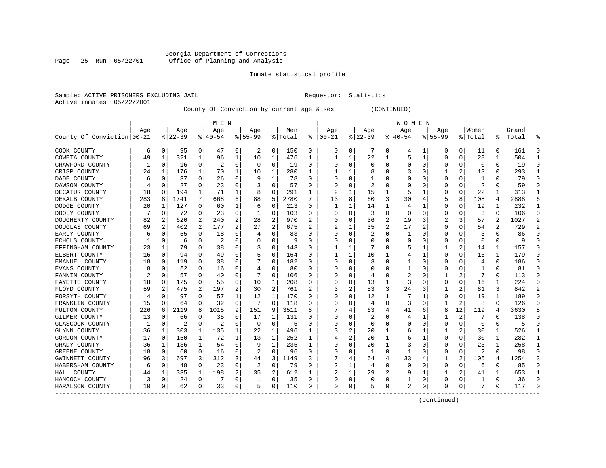### Georgia Department of Corrections Page 25 Run 05/22/01 Office of Planning and Analysis

#### Inmate statistical profile

Sample: ACTIVE PRISONERS EXCLUDING JAIL **Requestor:** Statistics Active inmates 05/22/2001

County Of Conviction by current age & sex (CONTINUED)

|                            | M E N |             |          |          |           |                |           |                |         |   |          |          |          |                | W O M E N |                |              |                |                         |              |           |          |
|----------------------------|-------|-------------|----------|----------|-----------|----------------|-----------|----------------|---------|---|----------|----------|----------|----------------|-----------|----------------|--------------|----------------|-------------------------|--------------|-----------|----------|
|                            | Age   |             | Age      |          | Age       |                | Age       |                | Men     |   | Age      |          | Age      |                | Age       |                | Age          |                | Women                   |              | Grand     |          |
| County Of Conviction 00-21 |       |             | $ 22-39$ |          | $8 40-54$ |                | $8 55-99$ |                | % Total | ႜ | $ 00-21$ |          | $ 22-39$ |                | $ 40-54$  |                | $8155 - 99$  |                | % Total                 |              | %   Total |          |
| COOK COUNTY                | 6     | 0           | 95       | 0        | 47        | 0              | 2         | 0              | 150     | 0 | 0        | 0        | 7        | 0              | 4         | 1              | 0            | 0              | 11                      | 0            | 161       | $\Omega$ |
| COWETA COUNTY              | 49    | 1           | 321      | 1        | 96        | 1              | 10        | 1              | 476     | 1 |          | 1        | 22       | 1              | 5         | 1              | $\Omega$     | 0              | 28                      | 1            | 504       | -1       |
| CRAWFORD COUNTY            | 1     | $\Omega$    | 16       | 0        | 2         | 0              | $\Omega$  | 0              | 19      | 0 | O        | $\Omega$ | $\Omega$ | 0              | U         | $\Omega$       | 0            | O              | $\Omega$                | $\Omega$     | 19        | ∩        |
| CRISP COUNTY               | 24    | 1           | 176      | 1        | 70        | 1              | 10        | 1              | 280     | 1 |          | 1        | 8        | 0              |           | $\Omega$       |              | 2              | 13                      | 0            | 293       |          |
| DADE COUNTY                | 6     | $\mathbf 0$ | 37       | 0        | 26        | 0              | 9         | 1              | 78      | 0 |          | 0        |          | 0              |           | 0              | 0            | O              | 1                       | U            | 79        |          |
| DAWSON COUNTY              |       | 0           | 27       | 0        | 23        | 0              |           | 0              | 57      | 0 |          | 0        | 2        | 0              |           | C              | 0            | 0              | $\overline{c}$          | $\Omega$     | 59        | $\cap$   |
| DECATUR COUNTY             | 18    | 0           | 194      | 1        | 71        | 1              | 8         | $\mathbf 0$    | 291     | 1 | 2        | 1        | 15       | 1              |           | 1              | 0            | 0              | 22                      | 1            | 313       | -1       |
| DEKALB COUNTY              | 283   | 8           | 1741     | 7        | 668       | 6              | 88        | 5              | 2780    | 7 | 13       | 8        | 60       | 3              | 30        | 4              | 5            | 8              | 108                     | 4            | 2888      | 6        |
| DODGE COUNTY               | 20    | 1           | 127      | 0        | 60        | 1              | 6         | 0              | 213     | 0 |          | 1        | 14       | 1              | 4         | 1              | 0            | 0              | 19                      | 1            | 232       | 1        |
| DOOLY COUNTY               |       | 0           | 72       | 0        | 23        | 0              |           | $\Omega$       | 103     | 0 |          | 0        | 3        | 0              | O         | 0              | 0            | 0              | 3                       | O            | 106       | $\Omega$ |
| DOUGHERTY COUNTY           | 82    |             | 620      | 2        | 240       | 2              | 28        | 2              | 970     |   |          | $\Omega$ | 36       | 2              | 19        | 3              |              | 3              | 57                      | 2            | 1027      |          |
| DOUGLAS COUNTY             | 69    | 2           | 402      | 2        | 177       | $\overline{a}$ | 27        | $\overline{2}$ | 675     | 2 |          | 1        | 35       | $\overline{c}$ | 17        | $\overline{2}$ | 0            | O              | 54                      | 2            | 729       | 2        |
| EARLY COUNTY               | 6     | 0           | 55       | 0        | 18        | 0              | 4         | 0              | 83      | 0 |          | 0        |          | $\Omega$       | 1         | $\Omega$       | 0            | O              | 3                       | O            | 86        |          |
| ECHOLS COUNTY.             |       | 0           | 6        | 0        | 2         | 0              |           | 0              | 9       | 0 |          | 0        | C        | 0              | 0         | 0              | 0            | $\Omega$       | 0                       | O            | q         |          |
| EFFINGHAM COUNTY           | 23    | 1           | 79       | 0        | 38        | 0              | 3         | 0              | 143     | 0 |          | 1        |          | O              | 5         | 1              | 1            | 2              | 14                      | 1            | 157       | $\cap$   |
| ELBERT COUNTY              | 16    | $\Omega$    | 94       | 0        | 49        | 0              |           | $\Omega$       | 164     | 0 |          | 1        | 10       | 1              | 4         | 1              | 0            | O              | 15                      | $\mathbf{1}$ | 179       | $\cap$   |
| EMANUEL COUNTY             | 18    | 0           | 119      | 0        | 38        | 0              |           | $\Omega$       | 182     | 0 | C        | 0        | 3        | 0              |           | 0              | 0            | 0              | $\overline{4}$          | $\Omega$     | 186       | ∩        |
| EVANS COUNTY               | 8     | 0           | 52       | 0        | 16        | 0              |           | 0              | 80      | 0 |          | $\Omega$ | C        | 0              |           | 0              | 0            | O              |                         | O            | 81        | $\Omega$ |
| FANNIN COUNTY              |       | $\Omega$    | 57       | 0        | 40        | 0              |           | $\Omega$       | 106     | 0 |          | 0        | 4        | 0              | 2         | C              |              |                |                         | 0            | 113       | $\cap$   |
| FAYETTE COUNTY             | 18    | $\Omega$    | 125      | 0        | 55        | $\Omega$       | 10        | 1              | 208     | 0 |          | $\Omega$ | 13       | 1              | 3         | $\Omega$       | 0            | O              | 16                      | 1            | 224       | $\cap$   |
| FLOYD COUNTY               | 59    | 2           | 475      | 2        | 197       | 2              | 30        | 2              | 761     | 2 | 3        | 2        | 53       | 3              | 24        | 3              |              |                | 81                      | 3            | 842       | 2        |
| FORSYTH COUNTY             | 4     | $\Omega$    | 97       | 0        | 57        | 1              | 12        | 1              | 170     | 0 | O        | $\Omega$ | 12       | $\mathbf{1}$   |           | 1              | 0            | $\Omega$       | 19                      | 1            | 189       | ∩        |
| FRANKLIN COUNTY            | 15    | 0           | 64       | 0        | 32        | 0              |           | $\Omega$       | 118     | 0 |          | 0        | 4        | $\Omega$       | 3         | 0              | 1            | $\overline{a}$ | 8                       | $\Omega$     | 126       |          |
| FULTON COUNTY              | 226   | 6           | 2119     | 8        | 1015      | 9              | 151       | 9              | 3511    | 8 |          | 4        | 63       | 4              | 41        | 6              | 8            | 12             | 119                     | 4            | 3630      |          |
| GILMER COUNTY              | 13    | $\Omega$    | 66       | 0        | 35        | 0              | 17        | 1              | 131     | U | C        | $\Omega$ | 2        | 0              | 4         | 1              | 1            | $\overline{c}$ |                         | $\Omega$     | 138       | ∩        |
| GLASCOCK COUNTY            |       | $\Omega$    | 2        | 0        | 2         | 0              | $\Omega$  | 0              | 5       | 0 |          | $\Omega$ | $\Omega$ | 0              | 0         | 0              | 0            | $\Omega$       | 0                       | 0            | 5         | $\Omega$ |
| GLYNN COUNTY               | 36    | 1           | 303      | 1        | 135       | 1              | 22        | 1              | 496     | 1 |          | 2        | 20       | 1              | 6         |                |              |                | 30                      | 1            | 526       | -1       |
| GORDON COUNTY              | 17    | $\Omega$    | 150      | 1        | 72        | 1              | 13        | 1              | 252     | 1 |          | 2        | 20       | 1              | 6         |                | $\Omega$     | O              | 30                      | 1            | 282       | -1       |
| GRADY COUNTY               | 36    | 1           | 136      | 1        | 54        | 0              | 9         | 1              | 235     | 1 |          | 0        | 20       | $\mathbf{1}$   | 3         | C              | 0            | O              | 23                      | 1            | 258       | 1        |
| GREENE COUNTY              | 18    | 0           | 60       | $\Omega$ | 16        | 0              | 2         | $\Omega$       | 96      | 0 |          | $\Omega$ | -1       | $\Omega$       |           | $\Omega$       | 0            | $\Omega$       | $\overline{\mathbf{c}}$ | 0            | 98        | ∩        |
| GWINNETT COUNTY            | 96    | 3           | 697      | 3        | 312       | 3              | 44        | 3              | 1149    | 3 |          | 4        | 64       | 4              | 33        | 4              |              | 2              | 105                     | 4            | 1254      | 3        |
| HABERSHAM COUNTY           | 6     | 0           | 48       | 0        | 23        | 0              | 2         | 0              | 79      | 0 |          | 1        | 4        | $\Omega$       | $\Omega$  | 0              | 0            | 0              | 6                       | 0            | 85        | ∩        |
| HALL COUNTY                | 44    | 1           | 335      | 1        | 198       | 2              | 35        | 2              | 612     | 1 |          | 1        | 29       | 2              | 9         | 1              | $\mathbf{1}$ | 2              | 41                      | 1            | 653       | -1       |
| HANCOCK COUNTY             |       | $\Omega$    | 24       | 0        | 7         | 0              | -1        | 0              | 35      | 0 | C        | 0        | $\Omega$ | 0              | 1         | 0              | O            | O              | -1                      | $\Omega$     | 36        | $\cap$   |
| HARALSON COUNTY            | 10    | 0           | 62       | 0        | 33        | 0              | 5         | 0              | 110     | 0 | $\Omega$ | 0        | 5        | 0              | 2         | 0              | $\Omega$     | 0              | 7                       | 0            | 117       |          |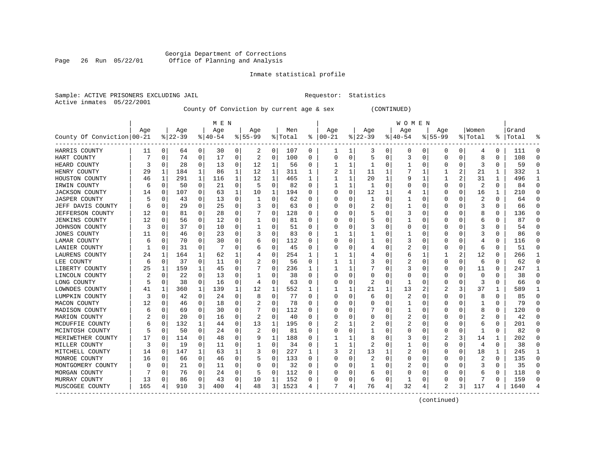# Georgia Department of Corrections<br>Page 26 Run 05/22/01 Office of Planning and Analysis Page 26 Run 05/22/01 Office of Planning and Analysis

#### Inmate statistical profile

|  |                           | Sample: ACTIVE PRISONERS EXCLUDING JAI |  |
|--|---------------------------|----------------------------------------|--|
|  | Active inmates 05/22/2001 |                                        |  |

IL Requestor: Statistics

County Of Conviction by current age & sex (CONTINUED)

|                            |     |             |           |              | M E N    |   |          |             |         |          |          |              |                |   | <b>WOMEN</b> |             |             |          |                |          |           |          |
|----------------------------|-----|-------------|-----------|--------------|----------|---|----------|-------------|---------|----------|----------|--------------|----------------|---|--------------|-------------|-------------|----------|----------------|----------|-----------|----------|
|                            | Age |             | Age       |              | Age      |   | Age      |             | Men     |          | Age      |              | Age            |   | Aqe          |             | Age         |          | Women          |          | Grand     |          |
| County Of Conviction 00-21 |     |             | $8 22-39$ |              | $ 40-54$ |   | $ 55-99$ |             | % Total | ႜ        | $ 00-21$ |              | $ 22-39$       |   | $ 40-54$     |             | $8155 - 99$ |          | % Total        |          | %   Total |          |
| HARRIS COUNTY              | 11  | 0           | 64        | 0            | 30       | 0 | 2        | 0           | 107     | 0        |          | 1            | 3              | 0 | 0            | 0           | 0           | 0        | 4              | 0        | 111       | $\Omega$ |
| HART COUNTY                |     | 0           | 74        | 0            | 17       | 0 | 2        | 0           | 100     | 0        | $\Omega$ | 0            | 5              | 0 | 3            | 0           | $\Omega$    | 0        | 8              | 0        | 108       | ∩        |
| HEARD COUNTY               | 3   | 0           | 28        | 0            | 13       | 0 | 12       | 1           | 56      | 0        |          | 1            | -1             | 0 |              | 0           | O           | O        | 3              | $\Omega$ | 59        |          |
| HENRY COUNTY               | 29  | 1           | 184       | $\mathbf{1}$ | 86       | 1 | 12       | 1           | 311     | 1        |          | 1            | 11             | 1 |              | -1          |             | 2        | 21             | 1        | 332       |          |
| HOUSTON COUNTY             | 46  | 1           | 291       | 1            | 116      | 1 | 12       | 1           | 465     | 1        |          | 1            | 20             | 1 |              | 1           |             |          | 31             | 1        | 496       |          |
| IRWIN COUNTY               | 6   | 0           | 50        | 0            | 21       | 0 | 5        | 0           | 82      | 0        |          | 1            | 1              | 0 |              | 0           | 0           | $\Omega$ | $\overline{c}$ | 0        | 84        | $\Omega$ |
| <b>JACKSON COUNTY</b>      | 14  | 0           | 107       | 0            | 63       | 1 | 10       | 1           | 194     | O        |          | 0            | 12             | 1 |              | 1           | U           | $\Omega$ | 16             | 1        | 210       | $\Omega$ |
| <b>JASPER COUNTY</b>       |     | 0           | 43        | $\Omega$     | 13       | 0 | 1        | 0           | 62      | $\Omega$ |          | 0            | 1              | 0 |              | 0           | U           | O        | 2              | $\Omega$ | 64        | ∩        |
| JEFF DAVIS COUNTY          | 6   | 0           | 29        | $\Omega$     | 25       | 0 |          | 0           | 63      | 0        |          | <sup>0</sup> |                | 0 |              | 0           | 0           | O        | 3              | $\Omega$ | 66        | ∩        |
| JEFFERSON COUNTY           | 12  | 0           | 81        | 0            | 28       | 0 |          | 0           | 128     | O        |          |              | 5              | U | 3            | 0           | U           | O        | 8              | O        | 136       |          |
| <b>JENKINS COUNTY</b>      | 12  | $\mathbf 0$ | 56        | $\Omega$     | 12       | 0 |          | 0           | 81      | O        |          |              | 5              | U |              | $\Omega$    | U           | O        | 6              | O        | 87        |          |
| JOHNSON COUNTY             | 3   | $\Omega$    | 37        | $\Omega$     | 10       | 0 |          | 0           | 51      | $\Omega$ |          | <sup>0</sup> | 3              | U | O            | $\Omega$    | U           | O        |                | O        | 54        | ∩        |
| JONES COUNTY               | 11  | $\Omega$    | 46        | $\Omega$     | 23       | 0 | 3        | $\Omega$    | 83      | 0        |          |              |                | 0 |              | $\Omega$    | 0           | O        | 3              | 0        | 86        |          |
| LAMAR COUNTY               | 6   | 0           | 70        | 0            | 30       | 0 | 6        | 0           | 112     | 0        |          | 0            |                | 0 | 3            | 0           | 0           | 0        | 4              | 0        | 116       |          |
| LANIER COUNTY              |     | 0           | 31        | 0            | -7       | 0 | 6        | 0           | 45      | O        |          | 0            | 4              | 0 |              | 0           | 0           | 0        | 6              | 0        | 51        | ∩        |
| LAURENS COUNTY             | 24  | 1           | 164       | $\mathbf{1}$ | 62       | 1 |          | 0           | 254     | 1        |          | 1            | 4              | 0 | 6            | 1           | 1           | 2        | 12             | $\Omega$ | 266       | -1       |
| LEE COUNTY                 | 6   | 0           | 37        | $\Omega$     | 11       | 0 |          | 0           | 56      | $\Omega$ |          | 1            |                | 0 |              | 0           | 0           | $\Omega$ | 6              | $\Omega$ | 62        | ∩        |
| LIBERTY COUNTY             | 25  | 1           | 159       | 1            | 45       | 0 |          | 0           | 236     | 1        |          |              |                | 0 | 3            | 0           | 0           | 0        | 11             | O        | 247       | -1       |
| LINCOLN COUNTY             | 2   | 0           | 22        | 0            | 13       | 0 |          | 0           | 38      | 0        |          | 0            | 0              | 0 |              | 0           | 0           | O        | $\Omega$       | O        | 38        |          |
| LONG COUNTY                |     | 0           | 38        | $\Omega$     | 16       | 0 | 4        | 0           | 63      | 0        |          | 0            | 2              | 0 |              | 0           | 0           | O        | 3              | 0        | 66        |          |
| LOWNDES COUNTY             | 41  | 1           | 360       | 1            | 139      | 1 | 12       | 1           | 552     | 1        |          |              | 21             | 1 | 13           | 2           |             | 3        | 37             | 1        | 589       |          |
| LUMPKIN COUNTY             | 3   | 0           | 42        | 0            | 24       | 0 | 8        | $\mathbf 0$ | 77      | O        |          | $\Omega$     | 6              | 0 | 2            | 0           | 0           | O        | 8              | 0        | 85        |          |
| MACON COUNTY               | 12  | 0           | 46        | 0            | 18       | 0 |          | 0           | 78      | 0        |          | $\Omega$     |                | 0 |              | 0           | 0           | 0        |                | $\Omega$ | 79        |          |
| MADISON COUNTY             | 6   | $\mathbf 0$ | 69        | O            | 30       | 0 |          | 0           | 112     | $\Omega$ |          | 0            |                | U |              | 0           | U           | O        | 8              | $\Omega$ | 120       | ∩        |
| MARION COUNTY              |     | 0           | 20        | $\Omega$     | 16       | 0 | 2        | 0           | 40      | 0        |          | U            | 0              | 0 | 2            | 0           | 0           | O        | 2              | 0        | 42        | ∩        |
| MCDUFFIE COUNTY            | 6   | 0           | 132       | 1            | 44       | 0 | 13       | 1           | 195     | 0        |          |              | 2              | 0 | 2            | 0           | 0           | O        | 6              | 0        | 201       | $\Omega$ |
| MCINTOSH COUNTY            |     | 0           | 50        | 0            | 24       | 0 |          | 0           | 81      | O        |          | 0            |                | 0 |              | 0           | 0           | O        |                | 0        | 82        |          |
| MERIWETHER COUNTY          | 17  | 0           | 114       | O            | 48       | 0 | 9        | 1           | 188     | O        |          | 1            | 8              | U | 3            | 0           |             | 3        | 14             | 1        | 202       |          |
| MILLER COUNTY              | 3   | $\Omega$    | 19        | $\Omega$     | 11       | 0 |          | 0           | 34      | O        |          | 1            | $\overline{2}$ | U |              | $\Omega$    | O           | O        | 4              | $\Omega$ | 38        |          |
| MITCHELL COUNTY            | 14  | 0           | 147       | 1            | 63       | 1 | 3        | 0           | 227     | 1        | 3        | 2            | 13             | 1 | 2            | $\Omega$    | $\Omega$    | $\Omega$ | 18             | 1        | 245       | -1       |
| MONROE COUNTY              | 16  | $\mathbf 0$ | 66        | 0            | 46       | 0 | 5        | 0           | 133     | 0        |          | $\Omega$     | 2              | 0 |              | $\mathbf 0$ | 0           | $\Omega$ | 2              | $\Omega$ | 135       | $\Omega$ |
| MONTGOMERY COUNTY          |     | 0           | 21        | $\Omega$     | 11       | 0 | 0        | 0           | 32      | 0        |          | 0            | 1              | 0 | 2            | 0           | 0           | O        | 3              | 0        | 35        | $\Omega$ |
| MORGAN COUNTY              |     | $\Omega$    | 76        | $\Omega$     | 24       | 0 | 5        | 0           | 112     | $\Omega$ |          | $\Omega$     | 6              | U | C            | 0           | U           | O        | 6              | $\Omega$ | 118       | ∩        |
| MURRAY COUNTY              | 13  | 0           | 86        | 0            | 43       | 0 | 10       | 1           | 152     | 0        |          | 0            | 6              | 0 |              | 0           | 0           | 0        | 7              | $\Omega$ | 159       | ∩        |
| MUSCOGEE COUNTY            | 165 | 4           | 910       | 3            | 400      | 4 | 48       | 3           | 1523    | 4        | 7        | 4            | 76             | 4 | 32           | 4           | 2           | 3        | 117            | 4        | 1640      |          |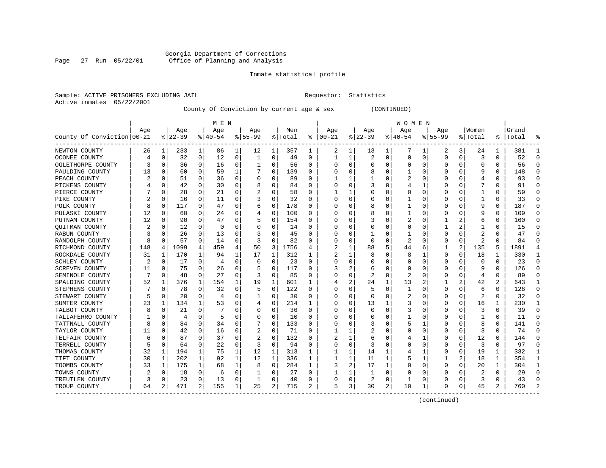### Georgia Department of Corrections Page 27 Run 05/22/01 Office of Planning and Analysis

#### Inmate statistical profile

Sample: ACTIVE PRISONERS EXCLUDING JAIL **Requestor:** Statistics Active inmates 05/22/2001

County Of Conviction by current age & sex (CONTINUED)

| M E N                      |     |          |          |             |          |          |           |             |         |          |          |          |                | W O M E N      |          |          |             |          |                         |          |           |          |
|----------------------------|-----|----------|----------|-------------|----------|----------|-----------|-------------|---------|----------|----------|----------|----------------|----------------|----------|----------|-------------|----------|-------------------------|----------|-----------|----------|
|                            | Age |          | Age      |             | Age      |          | Age       |             | Men     |          | Age      |          | Age            |                | Age      |          | Age         |          | Women                   |          | Grand     |          |
| County Of Conviction 00-21 |     |          | $ 22-39$ |             | $ 40-54$ |          | $8 55-99$ |             | % Total | ៖        | $ 00-21$ |          | $ 22-39$       |                | $ 40-54$ |          | $8155 - 99$ |          | % Total                 |          | %   Total |          |
| NEWTON COUNTY              | 26  | 1        | 233      | 1           | 86       | 1        | 12        | 1           | 357     | 1        | 2        | 1        | 13             | 1              | 7        | 1        | 2           | 3        | 24                      | 1        | 381       |          |
| OCONEE COUNTY              | 4   | 0        | 32       | $\Omega$    | 12       | 0        | 1         | 0           | 49      | 0        | 1        | 1        | $\overline{2}$ | 0              | $\Omega$ | 0        | $\Omega$    | 0        | 3                       | 0        | 52        | ∩        |
| OGLETHORPE COUNTY          |     | 0        | 36       | $\Omega$    | 16       | 0        |           | 0           | 56      | 0        |          | 0        | $\Omega$       | U              |          | 0        | U           | O        | $\Omega$                | 0        | 56        | ∩        |
| PAULDING COUNTY            | 13  | 0        | 60       | $\Omega$    | 59       | 1        |           | 0           | 139     | 0        |          | U        |                | 0              |          | 0        | U           | O        | q                       | 0        | 148       |          |
| PEACH COUNTY               |     | 0        | 51       | 0           | 36       | 0        |           | 0           | 89      | O        |          |          |                | 0              | 2        | 0        | 0           | O        |                         | 0        | 93        |          |
| PICKENS COUNTY             |     | 0        | 42       | 0           | 30       | 0        |           | 0           | 84      | O        |          | $\Omega$ |                | U              |          | 1        | 0           |          |                         | 0        | 91        |          |
| PIERCE COUNTY              |     | 0        | 28       | 0           | 21       | 0        |           | 0           | 58      | 0        |          |          |                | 0              |          | 0        | 0           | O        |                         | 0        | 59        | ∩        |
| PIKE COUNTY                |     | 0        | 16       | 0           | 11       | 0        |           | 0           | 32      | 0        | n        | 0        | 0              | 0              |          | 0        | 0           | O        |                         | 0        | 33        | ∩        |
| POLK COUNTY                | 8   | 0        | 117      | $\Omega$    | 47       | 0        | 6         | 0           | 178     | 0        |          | O        | 8              | 0              |          | 0        | 0           | O        | q                       | $\Omega$ | 187       | $\Omega$ |
| PULASKI COUNTY             | 12  | 0        | 60       | 0           | 24       | 0        |           | 0           | 100     | 0        |          |          | 8              | 0              |          | 0        | 0           |          | g                       | 0        | 109       |          |
| PUTNAM COUNTY              | 12  | $\Omega$ | 90       | U           | 47       | 0        |           | 0           | 154     | 0        |          |          |                | U              |          | $\Omega$ |             |          | 6                       | $\Omega$ | 160       | ∩        |
| QUITMAN COUNTY             |     | $\Omega$ | 12       | 0           | $\Omega$ | 0        |           | 0           | 14      | 0        |          | U        |                | 0              |          | 0        |             |          |                         | $\Omega$ | 15        | ∩        |
| RABUN COUNTY               | 3   | $\Omega$ | 26       | $\Omega$    | 13       | 0        |           | $\Omega$    | 45      | O        |          | U        |                | U              |          | 0        | U           | O        | 2                       | O        | 47        |          |
| RANDOLPH COUNTY            | 8   | 0        | 57       | 0           | 14       | 0        |           | 0           | 82      | O        |          | $\Omega$ | <sup>0</sup>   | 0              | 2        | 0        | 0           | 0        | 2                       | O        | 84        |          |
| RICHMOND COUNTY            | 148 | 4        | 1099     | 4           | 459      | 4        | 50        | 3           | 1756    | 4        |          | 1        | 88             | 5              | 44       | 6        | 1           | 2        | 135                     | 5        | 1891      |          |
| ROCKDALE COUNTY            | 31  | 1        | 170      | $\mathbf 1$ | 94       | 1        | 17        | 1           | 312     | 1        |          | 1        | 8              | U              | 8        | 1        | 0           | 0        | 18                      | 1        | 330       | -1       |
| SCHLEY COUNTY              |     | 0        | 17       | 0           | 4        | 0        | 0         | 0           | 23      | 0        |          | 0        |                | 0              |          | 0        | 0           | 0        | 0                       | 0        | 23        | $\Omega$ |
| SCREVEN COUNTY             | 11  | 0        | 75       | 0           | 26       | 0        |           | 0           | 117     | 0        | 3        | 2        | 6              | 0              | O        | 0        | 0           | O        | 9                       | 0        | 126       | ∩        |
| SEMINOLE COUNTY            |     | 0        | 48       | 0           | 27       | 0        |           | 0           | 85      | 0        |          |          | 2              | 0              | 2        | 0        | C           | 0        | 4                       | 0        | 89        |          |
| SPALDING COUNTY            | 52  | 1        | 376      | 1           | 154      | 1        | 19        | 1           | 601     |          |          | 2        | 24             | 1              | 13       |          |             |          | 42                      | 2        | 643       |          |
| STEPHENS COUNTY            |     | 0        | 78       | 0           | 32       | $\Omega$ |           | 0           | 122     | 0        |          | U        |                | 0              |          | $\Omega$ | 0           | O        | 6                       | 0        | 128       | ∩        |
| STEWART COUNTY             |     | 0        | 20       | $\Omega$    | 4        | 0        |           | 0           | 30      | O        |          | $\Omega$ | $\Omega$       | U              | 2        | 0        | O           | $\Omega$ | $\overline{\mathbf{c}}$ | $\Omega$ | 32        |          |
| SUMTER COUNTY              | 23  | 1        | 134      | 1           | 53       | 0        |           | 0           | 214     | 1        |          | $\Omega$ | 13             | 1              | 3        | 0        | U           | $\Omega$ | 16                      | 1        | 230       |          |
| TALBOT COUNTY              |     | 0        | 21       | 0           |          | 0        |           | 0           | 36      | 0        |          | O        |                | 0              |          | 0        | 0           | $\Omega$ | 3                       | 0        | 39        | $\Omega$ |
| TALIAFERRO COUNTY          |     | 0        | 4        | O           | 5        | $\Omega$ |           | 0           | 10      | $\Omega$ |          | U        |                | U              |          | $\Omega$ | U           | O        |                         | $\Omega$ | 11        | $\Omega$ |
| TATTNALL COUNTY            |     | 0        | 84       | 0           | 34       | 0        |           | 0           | 133     | 0        |          | 0        |                | 0              |          | 1        | 0           | O        | 8                       | 0        | 141       | $\Omega$ |
| TAYLOR COUNTY              | 11  | 0        | 42       | 0           | 16       | 0        |           | 0           | 71      | 0        |          |          |                | 0              |          | 0        | 0           | 0        | 3                       | 0        | 74        | ∩        |
| TELFAIR COUNTY             | 6   | 0        | 87       | 0           | 37       | 0        | 2         | 0           | 132     | 0        | 2        |          | 6              | 0              |          | -1       | 0           | 0        | 12                      | 0        | 144       |          |
| TERRELL COUNTY             |     | 0        | 64       | 0           | 22       | $\Omega$ |           | 0           | 94      | 0        |          | 0        |                | 0              |          | $\Omega$ | 0           | 0        | 3                       | 0        | 97        | ∩        |
| THOMAS COUNTY              | 32  | 1        | 194      | 1           | 75       | 1        | 12        | 1           | 313     | 1        |          | 1        | 14             | 1              | 4        |          | 0           | 0        | 19                      | 1        | 332       | -1       |
| TIFT COUNTY                | 30  | 1        | 202      | 1           | 92       | 1        | 12        | 1           | 336     | 1        |          | 1        | 11             | 1              |          | 1        |             | 2        | 18                      | 1        | 354       |          |
| TOOMBS COUNTY              | 33  | 1        | 175      | 1           | 68       | 1        | 8         | $\mathbf 0$ | 284     | 1        | 3        | 2        | 17             | 1              |          | 0        | O           | 0        | 20                      | 1        | 304       | -1       |
| TOWNS COUNTY               | 2   | 0        | 18       | 0           | 6        | 0        |           | 0           | 27      | O        |          |          | -1             | 0              |          | 0        | 0           | O        | 2                       | 0        | 29        | ∩        |
| TREUTLEN COUNTY            | 3   | 0        | 23       | 0           | 13       | 0        |           | 0           | 40      | 0        |          | 0        | 2              | 0              |          | 0        | U           | 0        | 3                       | 0        | 43        |          |
| TROUP COUNTY               | 64  | 2        | 471      | 2           | 155      | 1        | 25        | 2           | 715     | 2        | 5        | 3        | 30             | $\overline{a}$ | 10       | 1        | O           | 0        | 45                      | 2        | 760       |          |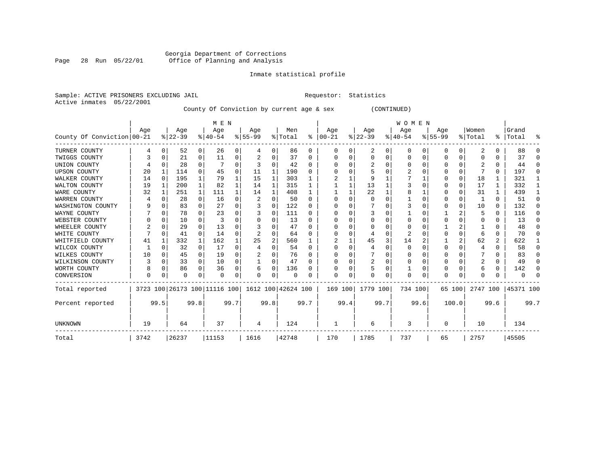# Georgia Department of Corrections Page 28 Run 05/22/01 Office of Planning and Analysis

#### Inmate statistical profile

Sample: ACTIVE PRISONERS EXCLUDING JAIL **Requestor:** Statistics Active inmates 05/22/2001

County Of Conviction by current age & sex (CONTINUED)

|                            |      |          |          |              | M E N                        |          |                    |          |         |              |          |         |          |      | <b>WOMEN</b> |          |             |                |              |          |                      |      |
|----------------------------|------|----------|----------|--------------|------------------------------|----------|--------------------|----------|---------|--------------|----------|---------|----------|------|--------------|----------|-------------|----------------|--------------|----------|----------------------|------|
|                            | Age  |          | Age      |              | Age                          |          | Age                |          | Men     |              | Age      |         | Age      |      | Age          |          | Age         |                | Women        |          | Grand                |      |
| County Of Conviction 00-21 |      |          | $ 22-39$ |              | $8140 - 54$                  |          | $8 55-99$          |          | % Total | ိ            | $ 00-21$ |         | $ 22-39$ |      | $ 40-54 $    |          | $8155 - 99$ |                | % Total      |          | %   Total            | ႜ    |
| TURNER COUNTY              | 4    | 0        | 52       | 0            | 26                           | 0        | 4                  | 0        | 86      | 0            | 0        | 0       | 2        | 0    | 0            | 0        | 0           | 0              | 2            | 0        | 88                   |      |
| TWIGGS COUNTY              |      | $\Omega$ | 21       | 0            | 11                           | 0        |                    | 0        | 37      | 0            |          | 0       | 0        | 0    | $\Omega$     | $\Omega$ | 0           | $\Omega$       |              | U        | 37                   |      |
| UNION COUNTY               |      | $\Omega$ | 28       | $\Omega$     |                              | O        |                    | O        | 42      | U            |          |         |          | U    | $\Omega$     | $\Omega$ | O           | U              |              | 0        | 44                   | n    |
| <b>UPSON COUNTY</b>        | 20   |          | 114      | $\Omega$     | 45                           | 0        | 11                 | 1        | 190     | 0            |          |         |          |      |              |          | O           | 0              |              | 0        | 197                  | ∩    |
| WALKER COUNTY              | 14   | $\Omega$ | 195      | $\mathbf{1}$ | 79                           |          | 15                 | 1        | 303     |              |          |         | 9        |      |              |          | U           | $\mathbf 0$    | 18           |          | 321                  |      |
| WALTON COUNTY              | 19   | 1        | 200      | $\mathbf{1}$ | 82                           |          | 14                 | 1        | 315     |              |          |         | 13       |      |              |          | O           | $\Omega$       | 17           | 1        | 332                  |      |
| WARE COUNTY                | 32   |          | 251      | 1            | 111                          |          | 14                 | 1        | 408     |              |          |         | 22       |      | 8            |          | O           | O              | 31           |          | 439                  |      |
| WARREN COUNTY              |      | $\Omega$ | 28       | 0            | 16                           | 0        |                    | $\Omega$ | 50      | O            |          | U       |          | U    |              | $\Omega$ |             | 0              |              | 0        | 51                   |      |
| WASHINGTON COUNTY          |      | O        | 83       | $\Omega$     | 27                           | $\Omega$ |                    | $\Omega$ | 122     | U            |          |         |          | U    |              |          | O           | $\Omega$       | 10           | $\Omega$ | 132                  |      |
| WAYNE COUNTY               |      | $\Omega$ | 78       | 0            | 23                           | 0        |                    | $\Omega$ | 111     | 0            |          |         |          |      |              |          |             |                | 5            | 0        | 116                  | ∩    |
| WEBSTER COUNTY             |      | $\Omega$ | 10       | $\Omega$     |                              | O        |                    | 0        | 13      | $\Omega$     |          | U       | $\Omega$ | U    | $\Omega$     | 0        | 0           | O              | 0            | 0        | 13                   | ∩    |
| WHEELER COUNTY             |      | $\Omega$ | 29       | $\Omega$     | 13                           | O        |                    | O        | 47      | <sup>0</sup> |          |         |          | U    |              | O        |             |                |              | 0        | 48                   |      |
| WHITE COUNTY               |      | $\Omega$ | 41       | $\Omega$     | 14                           | O        |                    | O        | 64      | O            |          | U       |          | U    | 2            |          | O           | O              | 6            | U        | 70                   |      |
| WHITFIELD COUNTY           | 41   |          | 332      | 1            | 162                          |          | 25                 | 2        | 560     |              | 2        |         | 45       | 3    | 14           | 2        |             | $\overline{a}$ | 62           | 2        | 622                  |      |
| WILCOX COUNTY              |      | $\Omega$ | 32       | $\Omega$     | 17                           | O        |                    | $\Omega$ | 54      | $\Omega$     |          | 0       |          | U    | 0            | $\Omega$ | O           | O              | 4            | U        | 58                   | n    |
| WILKES COUNTY              | 10   | $\Omega$ | 45       | $\Omega$     | 19                           | 0        |                    | 0        | 76      | U            |          |         |          | U    |              |          | 0           |                |              | 0        | 83                   |      |
| WILKINSON COUNTY           | 3    | 0        | 33       | 0            | 10                           | 0        |                    | 0        | 47      | 0            |          | 0       | 2        | 0    | $\Omega$     | 0        | 0           | O              | 2            | 0        | 49                   | ∩    |
| WORTH COUNTY               |      | O        | 86       | $\Omega$     | 36                           | 0        |                    | $\Omega$ | 136     |              |          |         |          | U    |              | $\Omega$ | 0           | O              | 6            | 0        | 142                  |      |
| CONVERSION                 | U    |          | O        | 0            | $\Omega$                     | 0        | O                  | $\Omega$ | O       | O            | ∩        | 0       | $\Omega$ | 0    | $\Omega$     | 0        | $\Omega$    | 0              | <sup>0</sup> | 0        |                      |      |
| Total reported             |      |          |          |              | 3723 100 26173 100 11116 100 |          | 1612 100 42624 100 |          |         |              |          | 169 100 | 1779 100 |      | 734 100      |          | 65 100      |                |              |          | 2747 100   45371 100 |      |
| Percent reported           |      | 99.5     |          | 99.8         |                              | 99.7     |                    | 99.8     |         | 99.7         |          | 99.4    |          | 99.7 |              | 99.6     |             | 100.0          |              | 99.6     |                      | 99.7 |
| <b>UNKNOWN</b>             | 19   |          | 64       |              | 37                           |          | 4                  |          | 124     |              |          |         | 6        |      | 3            |          | O           |                | 10           |          | 134                  |      |
| Total                      | 3742 |          | 26237    |              | 11153                        |          | 1616               |          | 42748   |              | 170      |         | 1785     |      | 737          |          | 65          |                | 2757         |          | 45505                |      |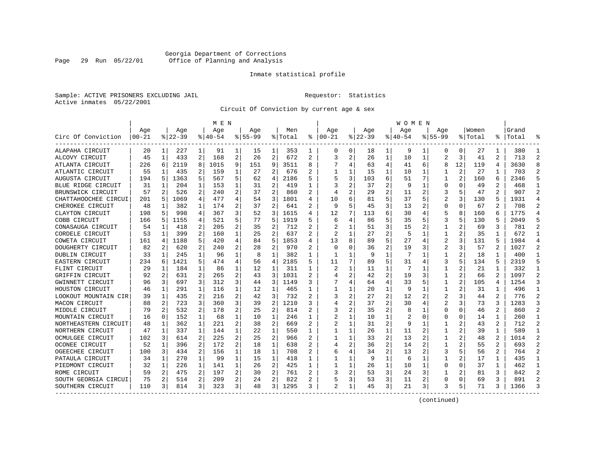### Georgia Department of Corrections Page 29 Run 05/22/01 Office of Planning and Analysis

#### Inmate statistical profile

Sample: ACTIVE PRISONERS EXCLUDING JAIL **Requestor:** Statistics Active inmates 05/22/2001

Circuit Of Conviction by current age & sex

|                      |           |   |           |              | M E N     |                |             |                |         | W O M E N    |                |   |             |                |          |   |                |              |         |                |           |                |
|----------------------|-----------|---|-----------|--------------|-----------|----------------|-------------|----------------|---------|--------------|----------------|---|-------------|----------------|----------|---|----------------|--------------|---------|----------------|-----------|----------------|
|                      | Age       |   | Age       |              | Age       |                | Aqe         |                | Men     |              | Age            |   | Aqe         |                | Aqe      |   | Aqe            |              | Women   |                | Grand     |                |
| Circ Of Conviction   | $00 - 21$ |   | $8 22-39$ |              | $8 40-54$ |                | $8155 - 99$ |                | % Total | ి            | $ 00-21$       |   | $8$   22-39 |                | $ 40-54$ |   | $8155 - 99$    |              | % Total |                | %   Total |                |
| ALAPAHA CIRCUIT      | 20        | 1 | 227       | 1            | 91        | 1              | 15          | 1              | 353     | 1            | 0              | 0 | 18          | 1              | 9        | 1 | 0              | 0            | 27      | 1              | 380       |                |
| ALCOVY CIRCUIT       | 45        | 1 | 433       | 2            | 168       | 2              | 26          | $\overline{2}$ | 672     | 2            | 3              | 2 | 26          | $\mathbf{1}$   | 10       | 1 | $\overline{a}$ | 3            | 41      | 2              | 713       | $\overline{2}$ |
| ATLANTA CIRCUIT      | 226       | 6 | 2119      | 8            | 1015      | 9              | 151         | 9              | 3511    | 8            |                | 4 | 63          | 4              | 41       | 6 | 8              | 12           | 119     | 4              | 3630      | R              |
| ATLANTIC CIRCUIT     | 55        | 1 | 435       | 2            | 159       | 1              | 27          | 2              | 676     | 2            |                | 1 | 15          | 1              | 10       | 1 |                | 2            | 27      |                | 703       | 2              |
| AUGUSTA CIRCUIT      | 194       | 5 | 1363      | 5            | 567       | 5              | 62          | 4              | 2186    | 5            |                | 3 | 103         | 6              | 51       | 7 | 1              | 2            | 160     | 6              | 2346      |                |
| BLUE RIDGE CIRCUIT   | 31        | 1 | 204       | 1            | 153       | 1              | 31          | 2              | 419     | 1            |                | 2 | 37          | 2              | g        | 1 | $\Omega$       | $\Omega$     | 49      | 2              | 468       | $\mathbf{1}$   |
| BRUNSWICK CIRCUIT    | 57        | 2 | 526       | 2            | 240       | 2              | 37          | 2              | 860     | $\mathbf{2}$ |                | 2 | 29          | 2              | 11       | 2 | 3              | 5            | 47      | $\mathbf{2}$   | 907       | $\mathcal{D}$  |
| CHATTAHOOCHEE CIRCUI | 201       | 5 | 1069      | 4            | 477       | 4              | 54          | 3              | 1801    | 4            | 10             | 6 | 81          | 5              | 37       | 5 | $\overline{2}$ | 3            | 130     | 5              | 1931      | $\overline{4}$ |
| CHEROKEE CIRCUIT     | 48        | 1 | 382       | 1            | 174       | 2              | 37          | $\overline{a}$ | 641     | 2            | q              | 5 | 45          | 3              | 13       | 2 | $\Omega$       | O            | 67      | 2              | 708       | 2              |
| CLAYTON CIRCUIT      | 198       | 5 | 998       | 4            | 367       | 3              | 52          | 3              | 1615    | 4            | 12             | 7 | 113         | 6              | 30       | 4 | 5              | 8            | 160     | 6              | 1775      |                |
| COBB CIRCUIT         | 166       | 5 | 1155      | 4            | 521       | 5              | 77          | 5              | 1919    |              | 6              | 4 | 86          | 5              | 35       | 5 | 3              | 5            | 130     | 5              | 2049      |                |
| CONASAUGA CIRCUIT    | 54        | 1 | 418       | 2            | 205       | 2              | 35          | 2              | 712     | 2            |                | 1 | 51          | 3              | 15       | 2 | 1              |              | 69      | 3              | 781       | $\mathcal{D}$  |
| CORDELE CIRCUIT      | 53        | 1 | 399       | 2            | 160       | 1              | 25          | $\overline{2}$ | 637     | 2            | 2              | 1 | 27          | $\overline{2}$ | 5        | 1 | 1              | 2            | 35      |                | 672       |                |
| COWETA CIRCUIT       | 161       | 4 | 1188      | 5            | 420       | 4              | 84          | 5              | 1853    | 4            | 13             | 8 | 89          | 5              | 27       | 4 | $\overline{2}$ | 3            | 131     | 5              | 1984      |                |
| DOUGHERTY CIRCUIT    | 82        | 2 | 620       | 2            | 240       | $\overline{a}$ | 28          | 2              | 970     |              | $\Omega$       | 0 | 36          | 2              | 19       | 3 | 2              | 3            | 57      | $\overline{a}$ | 1027      | 2              |
| DUBLIN CIRCUIT       | 33        | 1 | 245       | 1            | 96        | 1              | 8           | 1              | 382     | 1            | 1              | 1 | 9           | 1              | 7        | 1 | 1              | 2            | 18      | 1              | 400       | -1             |
| EASTERN CIRCUIT      | 234       | 6 | 1421      | 5            | 474       | 4              | 56          | 4              | 2185    | 5            | 11             | 7 | 89          | 5              | 31       | 4 | 3              | 5            | 134     | 5              | 2319      | 5              |
| FLINT CIRCUIT        | 29        | 1 | 184       | $\mathbf{1}$ | 86        | 1              | 12          | 1              | 311     | 1            | 2              |   | 11          | 1              |          | 1 | 1              |              | 21      | 1              | 332       | 1              |
| GRIFFIN CIRCUIT      | 92        | 2 | 631       | 2            | 265       | 2              | 43          | 3              | 1031    |              |                | 2 | 42          | 2              | 19       | 3 | 1              |              | 66      |                | 1097      | 2              |
| GWINNETT CIRCUIT     | 96        | 3 | 697       | 3            | 312       | 3              | 44          | 3              | 1149    | 3            |                | 4 | 64          | 4              | 33       | 5 | 1              | $\mathbf{2}$ | 105     | 4              | 1254      | 3              |
| HOUSTON CIRCUIT      | 46        | 1 | 291       | 1            | 116       | 1              | 12          | 1              | 465     |              |                | 1 | 20          | $\mathbf{1}$   | q        | 1 | 1              |              | 31      | 1              | 496       |                |
| LOOKOUT MOUNTAIN CIR | 39        | 1 | 435       | 2            | 216       | 2              | 42          | 3              | 732     | 2            | 3              | 2 | 27          | 2              | 12       | 2 | 2              | 3            | 44      | 2              | 776       | 2              |
| MACON CIRCUIT        | 88        | 2 | 723       | 3            | 360       | 3              | 39          | 2              | 1210    | 3            |                | 2 | 37          | 2              | 30       | 4 | 2              | 3            | 73      | 3              | 1283      | 3              |
| MIDDLE CIRCUIT       | 79        | 2 | 532       | 2            | 178       | 2              | 25          | 2              | 814     |              |                | 2 | 35          | 2              |          | 1 | $\Omega$       | $\Omega$     | 46      | 2              | 860       | $\overline{2}$ |
| MOUNTAIN CIRCUIT     | 16        | 0 | 152       | 1            | 68        | 1              | 10          | 1              | 246     | 1            |                | 1 | 10          | 1              |          | 0 | U              | O            | 14      | 1              | 260       | $\mathbf{1}$   |
| NORTHEASTERN CIRCUIT | 48        | 1 | 362       | 1            | 221       | 2              | 38          | 2              | 669     | 2            |                | 1 | 31          | 2              | 9        | 1 | 1              |              | 43      | 2              | 712       | $\overline{2}$ |
| NORTHERN CIRCUIT     | 47        | 1 | 337       | 1            | 144       | 1              | 22          | 1              | 550     | 1            |                |   | 26          | 1              | 11       | 2 | 1              | 2            | 39      | 1              | 589       | -1             |
| OCMULGEE CIRCUIT     | 102       | 3 | 614       | 2            | 225       | 2              | 25          | 2              | 966     | 2            |                |   | 33          | 2              | 13       | 2 |                |              | 48      | 2              | 1014      | 2              |
| OCONEE CIRCUIT       | 52        | 1 | 396       | 2            | 172       | 2              | 18          | 1              | 638     |              |                | 2 | 36          | 2              | 14       |   | 1              |              | 55      | 2              | 693       |                |
| OGEECHEE CIRCUIT     | 100       | 3 | 434       | 2            | 156       | 1              | 18          | 1              | 708     | 2            |                | 4 | 34          | 2              | 13       | 2 | 3              |              | 56      | 2.             | 764       | $\mathcal{D}$  |
| PATAULA CIRCUIT      | 34        | 1 | 270       | $\mathbf 1$  | 99        | 1              | 15          | 1              | 418     | 1            |                | 1 | 9           | $\mathbf{1}$   | 6        | 1 | 1              | 2            | 17      | 1              | 435       |                |
| PIEDMONT CIRCUIT     | 32        | 1 | 226       | 1            | 141       | 1              | 26          | 2              | 425     | 1            |                | 1 | 26          | 1              | 10       | 1 | 0              | 0            | 37      | 1              | 462       | -1             |
| ROME CIRCUIT         | 59        | 2 | 475       | 2            | 197       | 2              | 30          | 2              | 761     |              |                | 2 | 53          | 3              | 24       | 3 |                |              | 81      | 3              | 842       | 2              |
| SOUTH GEORGIA CIRCUI | 75        | 2 | 514       | 2            | 209       | 2              | 24          | 2              | 822     |              |                | 3 | 53          | 3              | 11       | 2 | $\Omega$       | $\Omega$     | 69      | 3              | 891       | $\mathcal{D}$  |
| SOUTHERN CIRCUIT     | 110       | 3 | 814       | 3            | 323       | 3              | 48          | 3              | 1295    |              | $\mathfrak{D}$ | 1 | 45          | 3              | 21       | 3 |                | 5            | 71      | 3              | 1366      |                |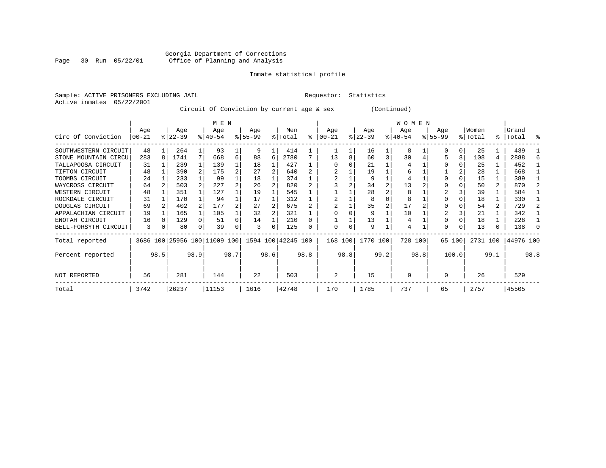# Georgia Department of Corrections Page 30 Run 05/22/01 Office of Planning and Analysis

#### Inmate statistical profile

Sample: ACTIVE PRISONERS EXCLUDING JAIL **Requestor:** Statistics Active inmates 05/22/2001

Circuit Of Conviction by current age & sex (Continued)

|                      |                 |      |                  |                | M E N                        |      |                  |      |                    |           |                 |          |                  |      | W O M E N        |      |                    |          |                  |      |                |      |
|----------------------|-----------------|------|------------------|----------------|------------------------------|------|------------------|------|--------------------|-----------|-----------------|----------|------------------|------|------------------|------|--------------------|----------|------------------|------|----------------|------|
| Circ Of Conviction   | Age<br>$ 00-21$ |      | Age<br>$ 22-39 $ |                | Age<br>$8 40-54$             |      | Age<br>$ 55-99 $ |      | Men<br>% Total     | $\approx$ | Aqe<br>$ 00-21$ |          | Age<br>$ 22-39 $ |      | Age<br>$ 40-54 $ |      | Age<br>$8155 - 99$ |          | Women<br>% Total | ွေ   | Grand<br>Total | ႜ    |
|                      |                 |      |                  |                |                              |      |                  |      |                    |           |                 |          |                  |      |                  |      |                    |          |                  |      |                |      |
| SOUTHWESTERN CIRCUIT | 48              |      | 264              |                | 93                           |      | 9                |      | 414                |           |                 |          | 16               |      | 8                |      |                    | $\Omega$ | 25               |      | 439            |      |
| STONE MOUNTAIN CIRCU | 283             | 8    | 1741             | 7              | 668                          | 6    | 88               | 6    | 2780               |           | 13              | 8        | 60               | 3    | 30               |      |                    | 8        | 108              | 4    | 2888           |      |
| TALLAPOOSA CIRCUIT   | 31              |      | 239              |                | 139                          |      | 18               |      | 427                |           |                 |          | 21               |      |                  |      |                    |          | 25               |      | 452            |      |
| TIFTON CIRCUIT       | 48              |      | 390              | $\overline{2}$ | 175                          |      | 27               |      | 640                |           |                 |          | 19               |      | 6                |      |                    |          | 28               |      | 668            |      |
| TOOMBS CIRCUIT       | 24              |      | 233              |                | 99                           |      | 18               |      | 374                |           |                 |          | 9                |      | 4                |      |                    |          | 15               |      | 389            |      |
| WAYCROSS CIRCUIT     | 64              |      | 503              |                | 227                          |      | 26               |      | 820                |           |                 |          | 34               |      | 13               |      |                    |          | 50               |      | 870            |      |
| WESTERN CIRCUIT      | 48              |      | 351              |                | 127                          |      | 19               |      | 545                |           |                 |          | 28               |      | 8                |      |                    |          | 39               |      | 584            |      |
| ROCKDALE CIRCUIT     | 31              |      | 170              |                | 94                           |      | 17               |      | 312                |           |                 |          | 8                |      | 8                |      |                    |          | 18               |      | 330            |      |
| DOUGLAS CIRCUIT      | 69              |      | 402              |                | 177                          |      | 27               |      | 675                |           |                 |          | 35               |      | 17               |      |                    |          | 54               |      | 729            |      |
| APPALACHIAN CIRCUIT  | 19              |      | 165              |                | 105                          |      | 32               |      | 321                |           |                 |          | 9                |      | 10               |      |                    |          | 21               |      | 342            |      |
| ENOTAH CIRCUIT       | 16              |      | 129              |                | 51                           |      | 14               |      | 210                |           |                 |          | 13               |      | 4                |      |                    |          | 18               |      | 228            |      |
| BELL-FORSYTH CIRCUIT | 3               | 0    | 80               | 0              | 39                           | 0    | 3                | 0    | 125                | 0         | $\Omega$        | $\Omega$ | 9                |      | 4                |      | $\Omega$           |          | 13               | 0    | 138            |      |
| Total reported       |                 |      |                  |                | 3686 100 25956 100 11009 100 |      |                  |      | 1594 100 42245 100 |           | 168 100         |          | 1770 100         |      | 728 100          |      |                    | 65 100   | 2731 100         |      | 44976 100      |      |
| Percent reported     |                 | 98.5 |                  | 98.9           |                              | 98.7 |                  | 98.6 |                    | 98.8      |                 | 98.8     |                  | 99.2 |                  | 98.8 |                    | 100.0    |                  | 99.1 |                | 98.8 |
| NOT REPORTED         | 56              |      | 281              |                | 144                          |      | 22               |      | 503                |           | 2               |          | 15               |      | 9                |      | $\Omega$           |          | 26               |      | 529            |      |
| Total                | 3742            |      | 26237            |                | 11153                        |      | 1616             |      | 42748              |           | 170             |          | 1785             |      | 737              |      | 65                 |          | 2757             |      | 45505          |      |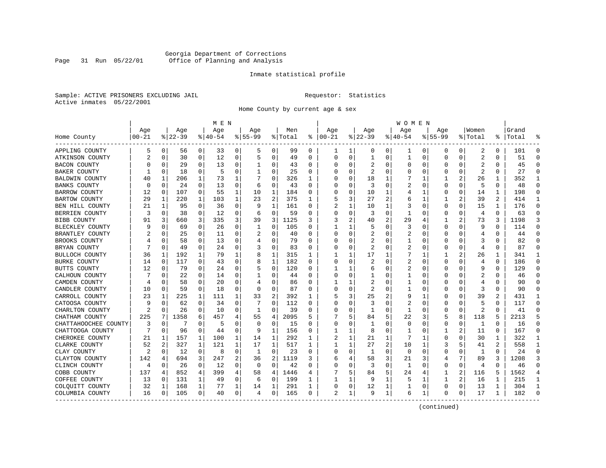### Georgia Department of Corrections Page 31 Run 05/22/01 Office of Planning and Analysis

#### Inmate statistical profile

Sample: ACTIVE PRISONERS EXCLUDING JAIL **Requestor:** Statistics Active inmates 05/22/2001

Home County by current age & sex

|                      |            | M E N    |          |          |             |   |             |             |         |          |          |          |              |                | W O M E N   |             |             |          |                |          |       |              |
|----------------------|------------|----------|----------|----------|-------------|---|-------------|-------------|---------|----------|----------|----------|--------------|----------------|-------------|-------------|-------------|----------|----------------|----------|-------|--------------|
|                      | Age        |          | Age      |          | Age         |   | Age         |             | Men     |          | Age      |          | Age          |                | Age         |             | Aqe         |          | Women          |          | Grand |              |
| Home County          | $ 00 - 21$ |          | $ 22-39$ |          | $8140 - 54$ |   | $8155 - 99$ |             | % Total | နွ       | $ 00-21$ |          | $ 22-39$     |                | $8140 - 54$ |             | $8155 - 99$ |          | % Total        | ⊱        | Total |              |
| APPLING COUNTY       | 5          | 0        | 56       | 0        | 33          | 0 | 5           | 0           | 99      | 0        |          | 1        | 0            | 0 <sup>1</sup> | ı           | 0           | 0           | 0        | 2              | 0        | 101   | $\Omega$     |
| ATKINSON COUNTY      |            | 0        | 30       | 0        | 12          | 0 | 5           | 0           | 49      | $\Omega$ | $\Omega$ | $\Omega$ | $\mathbf{1}$ | 0              | 1           | 0           | $\Omega$    | 0        | $\overline{2}$ | 0        | 51    | $\Omega$     |
| BACON COUNTY         |            | $\Omega$ | 29       | 0        | 13          | 0 | 1           | 0           | 43      | 0        |          | O        | 2            | 0              | $\Omega$    | 0           | 0           | 0        | 2              | 0        | 45    | ∩            |
| BAKER COUNTY         |            | 0        | 18       | 0        | 5           | 0 | 1           | 0           | 25      | 0        |          |          | 2            | U              |             | 0           | 0           | 0        | 2              | 0        | 27    | $\Omega$     |
| BALDWIN COUNTY       | 40         | 1        | 206      | 1        | 73          | 1 |             | $\Omega$    | 326     | 1        |          |          | 18           | 1              |             | 1           |             |          | 26             | 1        | 352   | -1           |
| BANKS COUNTY         |            | $\Omega$ | 24       | $\Omega$ | 13          | 0 | 6           | 0           | 43      | $\Omega$ |          | O        | 3            | 0              | 2           | $\Omega$    | 0           | $\Omega$ | 5              | 0        | 48    | $\Omega$     |
| BARROW COUNTY        | 12         | 0        | 107      | 0        | 55          | 1 | 10          | 1           | 184     | $\Omega$ |          | O        | 10           | 1              |             | 1           | 0           | 0        | 14             | 1        | 198   | $\Omega$     |
| BARTOW COUNTY        | 29         | 1        | 220      | 1        | 103         | 1 | 23          | 2           | 375     | 1        |          | 3        | 27           | 2              | 6           | 1           |             | 2        | 39             | 2        | 414   | -1           |
| BEN HILL COUNTY      | 21         | 1        | 95       | 0        | 36          | 0 | 9           | 1           | 161     | 0        | 2        | 1        | 10           | 1              | 3           | 0           | $\Omega$    | 0        | 15             | 1        | 176   | $\Omega$     |
| BERRIEN COUNTY       | 3          | 0        | 38       | 0        | 12          | 0 | 6           | 0           | 59      | $\Omega$ |          | 0        | 3            | 0              |             | $\Omega$    | 0           | 0        | 4              | $\Omega$ | 63    | $\Omega$     |
| BIBB COUNTY          | 91         | 3        | 660      | 3        | 335         | 3 | 39          | 3           | 1125    | 3        |          |          | 40           | 2              | 29          | 4           | 1           | 2        | 73             | 3        | 1198  | 3            |
| BLECKLEY COUNTY      |            | $\Omega$ | 69       | 0        | 26          | 0 | -1          | 0           | 105     | $\Omega$ |          | ı.       | 5            | U              | 3           | $\Omega$    | O           | U        | 9              | $\Omega$ | 114   | ∩            |
| BRANTLEY COUNTY      |            | $\Omega$ | 25       | 0        | 11          | 0 | 2           | $\mathbf 0$ | 40      | $\Omega$ |          | $\Omega$ | 2            | U              | 2           | 0           | U           | 0        | 4              | O        | 44    |              |
| BROOKS COUNTY        |            | $\Omega$ | 58       | 0        | 13          | 0 | 4           | 0           | 79      | $\Omega$ |          | O        | 2            | U              |             | 0           | U           | U        | 3              | 0        | 82    | $\Omega$     |
| BRYAN COUNTY         |            | $\Omega$ | 49       | 0        | 24          | 0 |             | 0           | 83      | 0        |          | O        | 2            | 0              | 2           | 0           | 0           | 0        | 4              | 0        | 87    | ∩            |
| BULLOCH COUNTY       | 36         | 1        | 192      | 1        | 79          | 1 | 8           | 1           | 315     | 1        |          |          | 17           |                |             | 1           |             |          | 26             | 1        | 341   | $\mathbf{1}$ |
| BURKE COUNTY         | 14         | $\Omega$ | 117      | $\Omega$ | 43          | 0 | 8           | 1           | 182     | $\Omega$ |          | O        |              | U              | 2           | $\Omega$    | $\Omega$    | U        | 4              | $\Omega$ | 186   | $\Omega$     |
| BUTTS COUNTY         | 12         | 0        | 79       | 0        | 24          | 0 |             | 0           | 120     | 0        |          | 1        | 6            | U              | 2           | $\Omega$    | U           | O        | q              | $\Omega$ | 129   | ∩            |
| CALHOUN COUNTY       |            | $\Omega$ | 22       | 0        | 14          | 0 | 1           | 0           | 44      | $\Omega$ |          | O        | -1           | U              |             | 0           | U           | 0        | 2              | 0        | 46    |              |
| CAMDEN COUNTY        |            | $\Omega$ | 58       | 0        | 20          | 0 | 4           | 0           | 86      | $\Omega$ |          | 1        | 2            | U              | 1           | 0           | U           | U        | 4              | 0        | 90    | $\cap$       |
| CANDLER COUNTY       | 10         | 0        | 59       | 0        | 18          | 0 | $\Omega$    | 0           | 87      | 0        |          | O        | 2            | 0              |             | 0           | 0           | 0        | 3              | 0        | 90    | $\Omega$     |
| CARROLL COUNTY       | 23         | 1        | 225      | 1        | 111         | 1 | 33          | 2           | 392     | 1        |          | 3        | 25           |                |             | 1           | U           | U        | 39             | 2        | 431   | -1           |
| CATOOSA COUNTY       |            | $\Omega$ | 62       | 0        | 34          | 0 |             | 0           | 112     | O        |          |          | 3            | U              |             | $\Omega$    | U           | U        | 5              | O        | 117   | $\Omega$     |
| CHARLTON COUNTY      | 2          | 0        | 26       | 0        | 10          | 0 | -1          | 0           | 39      | 0        | n        | O        | -1           | U              | -1          | 0           | 0           | $\Omega$ | $\overline{2}$ | 0        | 41    | ∩            |
| CHATHAM COUNTY       | 225        | 7        | 1358     | 6        | 457         | 4 | 55          | 4           | 2095    | 5        |          | 5        | 84           | 5              | 22          | 3           | 5           | 8        | 118            | 5        | 2213  |              |
| CHATTAHOOCHEE COUNTY | 3          | 0        | 7        | 0        | 5           | 0 | $\Omega$    | 0           | 15      | $\Omega$ | $\Omega$ | O        | $\mathbf{1}$ | O              | $\Omega$    | $\mathbf 0$ | $\Omega$    | 0        | 1              | $\Omega$ | 16    | $\cap$       |
| CHATTOOGA COUNTY     |            | 0        | 96       | 0        | 44          | 0 | 9           | 1           | 156     | 0        |          | 1        | 8            | 0              | -1          | 0           | 1           | 2        | 11             | 0        | 167   | $\Omega$     |
| CHEROKEE COUNTY      | 21         | 1        | 157      | 1        | 100         | 1 | 14          | 1           | 292     | 1        | 2        |          | 21           | 1              |             | 1           | 0           | U        | 30             | 1        | 322   | -1           |
| CLARKE COUNTY        | 52         | 2        | 327      | 1        | 121         | 1 | 17          | 1           | 517     | 1        |          |          | 27           | 2              | 10          | 1           | 3           | 5        | 41             |          | 558   | 1            |
| CLAY COUNTY          | 2          | $\Omega$ | 12       | 0        | 8           | 0 | 1           | 0           | 23      | $\Omega$ | O        | O        | -1           | 0              | $\Omega$    | 0           | 0           | U        | 1              | 0        | 24    | ∩            |
| CLAYTON COUNTY       | 142        | 4        | 694      | 3        | 247         | 2 | 36          | 2           | 1119    | 3        | 6        |          | 58           | 3              | 21          | 3           | 4           | 7        | 89             | 3        | 1208  | 3            |
| CLINCH COUNTY        | 4          | 0        | 26       | 0        | 12          | 0 | 0           | 0           | 42      | $\Omega$ |          | O        | 3            | 0              | 1           | $\Omega$    | $\Omega$    | 0        | $\overline{4}$ | $\Omega$ | 46    | $\cap$       |
| COBB COUNTY          | 137        | 4        | 852      | 4        | 399         | 4 | 58          | 4           | 1446    | 4        |          |          | 84           | 5              | 24          | 4           | 1           | 2        | 116            | 5        | 1562  |              |
| COFFEE COUNTY        | 13         | 0        | 131      | 1        | 49          | 0 | 6           | 0           | 199     | 1        |          |          | 9            | 1              | 5           | -1          | 1           | 2        | 16             | 1        | 215   | 1            |
| COLQUITT COUNTY      | 32         | 1        | 168      | 1        | 77          | 1 | 14          | 1           | 291     | 1        |          | 0        | 12           | 1              |             | 0           | 0           | 0        | 13             | 1        | 304   | -1           |
| COLUMBIA COUNTY      | 16         | 0        | 105      | 0        | 40          | 0 | 4           | 0           | 165     | 0        | 2        | 1        | 9            | 1              | 6           | 1           | 0           | 0        | 17             | 1        | 182   | $\cap$       |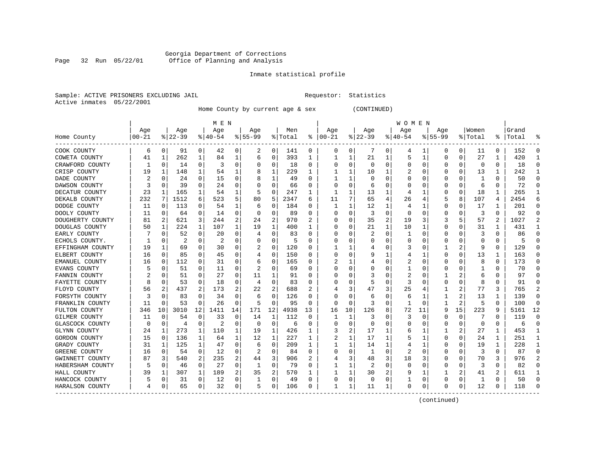#### Georgia Department of Corrections Page 32 Run 05/22/01 Office of Planning and Analysis

# Inmate statistical profile

|  | Sample: ACTIVE PRISONERS EXCLUDING JAIL |  |
|--|-----------------------------------------|--|
|  | Active inmates 05/22/2001               |  |

L Bample: Active Prequestor: Statistics

Home County by current age & sex (CONTINUED)

|                  |          | M E N       |          |              |           |          |           |             |         |                  |          |          |          |          | W O M E N |    |             |             |          |              |       |    |
|------------------|----------|-------------|----------|--------------|-----------|----------|-----------|-------------|---------|------------------|----------|----------|----------|----------|-----------|----|-------------|-------------|----------|--------------|-------|----|
|                  | Age      |             | Age      |              | Age       |          | Aqe       |             | Men     |                  | Age      |          | Age      |          | Age       |    | Age         |             | Women    |              | Grand |    |
| Home County      | $ 00-21$ |             | $ 22-39$ |              | $8 40-54$ |          | $8 55-99$ |             | % Total | ႜ                | $ 00-21$ |          | $ 22-39$ |          | $8 40-54$ |    | $8155 - 99$ |             | % Total  | ႜ            | Total |    |
| COOK COUNTY      | 6        | 0           | 91       | 0            | 42        | 0        | 2         | 0           | 141     | 0                | 0        | 0        |          | 0        | 4         |    | 0           | 0           | 11       | 0            | 152   |    |
| COWETA COUNTY    | 41       | 1           | 262      | 1            | 84        | 1        | 6         | 0           | 393     | 1                |          | 1        | 21       |          | 5         | 1  | U           | 0           | 27       | 1            | 420   |    |
| CRAWFORD COUNTY  |          | 0           | 14       | $\Omega$     | З         | 0        |           | $\Omega$    | 18      | 0                | C        | 0        | $\Omega$ | $\Omega$ | 0         | U  |             | 0           | $\Omega$ | $\Omega$     | 18    |    |
| CRISP COUNTY     | 19       | 1           | 148      | 1            | 54        | 1        |           | 1           | 229     | 1                |          | 1        | 10       |          |           | O  |             | $\Omega$    | 13       | 1            | 242   |    |
| DADE COUNTY      | 2        | 0           | 24       | 0            | 15        | 0        |           | 1           | 49      | O                |          | 1        | O        | $\Omega$ |           |    |             | $\Omega$    | 1        | $\Omega$     | 50    |    |
| DAWSON COUNTY    |          | $\mathbf 0$ | 39       | $\Omega$     | 24        | 0        |           | 0           | 66      | O                |          | 0        | 6        |          |           |    |             | 0           | 6        | $\Omega$     | 72    |    |
| DECATUR COUNTY   | 23       | 1           | 165      | 1            | 54        | 1        |           | $\Omega$    | 247     | 1                |          | 1        | 13       |          |           |    |             | 0           | 18       | $\mathbf{1}$ | 265   |    |
| DEKALB COUNTY    | 232      | 7           | 1512     | 6            | 523       | 5        | 80        | 5           | 2347    | б                | 11       | 7        | 65       |          | 26        |    |             | 8           | 107      | 4            | 2454  |    |
| DODGE COUNTY     | 11       | 0           | 113      | 0            | 54        | 1        | 6         | 0           | 184     | $\left( \right)$ |          |          | 12       |          | 4         |    | O           | 0           | 17       | 1            | 201   | U  |
| DOOLY COUNTY     | 11       | 0           | 64       | 0            | 14        | 0        | O         | 0           | 89      | 0                | C        | 0        | 3        | $\Omega$ | 0         |    | 0           | 0           | 3        | $\Omega$     | 92    |    |
| DOUGHERTY COUNTY | 81       | 2           | 621      | 3            | 244       | 2        | 24        | 2           | 970     |                  |          | 0        | 35       | 2        | 19        |    |             | 5           | 57       | 2            | 1027  |    |
| DOUGLAS COUNTY   | 50       | 1           | 224      | 1            | 107       | 1        | 19        | 1           | 400     |                  | C        | U        | 21       | 1        | 10        |    |             | U           | 31       | 1            | 431   |    |
| EARLY COUNTY     |          | 0           | 52       | $\Omega$     | 20        | 0        |           | $\Omega$    | 83      | U                | O        | 0        |          | $\Omega$ |           |    |             | 0           |          | $\Omega$     | 86    |    |
| ECHOLS COUNTY.   |          | O           | 2        | $\Omega$     | 2         | 0        |           | 0           | 5       | O                |          | 0        |          | O        | 0         |    |             | U           | O        | $\Omega$     | 5     |    |
| EFFINGHAM COUNTY | 19       | 1           | 69       | 0            | 30        | 0        | 2         | 0           | 120     | 0                |          |          |          | $\Omega$ | 3         |    |             | 2           | 9        | $\Omega$     | 129   |    |
| ELBERT COUNTY    | 16       | 0           | 85       | $\Omega$     | 45        | 0        |           | $\mathbf 0$ | 150     | N                |          | 0        |          |          |           |    |             | 0           | 13       | 1            | 163   |    |
| EMANUEL COUNTY   | 16       | 0           | 112      | 0            | 31        | 0        | 6         | 0           | 165     | O                |          | 1        |          | O        |           |    |             | 0           | 8        | $\Omega$     | 173   |    |
| EVANS COUNTY     |          | $\Omega$    | 51       | $\Omega$     | 11        | 0        | 2         | $\Omega$    | 69      | O                |          | 0        |          |          |           |    | n           | 0           | 1        | $\Omega$     | 70    | U  |
| FANNIN COUNTY    |          | 0           | 51       | $\Omega$     | 27        | 0        | 11        | 1           | 91      | O                | O        | U        |          | O        | 2         |    |             | 2           | 6        | O            | 97    | U  |
| FAYETTE COUNTY   |          | 0           | 53       | O            | 18        | 0        | 4         | $\Omega$    | 83      | U                |          | 0        |          |          | 3         |    |             | 0           | 8        | $\Omega$     | 91    |    |
| FLOYD COUNTY     | 56       | 2           | 437      |              | 173       | 2        | 22        | 2           | 688     |                  |          | 3        | 47       | 3        | 25        |    |             | 2           | 77       | 3            | 765   |    |
| FORSYTH COUNTY   |          | $\Omega$    | 83       | O            | 34        | 0        | 6         | $\Omega$    | 126     | N                |          | 0        | 6        | $\Omega$ | 6         |    |             | 2           | 13       | 1            | 139   |    |
| FRANKLIN COUNTY  | 11       | $\Omega$    | 53       | $\Omega$     | 26        | $\Omega$ | 5         | $\Omega$    | 95      | O                | $\Omega$ | $\Omega$ | 3        | $\Omega$ | -1        | n  |             | 2           | 5        | $\Omega$     | 100   | ∩  |
| FULTON COUNTY    | 346      | 10          | 3010     | 12           | 1411      | 14       | 171       | 12          | 4938    | 13               | 16       | 10       | 126      | 8        | 72        | 11 | 9           | 15          | 223      | 9            | 5161  | 12 |
| GILMER COUNTY    | 11       | $\mathbf 0$ | 54       | 0            | 33        | $\Omega$ | 14        | 1           | 112     | 0                | 1        | 1        | 3        | $\Omega$ | 3         |    |             | $\mathbf 0$ |          | $\Omega$     | 119   | U  |
| GLASCOCK COUNTY  | 0        | $\mathbf 0$ | 4        | $\Omega$     | 2         | $\Omega$ | 0         | $\Omega$    | 6       | O                |          | 0        | O        |          |           |    |             | 0           | $\Omega$ | $\Omega$     | 6     |    |
| GLYNN COUNTY     | 24       | 1           | 273      | 1            | 110       | 1        | 19        | 1           | 426     | 1                |          | 2        | 17       |          | 6         |    |             | 2           | 27       | $\mathbf{1}$ | 453   |    |
| GORDON COUNTY    | 15       | 0           | 136      | 1            | 64        | 1        | 12        | 1           | 227     | 1                |          | 1        | 17       |          | 5         |    | O           | 0           | 24       | 1            | 251   |    |
| GRADY COUNTY     | 31       | 1           | 125      | $\mathbf{1}$ | 47        | 0        | 6         | 0           | 209     | 1                |          |          | 14       |          | 4         |    | O           | 0           | 19       | $\mathbf{1}$ | 228   |    |
| GREENE COUNTY    | 16       | 0           | 54       | 0            | 12        | 0        | 2         | 0           | 84      | 0                | C        | 0        |          | $\Omega$ | 2         |    |             | 0           | 3        | 0            | 87    | O  |
| GWINNETT COUNTY  | 87       | 3           | 540      | 2            | 235       | 2        | 44        | 3           | 906     |                  |          | 3        | 48       | 3        | 18        |    |             | 0           | 70       | 3            | 976   |    |
| HABERSHAM COUNTY |          | 0           | 46       | 0            | 27        | 0        |           | 0           | 79      | U                |          |          |          | $\Omega$ | O         |    |             | 0           | 3        | $\Omega$     | 82    |    |
| HALL COUNTY      | 39       | 1           | 307      | $\mathbf{1}$ | 189       | 2        | 35        | 2           | 570     |                  |          | 1        | 30       |          |           |    |             | 2           | 41       | 2            | 611   |    |
| HANCOCK COUNTY   |          | 0           | 31       | 0            | 12        | 0        |           | 0           | 49      | 0                | $\Omega$ | 0        | $\Omega$ | $\Omega$ |           | O  | O           | 0           | 1        | 0            | 50    |    |
| HARALSON COUNTY  |          | 0           | 65       | 0            | 32        | 0        | 5         | 0           | 106     | O                |          | 1        | 11       |          | $\Omega$  | U  | U           | 0           | 12       | $\Omega$     | 118   |    |

------------------------------------------------------------------------------------------------------------------------------------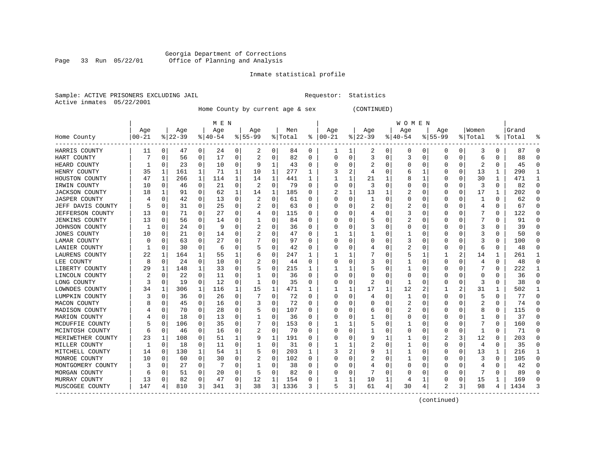#### Georgia Department of Corrections Page 33 Run 05/22/01 Office of Planning and Analysis

# Inmate statistical profile

|  |                           | Sample: ACTIVE PRISONERS EXCLUDING JAII |  |
|--|---------------------------|-----------------------------------------|--|
|  | Active inmates 05/22/2001 |                                         |  |

L Bample: Active Prequestor: Statistics

Home County by current age & sex (CONTINUED)

|                         | M E N    |             |          |              |           |          |           |              |         |          |          |          |          |          | W O M E N |              |                |          |         |   |           |              |
|-------------------------|----------|-------------|----------|--------------|-----------|----------|-----------|--------------|---------|----------|----------|----------|----------|----------|-----------|--------------|----------------|----------|---------|---|-----------|--------------|
|                         | Age      |             | Age      |              | Age       |          | Age       |              | Men     |          | Age      |          | Age      |          | Age       |              | Age            |          | Women   |   | Grand     |              |
| Home County<br>$   -$   | $ 00-21$ |             | $ 22-39$ |              | $8 40-54$ |          | $8 55-99$ |              | % Total | ៖        | $ 00-21$ |          | $ 22-39$ |          | $ 40-54$  |              | $8 55-99$      |          | % Total |   | %   Total |              |
| HARRIS COUNTY           | 11       | 0           | 47       | 0            | 24        | 0        | 2         | 0            | 84      | 0        | 1        |          | 2        | 0        | $\Omega$  | 0            | 0              | 0        | 3       | 0 | 87        | O            |
| HART COUNTY             |          | $\Omega$    | 56       | 0            | 17        | 0        |           | 0            | 82      | 0        | 0        | $\Omega$ | 3        | 0        | 3         | $\Omega$     | $\Omega$       | $\Omega$ | 6       | 0 | 88        |              |
| HEARD COUNTY            |          | $\Omega$    | 23       | $\Omega$     | 10        | $\Omega$ | 9         | 1            | 43      | U        |          | O        |          | O        | Ω         | n            | O              | $\Omega$ | 2       | 0 | 45        |              |
| HENRY COUNTY            | 35       | 1           | 161      | $\mathbf{1}$ | 71        | 1        | 10        | 1            | 277     | 1        |          | 2        | 4        | O        | 6         |              |                | $\Omega$ | 13      | 1 | 290       |              |
| HOUSTON COUNTY          | 47       | 1           | 266      | $\mathbf{1}$ | 114       | 1        | 14        | $\mathbf{1}$ | 441     |          |          | 1        | 21       |          | 8         |              |                | $\Omega$ | 30      | 1 | 471       |              |
| IRWIN COUNTY            | 10       | 0           | 46       | 0            | 21        | 0        |           | $\mathbf 0$  | 79      | O        |          | 0        | 3        | $\Omega$ | ი         | 0            | O              | $\Omega$ | 3       | 0 | 82        | ∩            |
| <b>JACKSON COUNTY</b>   | 18       | 1           | 91       | 0            | 62        | 1        | 14        | 1            | 185     | U        |          | 1        | 13       |          | 2         | 0            | O              | 0        | 17      | 1 | 202       | ∩            |
| <b>JASPER COUNTY</b>    |          | 0           | 42       | 0            | 13        | 0        | 2         | 0            | 61      | U        | O        | 0        |          | O        | 0         | 0            | O              | 0        | -1      | 0 | 62        | n            |
| JEFF DAVIS COUNTY       |          | $\Omega$    | 31       | $\Omega$     | 25        | $\Omega$ |           | 0            | 63      | 0        | O        | 0        |          | O        | 2         | 0            | O              | O        | 4       | 0 | 67        | $\Omega$     |
| <b>JEFFERSON COUNTY</b> | 13       | 0           | 71       | 0            | 27        | 0        |           | 0            | 115     | 0        |          | 0        |          |          | 3         | 0            |                |          |         | 0 | 122       | O            |
| <b>JENKINS COUNTY</b>   | 13       | $\Omega$    | 56       | 0            | 14        | 0        |           | 0            | 84      | U        |          | O        |          | O        |           | ſ            |                |          |         | 0 | 91        |              |
| JOHNSON COUNTY          | -1       | $\Omega$    | 24       | $\Omega$     | -9        | 0        | 2         | 0            | 36      | 0        |          | 0        |          | O        | 0         | ſ            |                | O        | 3       | 0 | 39        |              |
| <b>JONES COUNTY</b>     | 10       | $\Omega$    | 21       | $\Omega$     | 14        | 0        |           | $\Omega$     | 47      | U        |          | 1        |          | O        |           | n            |                | $\Omega$ | 3       | O | 50        | n            |
| LAMAR COUNTY            |          | $\Omega$    | 63       | 0            | 27        | $\Omega$ |           | $\Omega$     | 97      | U        | O        | $\Omega$ |          | O        | 3         | 0            |                | O        | 3       | 0 | 100       | ſ            |
| LANIER COUNTY           |          | $\mathbf 0$ | 30       | 0            | 6         | O        |           | 0            | 42      | U        |          | O        |          | O        | 2         | 0            |                | 0        | 6       | 0 | 48        | ſ            |
| LAURENS COUNTY          | 22       | 1           | 164      | 1            | 55        | 1        |           | 0            | 247     | 1        |          |          |          | O        | 5         |              |                | 2        | 14      | 1 | 261       |              |
| LEE COUNTY              | 8        | 0           | 24       | 0            | 10        | 0        |           | 0            | 44      | $\Omega$ |          | 0        |          | O        |           | n            | O              | O        | 4       | 0 | 48        | ∩            |
| LIBERTY COUNTY          | 29       | 1           | 148      | 1            | 33        | 0        |           | 0            | 215     | 1        |          |          |          | O        |           | 0            | O              | O        |         | 0 | 222       |              |
| LINCOLN COUNTY          |          | 0           | 22       | 0            | 11        | 0        |           | 0            | 36      | 0        |          | 0        |          | O        | 0         | 0            |                |          | 0       | 0 | 36        |              |
| LONG COUNTY             | 3        | 0           | 19       | 0            | 12        | 0        |           | 0            | 35      | 0        |          | O        |          | O        |           | <sup>0</sup> |                | O        | 3       | 0 | 38        |              |
| LOWNDES COUNTY          | 34       | 1           | 306      | 1            | 116       | 1        | 15        | 1            | 471     | -1       |          | 1        | 17       | 1        | 12        |              |                | 2        | 31      | 1 | 502       |              |
| LUMPKIN COUNTY          |          | $\Omega$    | 36       | $\Omega$     | 26        | 0        |           | $\Omega$     | 72      | U        | O        | 0        |          | O        |           | n            | O              | O        | 5       | 0 | 77        | C            |
| MACON COUNTY            |          | O           | 45       | 0            | 16        | 0        | 3         | 0            | 72      | U        | O        | O        | O        | O        | 2         | n            |                | O        | 2       | 0 | 74        | ſ            |
| MADISON COUNTY          |          | 0           | 70       | 0            | 28        | $\Omega$ |           | 0            | 107     | U        |          | 0        | 6        | O        | 2         | 0            |                |          | 8       | 0 | 115       |              |
| MARION COUNTY           |          | $\mathbf 0$ | 18       | 0            | 13        | 0        |           | 0            | 36      | U        |          | O        |          | O        | Ω         | n            | n              |          |         | 0 | 37        | ∩            |
| MCDUFFIE COUNTY         |          | 0           | 106      | 0            | 35        | 0        |           | 0            | 153     | U        |          |          |          | O        |           | O            | O              | O        |         | 0 | 160       | n            |
| MCINTOSH COUNTY         |          | 0           | 46       | 0            | 16        | 0        |           | 0            | 70      | U        | $\Box$   | 0        |          | O        | 0         | 0            | O              | O        |         | 0 | 71        | n            |
| MERIWETHER COUNTY       | 23       | 1           | 108      | $\Omega$     | 51        | 1        | 9         | 1            | 191     | 0        |          | 0        | 9        |          |           | 0            | 2              | 3        | 12      | 0 | 203       | n            |
| MILLER COUNTY           |          | $\mathbf 0$ | 18       | 0            | 11        | 0        |           | $\Omega$     | 31      | 0        |          |          |          | O        |           | C            | $\Omega$       | 0        | 4       | 0 | 35        |              |
| MITCHELL COUNTY         | 14       | $\Omega$    | 130      | $\mathbf{1}$ | 54        | 1        | 5         | $\Omega$     | 203     | 1        |          | 2        |          |          |           | ſ            |                | $\Omega$ | 13      | 1 | 216       |              |
| MONROE COUNTY           | 10       | $\Omega$    | 60       | $\Omega$     | 30        | 0        |           | 0            | 102     | 0        |          | 0        |          | O        |           | n            |                | O        |         | 0 | 105       | <sup>0</sup> |
| MONTGOMERY COUNTY       | 3        | $\Omega$    | 27       | $\Omega$     |           | O        |           | 0            | 38      | U        |          | 0        |          | O        | Ω         | n            |                | $\Omega$ |         | U | 42        | n            |
| MORGAN COUNTY           |          | 0           | 51       | 0            | 20        | 0        | 5         | 0            | 82      | U        |          | 0        |          | O        |           | O            |                | O        |         | 0 | 89        |              |
| MURRAY COUNTY           | 13       | $\mathbf 0$ | 82       | 0            | 47        | 0        | 12        | 1            | 154     | 0        |          | 1        | 10       |          |           |              |                | 0        | 15      | 1 | 169       |              |
| MUSCOGEE COUNTY         | 147      | 4           | 810      | 3            | 341       | 3        | 38        | 3 I          | 1336    | 3        | 5        | 3        | 61       | 4        | 30        | 4            | $\mathfrak{D}$ | 3        | 98      | 4 | 1434      |              |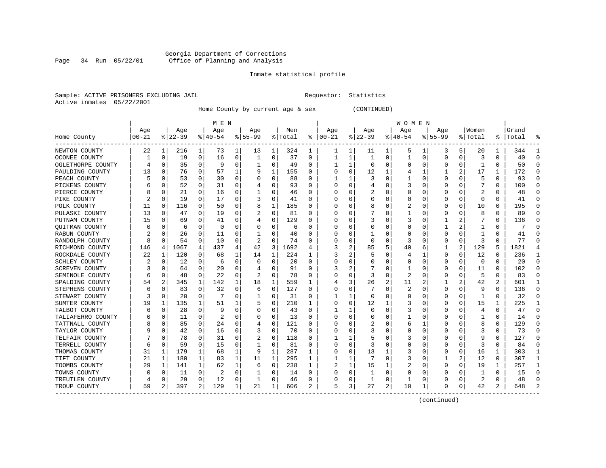#### Georgia Department of Corrections Page 34 Run 05/22/01 Office of Planning and Analysis

# Inmate statistical profile

|  | Sample: ACTIVE PRISONERS EXCLUDING JAII |  |
|--|-----------------------------------------|--|
|  | Active inmates 05/22/2001               |  |

L Bample: Active Prequestor: Statistics

Home County by current age & sex (CONTINUED)

|                       |           |          |           |                | M E N     |   |              |             |         |                  |          |          |          |          | W O M E N |   |             |          |         |   |           |              |
|-----------------------|-----------|----------|-----------|----------------|-----------|---|--------------|-------------|---------|------------------|----------|----------|----------|----------|-----------|---|-------------|----------|---------|---|-----------|--------------|
|                       | Age       |          | Age       |                | Age       |   | Age          |             | Men     |                  | Age      |          | Age      |          | Age       |   | Aqe         |          | Women   |   | Grand     |              |
| Home County           | $00 - 21$ |          | $ 22-39 $ |                | $8 40-54$ |   | $8 55-99$    |             | % Total | ႜ                | $ 00-21$ |          | $ 22-39$ |          | $ 40-54$  |   | $8155 - 99$ |          | % Total |   | %   Total |              |
| NEWTON COUNTY         | 22        | 1        | 216       | $\mathbf{1}$   | 73        | 1 | 13           | 1           | 324     | 1                |          | 1        | 11       | 1        | 5         |   | 3           | 5        | 20      | 1 | 344       |              |
| OCONEE COUNTY         |           | 0        | 19        | 0              | 16        | 0 | 1            | 0           | 37      | $\Omega$         |          | 1        | -1       | 0        | 1         | 0 | 0           | $\Omega$ | 3       | 0 | 40        | ſ            |
| OGLETHORPE COUNTY     |           | $\Omega$ | 35        | 0              | q         | 0 | 1            | 0           | 49      | 0                |          | 1        | $\Omega$ | O        | Ω         | O | O           | $\Omega$ |         | 0 | 50        |              |
| PAULDING COUNTY       | 13        | $\Omega$ | 76        | 0              | 57        | 1 | 9            | 1           | 155     | 0                |          | 0        | 12       | 1        |           | 1 |             | 2        | 17      | 1 | 172       | ſ            |
| PEACH COUNTY          |           | O        | 53        | 0              | 30        | 0 |              | 0           | 88      | O                |          | 1        |          | O        |           | 0 | O           | $\Omega$ | 5       | 0 | 93        |              |
| PICKENS COUNTY        |           | $\Omega$ | 52        | 0              | 31        | 0 |              | 0           | 93      | O                |          | $\Omega$ | 4        | n        |           | 0 | O           | $\Omega$ |         | 0 | 100       | n            |
| PIERCE COUNTY         |           | 0        | 21        | 0              | 16        | 0 | -1           | 0           | 46      | 0                |          | 0        |          | 0        | Ω         | 0 | O           | 0        | 2       | 0 | 48        | n            |
| PIKE COUNTY           |           | $\Omega$ | 19        | 0              | 17        | 0 |              | 0           | 41      | 0                |          | $\Omega$ | 0        | 0        | 0         | 0 | 0           | $\Omega$ | 0       | 0 | 41        | <sup>0</sup> |
| POLK COUNTY           | 11        | $\Omega$ | 116       | 0              | 50        | 0 | 8            | 1           | 185     | 0                |          | $\Omega$ | 8        | 0        | 2         | 0 | 0           | $\Omega$ | 10      | 0 | 195       | <sup>0</sup> |
| PULASKI COUNTY        | 13        | $\Omega$ | 47        | 0              | 19        | 0 |              | 0           | 81      | O                |          |          |          | O        |           | 0 |             |          | 8       | 0 | 89        |              |
| PUTNAM COUNTY         | 15        | $\Omega$ | 69        | 0              | 41        | 0 |              | 0           | 129     | O                |          | U        |          | O        | 3         | C |             |          |         | 0 | 136       |              |
| QUITMAN COUNTY        |           | O        | 6         | 0              | $\Omega$  | 0 |              | 0           | 6       | 0                |          | 0        |          | 0        | 0         | O |             |          |         | 0 |           |              |
| RABUN COUNTY          |           | $\Omega$ | 26        | 0              | 11        | 0 |              | $\Omega$    | 40      | $\left( \right)$ |          | $\Omega$ |          | O        |           | O |             | 0        |         | 0 | 41        |              |
| RANDOLPH COUNTY       |           | $\Omega$ | 54        | 0              | 10        | 0 | 2            | 0           | 74      | O                |          | 0        | 0        | 0        | 3         | 0 |             | 0        | 3       | 0 | 77        |              |
| RICHMOND COUNTY       | 146       | 4        | 1067      | 4              | 437       | 4 | 42           | 3           | 1692    |                  |          | 2        | 85       | 5        | 40        | 6 |             | 2        | 129     | 5 | 1821      |              |
| ROCKDALE COUNTY       | 22        | 1        | 120       | 0              | 68        | 1 | 14           | 1           | 224     | 1                |          | 2        |          | O        |           | 1 | $\Omega$    | $\Omega$ | 12      | 0 | 236       |              |
| SCHLEY COUNTY         |           | $\Omega$ | 12        | 0              | 6         | 0 | O            | 0           | 20      | $\Omega$         |          | $\Omega$ |          | O        | 0         | 0 | 0           | $\Omega$ | 0       | 0 | 20        | ∩            |
| <b>SCREVEN COUNTY</b> |           | $\Omega$ | 64        | 0              | 20        | 0 |              | $\Omega$    | 91      | O                |          | 2        |          | O        |           | 0 | O           | $\Omega$ | 11      | O | 102       | n            |
| SEMINOLE COUNTY       |           | $\Omega$ | 48        | 0              | 22        | 0 |              | 0           | 78      | O                |          | 0        |          | O        | 2         | O |             |          | 5       | 0 | 83        |              |
| SPALDING COUNTY       | 54        | 2        | 345       | 1              | 142       | 1 | 18           | 1           | 559     |                  |          | 3        | 26       |          | 11        |   |             | 2        | 42      | 2 | 601       |              |
| STEPHENS COUNTY       |           | $\Omega$ | 83        | 0              | 32        | 0 | 6            | 0           | 127     | 0                |          | 0        |          | O        | 2         | O | O           | $\Omega$ | 9       | 0 | 136       |              |
| STEWART COUNTY        |           | $\Omega$ | 20        | 0              | 7         | 0 | 1            | 0           | 31      | 0                |          | 1        | O        | U        | 0         | O | O           | 0        | -1      | 0 | 32        |              |
| SUMTER COUNTY         | 19        | 1        | 135       | 1              | 51        |   |              | 0           | 210     |                  |          | $\Omega$ | 12       |          | 3         | 0 |             | $\Omega$ | 15      | 1 | 225       |              |
| TALBOT COUNTY         |           | $\Omega$ | 28        | 0              | -9        | 0 |              | 0           | 43      | 0                |          | 1        | 0        | 0        |           | 0 |             | 0        |         | 0 | 47        | ſ            |
| TALIAFERRO COUNTY     |           | $\Omega$ | 11        | 0              | 2         | 0 |              | $\Omega$    | 13      | 0                |          | $\Omega$ |          | O        |           | 0 | $\Omega$    | $\Omega$ |         | 0 | 14        | $\Omega$     |
| TATTNALL COUNTY       |           | $\Omega$ | 85        | 0              | 24        | 0 |              | 0           | 121     | 0                |          | 0        |          | O        | 6         |   | O           | O        | 8       | 0 | 129       | $\Omega$     |
| TAYLOR COUNTY         |           | $\Omega$ | 42        | 0              | 16        | 0 |              | 0           | 70      | O                |          | 0        |          | O        | 0         | 0 | O           | 0        | 3       | 0 | 73        | n            |
| TELFAIR COUNTY        |           | 0        | 78        | 0              | 31        | 0 | 2            | 0           | 118     | O                |          |          |          | 0        | 3         | 0 |             |          | 9       | 0 | 127       | n            |
| TERRELL COUNTY        |           | $\Omega$ | 59        | 0              | 15        | 0 | 1            | 0           | 81      | 0                |          | 0        |          | O        | 0         | C |             | $\Omega$ | 3       | 0 | 84        |              |
| THOMAS COUNTY         | 31        | 1        | 179       | 1              | 68        | 1 | 9            | 1           | 287     | -1               |          | 0        | 13       |          | 3         | C |             | 0        | 16      | 1 | 303       |              |
| TIFT COUNTY           | 21        | 1        | 180       | 1              | 83        | 1 | 11           | 1           | 295     | 1                |          | 1        |          | O        | 3         | 0 |             | 2        | 12      | 0 | 307       |              |
| TOOMBS COUNTY         | 29        | 1        | 141       | 1              | 62        | 1 | 6            | $\mathbf 0$ | 238     |                  | 2        | 1        | 15       |          | 2         | 0 | $\Omega$    | $\Omega$ | 19      | 1 | 257       |              |
| TOWNS COUNTY          |           | 0        | 11        | 0              | 2         | 0 |              | 0           | 14      | U                |          | 0        | -1       | $\Omega$ | Ω         | O |             | U        |         | 0 | 15        | ∩            |
| TREUTLEN COUNTY       |           | 0        | 29        | 0              | 12        | 0 | $\mathbf{1}$ | 0           | 46      | O                |          | 0        | 1        | $\Omega$ |           | 0 |             | 0        |         | 0 | 48        | C            |
| TROUP COUNTY          | 59        | 2        | 397       | $\overline{2}$ | 129       | 1 | 21           | 1           | 606     | 2                | 5        | 3        | 27       | 2        | 10        | 1 | $\Omega$    | 0        | 42      | 2 | 648       |              |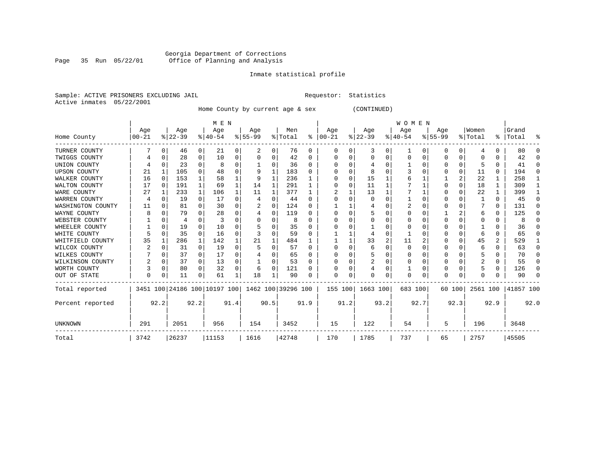# Georgia Department of Corrections<br>Page 35 Run 05/22/01 Office of Planning and Analysis Page 35 Run 05/22/01 Office of Planning and Analysis

#### Inmate statistical profile

Sample: ACTIVE PRISONERS EXCLUDING JAIL **Requestor:** Statistics Active inmates 05/22/2001

Home County by current age & sex (CONTINUED)

|                     |           |              |          |          | M E N                        |      |                    |              |         |              |               |          |           |      | <b>WOMEN</b> |          |             |                |          |          |           |          |
|---------------------|-----------|--------------|----------|----------|------------------------------|------|--------------------|--------------|---------|--------------|---------------|----------|-----------|------|--------------|----------|-------------|----------------|----------|----------|-----------|----------|
|                     | Age       |              | Age      |          | Age                          |      | Age                |              | Men     |              | Age           |          | Age       |      | Age          |          | Age         |                | Women    |          | Grand     |          |
| Home County         | $00 - 21$ |              | $ 22-39$ |          | $8 40-54$                    |      | $8 55-99$          |              | % Total |              | $8   00 - 21$ |          | $ 22-39 $ |      | $ 40-54 $    |          | $8155 - 99$ |                | % Total  |          | %   Total | း        |
| TURNER COUNTY       |           | O            | 46       | 0        | 21                           | 0    |                    | 0            | 76      | 0            | $\Omega$      | 0        | 3         | 0    |              | 0        | O           | 0              |          |          | 80        | $\Omega$ |
| TWIGGS COUNTY       |           | O            | 28       | 0        | 10                           | 0    |                    | 0            | 42      | 0            | O             | 0        | $\Omega$  | 0    | 0            | $\Omega$ |             | 0              |          |          | 42        | $\Omega$ |
| UNION COUNTY        |           |              | 23       |          | 8                            | 0    |                    | 0            | 36      | 0            |               | 0        |           |      |              | ∩        |             | 0              |          |          | 41        | $\Omega$ |
| <b>UPSON COUNTY</b> | 21        |              | 105      |          | 48                           | 0    |                    |              | 183     | U            |               | $\Omega$ |           |      |              |          |             | 0              | 11       | $\Omega$ | 194       | $\Omega$ |
| WALKER COUNTY       | 16        | $\Omega$     | 153      |          | 58                           |      |                    |              | 236     |              |               | $\Omega$ | 15        |      |              |          |             | $\overline{a}$ | 22       |          | 258       | 1        |
| WALTON COUNTY       | 17        | $\Omega$     | 191      |          | 69                           |      | 14                 |              | 291     |              |               | 0        | 11        |      |              |          |             | $\Omega$       | 18       |          | 309       |          |
| WARE COUNTY         | 27        |              | 233      |          | 106                          |      | 11                 |              | 377     |              |               |          | 13        |      |              |          |             | 0              | 22       |          | 399       |          |
| WARREN COUNTY       | 4         |              | 19       | $\Omega$ | 17                           | 0    |                    | 0            | 44      | 0            |               |          |           | U    |              |          |             |                |          | 0        | 45        | ∩        |
| WASHINGTON COUNTY   | 11        |              | 81       | $\Omega$ | 30                           | U    | 2                  | <sup>0</sup> | 124     | <sup>0</sup> |               |          |           |      | 2            |          |             |                |          | $\Omega$ | 131       | $\Omega$ |
| WAYNE COUNTY        |           |              | 79       |          | 28                           | 0    |                    | 0            | 119     | U            |               | U        |           | U    |              |          |             |                | 6        | 0        | 125       | $\Omega$ |
| WEBSTER COUNTY      |           |              |          |          | 3                            | 0    |                    | 0            | 8       | U            |               | 0        |           | 0    |              |          |             | 0              |          | 0        | 8         | $\Omega$ |
| WHEELER COUNTY      |           | $\Omega$     | 19       |          | 10                           | U    |                    | O            | 35      | 0            |               |          |           |      |              |          |             |                |          |          | 36        | ∩        |
| WHITE COUNTY        |           | <sup>0</sup> | 35       | 0        | 16                           | 0    |                    | O            | 59      | U            |               |          |           | O    |              |          |             | 0              |          | U        | 65        | O        |
| WHITFIELD COUNTY    | 35        |              | 286      |          | 142                          |      | 21                 |              | 484     |              |               |          | 33        | 2    | 11           |          |             | 0              | 45       | 2        | 529       | 1        |
| WILCOX COUNTY       |           | n            | 31       | $\Omega$ | 19                           | 0    |                    | O            | 57      | U            |               | 0        | 6         | O    | $\Omega$     |          | U           | 0              | 6        | 0        | 63        | $\Omega$ |
| WILKES COUNTY       |           |              | 37       | $\Omega$ | 17                           | 0    |                    | O            | 65      | U            |               |          |           |      |              |          |             | 0              |          |          | 70        | $\Omega$ |
| WILKINSON COUNTY    |           | 0            | 37       | $\Omega$ | 13                           | 0    |                    | 0            | 53      | 0            |               | $\Omega$ | 2         | 0    |              | $\Omega$ |             | 0              | 2        | 0        | 55        | $\Omega$ |
| WORTH COUNTY        |           | $\Omega$     | 80       | $\Omega$ | 32                           | 0    | b                  | $\Omega$     | 121     | U            |               | 0        |           | O    |              | $\Omega$ | U           | 0              |          | 0        | 126       | $\Omega$ |
| OUT OF STATE        | 0         | 0            | 11       | 0        | 61                           |      | 18                 |              | 90      | U            | $\Omega$      | 0        |           | 0    | $\Omega$     | 0        | U           | 0              |          |          | 90        | $\Omega$ |
| Total reported      |           |              |          |          | 3451 100 24186 100 10197 100 |      | 1462 100 39296 100 |              |         |              | 155 100       |          | 1663 100  |      | 683 100      |          |             | 60 100         | 2561 100 |          | 41857 100 |          |
| Percent reported    |           | 92.2         |          | 92.2     |                              | 91.4 |                    | 90.5         |         | 91.9         |               | 91.2     |           | 93.2 |              | 92.7     |             | 92.3           |          | 92.9     |           | 92.0     |
| UNKNOWN             | 291       |              | 2051     |          | 956                          |      | 154                |              | 3452    |              | 15            |          | 122       |      | 54           |          | 5           |                | 196      |          | 3648      |          |
| Total               | 3742      |              | 26237    |          | 11153                        |      | 1616               |              | 42748   |              | 170           |          | 1785      |      | 737          |          | 65          |                | 2757     |          | 45505     |          |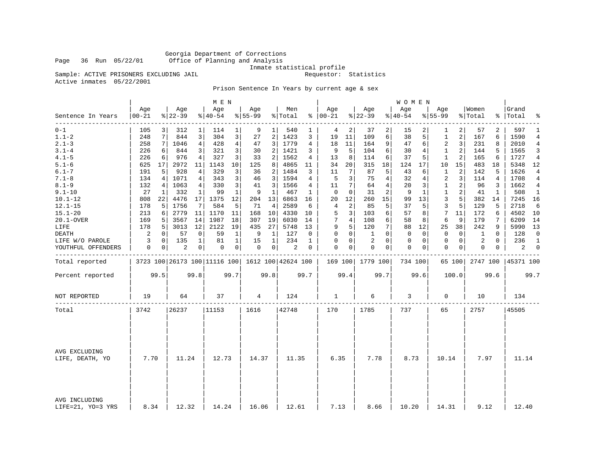Georgia Department of Corrections Page 36 Run 05/22/01 Office of Planning and Analysis

Inmate statistical profile<br>Requestor: Statistics

Sample: ACTIVE PRISONERS EXCLUDING JAIL Active inmates 05/22/2001

Prison Sentence In Years by current age & sex

|                                    |                   |      |                  |                | M E N            |                |                  |              |                                                 |             |                      |      |                  |              | W O M E N          |      |                    |             |                  |          |                |                |
|------------------------------------|-------------------|------|------------------|----------------|------------------|----------------|------------------|--------------|-------------------------------------------------|-------------|----------------------|------|------------------|--------------|--------------------|------|--------------------|-------------|------------------|----------|----------------|----------------|
| Sentence In Years                  | Age<br>$ 00 - 21$ |      | Age<br>$8 22-39$ |                | Age<br>$8 40-54$ |                | Age<br>$8 55-99$ |              | Men<br>% Total                                  |             | Age<br>$8   00 - 21$ |      | Age<br>$8 22-39$ |              | Age<br>$8140 - 54$ |      | Age<br>$8155 - 99$ |             | Women<br>% Total | ွေ       | Grand<br>Total | ٩,             |
| $- - - - - - - -$<br>$0 - 1$       | 105               |      | 312              | 1              | 114              | 1              | 9                |              | 540                                             |             | 4                    | 2    | 37               | 2            | 15                 |      | 1                  | 2           | 57               | 2        | 597            | 1              |
| $1.1 - 2$                          | 248               | 7    | 844              | 3              | 304              | 3              | 27               | 2            | 1423                                            | 3           | 19                   | 11   | 109              | 6            | 38                 | 5    | 1                  | 2           | 167              | 6        | 1590           | 4              |
| $2.1 - 3$                          | 258               | 7    | 1046             | $\overline{4}$ | 428              | $\overline{4}$ | 47               | 3            | 1779                                            | 4           | 18                   | 11   | 164              | 9            | 47                 | 6    | $\overline{a}$     | 3           | 231              | 8        | 2010           | $\overline{4}$ |
| $3.1 - 4$                          | 226               | 6    | 844              | 3              | 321              | 3              | 30               | 2            | 1421                                            | 3           | 9                    | 5    | 104              | 6            | 30                 | 4    | $\mathbf{1}$       | 2           | 144              | 5        | 1565           | 3              |
| $4.1 - 5$                          | 226               | 6    | 976              | 4              | 327              | 3 <sup>1</sup> | 33               | 2            | 1562                                            | 4           | 13                   | 8    | 114              | 6            | 37                 | 5    | 1                  | 2           | 165              | 6        | 1727           | 4              |
| $5.1 - 6$                          | 625               | 17   | 2972             | 11             | 1143             | 10             | 125              | 8            | 4865                                            | 11          | 34                   | 20   | 315              | 18           | 124                | 17   | 10                 | 15          | 483              | 18       | 5348           | 12             |
| $6.1 - 7$                          | 191               | 5    | 928              | 4              | 329              | 3              | 36               | 2            | 1484                                            | 3           | 11                   | 7    | 87               | 5            | 43                 | 6    | $\mathbf 1$        | 2           | 142              | 5        | 1626           | $\overline{4}$ |
| $7.1 - 8$                          | 134               | 4    | 1071             | 4              | 343              | 3              | 46               | 3            | 1594                                            | 4           | 5                    | 3    | 75               | 4            | 32                 | 4    | 2                  | 3           | 114              | 4        | 1708           | 4              |
| $8.1 - 9$                          | 132               | 4    | 1063             | $\overline{4}$ | 330              | 3              | 41               | 3            | 1566                                            | 4           | 11                   | 7    | 64               | 4            | 20                 | 3    | $\mathbf 1$        | 2           | 96               | 3        | 1662           | $\overline{4}$ |
| $9.1 - 10$                         | 27                | 1    | 332              | 1              | 99               | $\mathbf{1}$   | 9                | 1            | 467                                             | 1           | $\mathbf 0$          | 0    | 31               | 2            | 9                  | 1    | $\mathbf{1}$       | 2           | 41               | 1        | 508            | 1              |
| $10.1 - 12$                        | 808               | 22   | 4476             | 17             | 1375             | 12             | 204              | 13           | 6863                                            | 16          | 20                   | 12   | 260              | 15           | 99                 | 13   | 3                  | 5           | 382              | 14       | 7245           | 16             |
| $12.1 - 15$                        | 178               | 5    | 1756             | 7              | 584              | 5              | 71               | 4            | 2589                                            | 6           | 4                    | 2    | 85               | 5            | 37                 | 5    | 3                  | 5           | 129              | 5        | 2718           | 6              |
| $15.1 - 20$                        | 213               | 6    | 2779             | 11             | 1170             | 11             | 168              | 10           | 4330                                            | 10          | 5                    | 3    | 103              | 6            | 57                 | 8    | 7                  | 11          | 172              | 6        | 4502           | - 10           |
| 20.1-OVER                          | 169               | 5    | 3567             | 14             | 1987             | 18             | 307              | 19           | 6030                                            | 14          | 7                    | 4    | 108              | 6            | 58                 | 8    | 6                  | 9           | 179              | 7        | 6209           | 14             |
| LIFE                               | 178               | 5    | 3013             | 12             | 2122             | 19             | 435              | 27           | 5748                                            | 13          | 9                    | 5    | 120              | 7            | 88                 | 12   | 25                 | 38          | 242              | 9        | 5990           | 13             |
| <b>DEATH</b>                       | $\overline{c}$    | 0    | 57               | 0              | 59               | $\mathbf{1}$   | 9                | $\mathbf{1}$ | 127                                             | 0           | $\Omega$             | 0    | 1                | $\Omega$     | $\mathbf 0$        | 0    | $\mathbf{0}$       | $\mathbf 0$ | 1                | $\Omega$ | 128            | $\mathbf 0$    |
| LIFE W/O PAROLE                    | 3                 | 0    | 135              | 1              | 81               | 1              | 15               | 1            | 234                                             | 1           | $\Omega$             | 0    | 2                | $\Omega$     | 0                  | 0    | $\mathbf 0$        | $\mathbf 0$ | 2                | $\Omega$ | 236            | $\mathbf{1}$   |
| YOUTHFUL OFFENDERS                 | $\mathbf 0$       | 0    | 2                | $\overline{0}$ | 0                | $\overline{0}$ | $\mathbf 0$      | 0            | $\overline{c}$                                  | $\mathbf 0$ | $\Omega$             | 0    | $\mathbf 0$      | $\mathbf{0}$ | $\mathbf 0$        | 0    | $\mathbf 0$        | 0           | 0                | 0        | 2              | $\mathbf 0$    |
| Total reported                     |                   |      |                  |                |                  |                |                  |              | 3723 100 26173 100 11116 100 1612 100 42624 100 |             |                      |      | 169 100 1779 100 |              | 734 100            |      |                    | 65 100      | 2747 100         |          | 45371 100      |                |
| Percent reported                   |                   | 99.5 |                  | 99.8           |                  | 99.7           |                  | 99.8         |                                                 | 99.7        |                      | 99.4 |                  | 99.7         |                    | 99.6 |                    | 100.0       |                  | 99.6     |                | 99.7           |
| NOT REPORTED                       | 19                |      | 64               |                | 37               |                | 4                |              | 124                                             |             | $\mathbf{1}$         |      | 6                |              | 3                  |      | 0                  |             | 10               |          | 134            |                |
| Total                              | 3742              |      | 26237            |                | 11153            |                | 1616             |              | 42748                                           |             | 170                  |      | 1785             |              | 737                |      | 65                 |             | 2757             |          | 45505          |                |
|                                    |                   |      |                  |                |                  |                |                  |              |                                                 |             |                      |      |                  |              |                    |      |                    |             |                  |          |                |                |
| AVG EXCLUDING<br>LIFE, DEATH, YO   | 7.70              |      | 11.24            |                | 12.73            |                | 14.37            |              | 11.35                                           |             | 6.35                 |      | 7.78             |              | 8.73               |      | 10.14              |             | 7.97             |          | 11.14          |                |
|                                    |                   |      |                  |                |                  |                |                  |              |                                                 |             |                      |      |                  |              |                    |      |                    |             |                  |          |                |                |
| AVG INCLUDING<br>LIFE=21, YO=3 YRS | 8.34              |      | 12.32            |                | 14.24            |                | 16.06            |              | 12.61                                           |             | 7.13                 |      | 8.66             |              | 10.20              |      | 14.31              |             | 9.12             |          | 12.40          |                |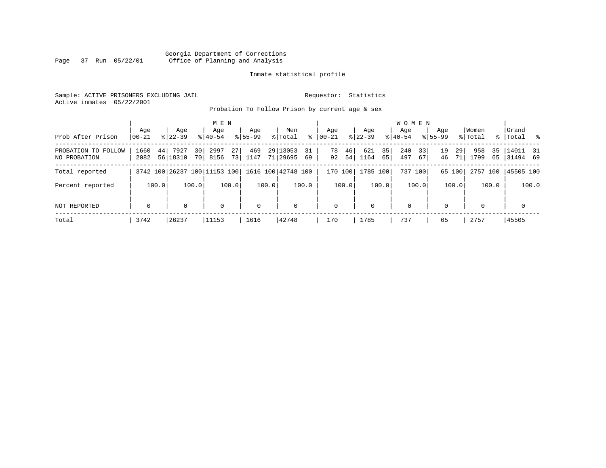### Georgia Department of Corrections Page 37 Run 05/22/01 Office of Planning and Analysis

#### Inmate statistical profile

Sample: ACTIVE PRISONERS EXCLUDING JAIL **Requestor:** Statistics Active inmates 05/22/2001

Probation To Follow Prison by current age & sex

| Prob After Prison                   | Age<br>$00 - 21$ | Age<br>$8122 - 39$     | M E N<br>Age<br>$8140 - 54$  | Aqe<br>$8155 - 99$      | Men<br>% Total                | Aqe<br>ွေ<br>$ 00-21 $ | Aqe<br>$8122 - 39$      | $8140 - 54$ | <b>WOMEN</b><br>Aqe    | Aqe<br>$8155 - 99$   | Women<br>% Total        | Grand<br>% Total %      |
|-------------------------------------|------------------|------------------------|------------------------------|-------------------------|-------------------------------|------------------------|-------------------------|-------------|------------------------|----------------------|-------------------------|-------------------------|
| PROBATION TO FOLLOW<br>NO PROBATION | 1660<br>2082     | 7927<br>44<br>56 18310 | 2997<br>30 l<br>70 8156      | 27<br>469<br>73<br>1147 | 29 13053<br>31<br>71 29695 69 | 78<br>92               | 46<br>621<br>54<br>1164 | 35<br>65    | 240<br>33<br>497<br>67 | 19<br>29<br>46<br>71 | 958<br>35<br>1799<br>65 | $14011$ 31<br> 31494 69 |
| Total reported                      |                  |                        | 3742 100 26237 100 11153 100 |                         | 1616 100 42748 100            | 170 100                | 1785 100                |             | 737 100                | 65 100               | 2757 100                | 45505 100               |
| Percent reported                    | 100.0            |                        | 100.0                        | 100.0                   | 100.0<br>100.0                | 100.0                  |                         | 100.0       | 100.0                  | 100.0                | 100.0                   | 100.0                   |
| NOT REPORTED                        | $\mathbf 0$      | 0                      | $\mathbf 0$                  | $\mathbf 0$             | $\mathbf 0$                   | $\mathbf 0$            | $\mathbf{0}$            |             | $\mathbf 0$            | $\Omega$             | $\Omega$                | $\mathbf 0$             |
| Total                               | 3742             | 26237                  | 11153                        | 1616                    | 42748                         | 170                    | 1785                    |             | 737                    | 65                   | 2757                    | 45505                   |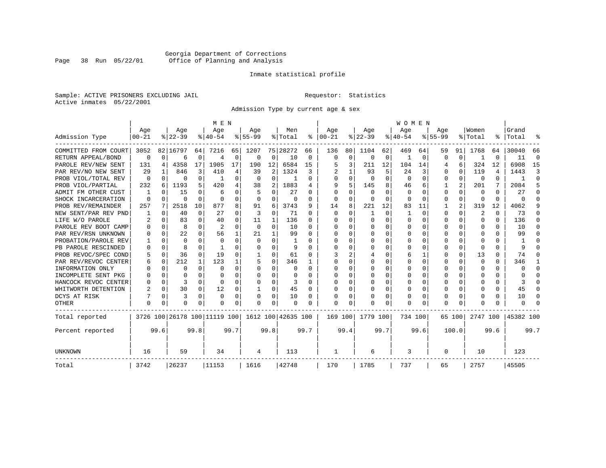# Georgia Department of Corrections<br>Page 38 Run 05/22/01 Office of Planning and Analysis Page 38 Run 05/22/01 Office of Planning and Analysis

#### Inmate statistical profile

Sample: ACTIVE PRISONERS EXCLUDING JAIL **Requestor:** Statistics Active inmates 05/22/2001

Admission Type by current age & sex

|                      |                  |          |                              |          | M E N            |          |                  |              |                    |          |                      |             |                  |          | <b>WOMEN</b>     |          |                    |          |                  |      |                    |          |
|----------------------|------------------|----------|------------------------------|----------|------------------|----------|------------------|--------------|--------------------|----------|----------------------|-------------|------------------|----------|------------------|----------|--------------------|----------|------------------|------|--------------------|----------|
| Admission Type       | Age<br>$00 - 21$ |          | Age<br>$8 22-39$             |          | Age<br>$8 40-54$ |          | Age<br>$8 55-99$ |              | Men<br>% Total     |          | Age<br>$8   00 - 21$ |             | Age<br>$ 22-39 $ |          | Age<br>$8 40-54$ |          | Age<br>$8155 - 99$ |          | Women<br>% Total |      | Grand<br>%   Total |          |
|                      |                  |          |                              |          |                  |          |                  |              |                    |          |                      |             |                  |          |                  |          |                    |          |                  |      |                    |          |
| COMMITTED FROM COURT | 3052             |          | 82 16797                     | 64       | 7216             | 65       | 1207             |              | 75 28272           | 66       | 136                  | 80          | 1104             | 62       | 469              | 64       | 59                 | 91       | 1768             | 64   | 30040              | 66       |
| RETURN APPEAL/BOND   | $\mathbf 0$      | $\Omega$ | 6                            | 0        | $\overline{4}$   | 0        | 0                | 0            | 10                 | 0        | $\mathbf 0$          | $\mathbf 0$ | $\mathbf 0$      | 0        |                  | 0        | $\Omega$           | 0        |                  | O    | 11                 | $\Omega$ |
| PAROLE REV/NEW SENT  | 131              | 4        | 4358                         | 17       | 1905             | 17       | 190              | 12           | 6584               | 15       |                      | 3           | 211              | 12       | 104              | 14       |                    | 6        | 324              | 12   | 6908               | 15       |
| PAR REV/NO NEW SENT  | 29               |          | 846                          | 3        | 410              | 4        | 39               | 2            | 1324               | 3        |                      |             | 93               | 5        | 24               | 3        | $\Omega$           | $\Omega$ | 119              | 4    | 1443               | 3        |
| PROB VIOL/TOTAL REV  | 0                | $\Omega$ | 0                            | 0        |                  | $\Omega$ | $\Omega$         | $\Omega$     |                    | 0        | $\Omega$             | 0           | $\Omega$         | $\Omega$ | $\Omega$         | $\Omega$ | $\Omega$           | $\Omega$ | $\Omega$         | 0    |                    | $\Omega$ |
| PROB VIOL/PARTIAL    | 232              | 6        | 1193                         | 5.       | 420              | 4        | 38               | 2            | 1883               | 4        | q                    | 5           | 145              | 8        | 46               | 6        |                    | 2        | 201              | 7    | 2084               | 5        |
| ADMIT FM OTHER CUST  |                  | $\Omega$ | 15                           | 0        | 6                | 0        |                  | $\Omega$     | 27                 | 0        | $\Omega$             | $\Omega$    | $\Omega$         | O        | $\Omega$         | $\Omega$ | $\Omega$           | $\Omega$ | 0                | 0    | 27                 | ∩        |
| SHOCK INCARCERATION  | $\Omega$         | $\Omega$ | O                            | $\Omega$ | $\Omega$         | 0        | $\Omega$         | 0            | 0                  | 0        | $\Omega$             | 0           | 0                | O        | 0                | $\Omega$ | $\Omega$           | $\Omega$ | <sup>0</sup>     | 0    | U                  | ſ        |
| PROB REV/REMAINDER   | 257              | 7        | 2518                         | 10       | 877              | 8        | 91               | 6            | 3743               | 9        | 14                   | 8           | 221              | 12       | 83               | 11       |                    | 2        | 319              | 12   | 4062               |          |
| NEW SENT/PAR REV PND |                  | $\Omega$ | 40                           | 0        | 27               | 0        | 3                | 0            | 71                 | 0        | $\Omega$             | $\Omega$    | -1               | $\Omega$ | 1                | $\Omega$ | $\Omega$           | $\Omega$ | 2                | 0    | 73                 | n        |
| LIFE W/O PAROLE      | 2                | $\Omega$ | 83                           | 0        | 40               | 0        | 11               | 1            | 136                | 0        | n                    | 0           | $\Omega$         | $\Omega$ | U                | O        | $\Omega$           | $\Omega$ | O                | 0    | 136                | n        |
| PAROLE REV BOOT CAMP |                  | $\Omega$ | 8                            | $\cap$   | $\overline{c}$   | $\Omega$ | $\Omega$         | 0            | 10                 | U        | n                    | 0           | $\Omega$         | $\cap$   | Ω                | n        | ∩                  | $\Omega$ | U                | U    | 10                 | n        |
| PAR REV/RSN UNKNOWN  |                  | $\Omega$ | 22                           | $\cap$   | 56               | 1        | 21               | $\mathbf{1}$ | 99                 | U        | ∩                    | 0           | $\Omega$         | $\Omega$ | U                | O        | ∩                  | $\Omega$ | n                | U    | 99                 |          |
| PROBATION/PAROLE REV |                  | $\Omega$ | U                            | C.       | $\Omega$         | $\Omega$ | $\Omega$         | $\Omega$     |                    | U        | ∩                    | 0           | U                | $\Omega$ | U                | O        | ∩                  | U        | U                | U    |                    |          |
| PB PAROLE RESCINDED  |                  | $\Omega$ | 8                            | U        |                  | U        | U                | $\Omega$     | 9                  | n        | <sup>0</sup>         | O           | U                | $\Omega$ | U                | O        | ∩                  | $\Omega$ | n                | U    | 9                  |          |
| PROB REVOC/SPEC COND |                  | $\Omega$ | 36                           | 0        | 19               | U        |                  | 0            | 61                 | U        |                      | 2           |                  | O        | 6                |          | $\Omega$           | $\Omega$ | 13               | U    | 74                 | n        |
| PAR REV/REVOC CENTER | h                | 0        | 212                          | 1        | 123              |          |                  | 0            | 346                |          | <sup>0</sup>         | U           |                  | O        | Ω                | O        | $\Omega$           | U        | <sup>0</sup>     | 0    | 346                |          |
| INFORMATION ONLY     |                  | $\Omega$ | O                            | 0        | $\Omega$         | 0        | O                | 0            | O                  | 0        | $\Omega$             | 0           | 0                | O        | U                | $\Omega$ | $\Omega$           | $\Omega$ | O                | 0    | U                  | ∩        |
| INCOMPLETE SENT PKG  |                  | $\Omega$ | O                            | 0        | $\Omega$         | 0        | O                | $\Omega$     | O                  | O        | <sup>0</sup>         | $\Omega$    | <sup>0</sup>     | O        | O                | O        | O                  | $\Omega$ | O                | 0    |                    | n        |
| HANCOCK REVOC CENTER |                  | $\Omega$ | 3                            | 0        | $\Omega$         | 0        | U                | $\Omega$     | 3                  | U        | ∩                    | $\Omega$    | O                | O        | U                | $\Omega$ | $\Omega$           | $\Omega$ |                  | 0    | 3                  | ∩        |
| WHITWORTH DETENTION  |                  | $\Omega$ | 30                           | 0        | 12               | 0        | -1               | 0            | 45                 | $\Omega$ | <sup>0</sup>         | 0           | $\Omega$         | O        | 0                | $\Omega$ | $\Omega$           | $\Omega$ |                  | 0    | 45                 | ∩        |
| DCYS AT RISK         |                  | $\Omega$ | 3                            | $\Omega$ | $\Omega$         | 0        |                  | $\Omega$     | 10                 | 0        |                      | 0           | 0                | $\Omega$ | 0                | 0        | $\Omega$           | $\Omega$ |                  | 0    | 10                 | C        |
| <b>OTHER</b>         | $\Omega$         | 0        | O                            | U        | O                | 0        | O                | $\Omega$     | O                  | O        | $\Omega$             | O           | O                | $\Omega$ | Ω                | O        | $\Omega$           | $\Omega$ |                  | U    | U                  |          |
| Total reported       |                  |          | 3726 100 26178 100 11119 100 |          |                  |          |                  |              | 1612 100 42635 100 |          | 169 100              |             | 1779 100         |          | 734 100          |          |                    | 65 100   | 2747 100         |      | 45382 100          |          |
| Percent reported     |                  | 99.6     |                              | 99.8     |                  | 99.7     |                  | 99.8         |                    | 99.7     |                      | 99.4        |                  | 99.7     |                  | 99.6     |                    | 100.0    |                  | 99.6 |                    | 99.7     |
| UNKNOWN              | 16               |          | 59                           |          | 34               |          | 4                |              | 113                |          | 1                    |             | 6                |          | 3                |          | 0                  |          | 10               |      | 123                |          |
| Total                | 3742             |          | 26237                        |          | 11153            |          | 1616             |              | 42748              |          | 170                  |             | 1785             |          | 737              |          | 65                 |          | 2757             |      | 45505              |          |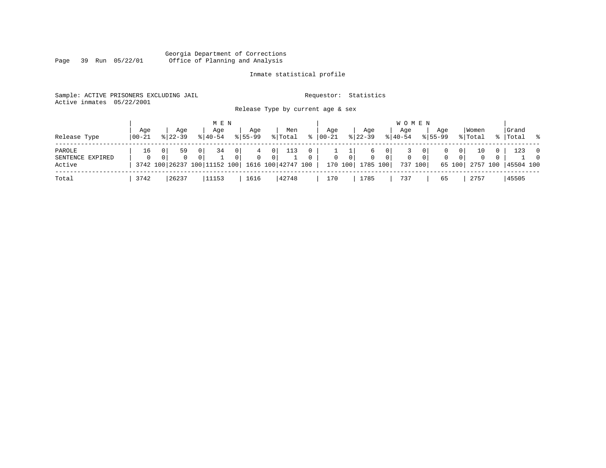#### Georgia Department of Corrections Page 39 Run 05/22/01 Office of Planning and Analysis

# Inmate statistical profile

| Sample: ACTIVE PRISONERS EXCLUDING JAIL |  |  |  |                                   |  | Requestor: Statistics |  |
|-----------------------------------------|--|--|--|-----------------------------------|--|-----------------------|--|
| Active inmates 05/22/2001               |  |  |  |                                   |  |                       |  |
|                                         |  |  |  | Release Type by current age & sex |  |                       |  |

| Release Type                         | Aqe<br>  00-21 | Age<br>$8122 - 39$ | M E N<br>Aqe<br>$8140 - 54$                                                         | Age<br>$8155 - 99$      | Men<br>% Total      | °≈            | Aqe<br>$00 - 21$ |                | Aqe<br>$ 22-39 $                  | <b>WOMEN</b><br>Age<br>$8140 - 54$         |          | Aqe<br>$8155 - 99$                | Women<br>% Total                                               | Grand<br>%   Total | .  응                       |
|--------------------------------------|----------------|--------------------|-------------------------------------------------------------------------------------|-------------------------|---------------------|---------------|------------------|----------------|-----------------------------------|--------------------------------------------|----------|-----------------------------------|----------------------------------------------------------------|--------------------|----------------------------|
| PAROLE<br>SENTENCE EXPIRED<br>Active | 16<br>$\Omega$ | 59<br>$\Omega$     | 0 <sup>1</sup><br>34<br>$\Omega$<br>3742 100 26237 100 11152 100 1616 100 42747 100 | - 0 I<br>$\Omega$<br>01 | 0<br>$\overline{0}$ | 0<br>$\Omega$ | $\mathbf{0}$     | 0 <sup>1</sup> | b<br>$\Omega$<br>170 100 1785 100 | 0<br>$\overline{0}$<br>$\Omega$<br>737 100 | $\Omega$ | $\mathbf{0}$<br>$\circ$<br>65 100 | 10<br>0 <sup>1</sup><br>0 <sup>1</sup><br>$\Omega$<br>2757 100 | 123<br>45504 100   | $\overline{0}$<br>$\Omega$ |
| Total                                | 3742           | 26237              | 11153                                                                               | 1616                    | 42748               |               | 170              |                | 1785                              | 737                                        |          | 65                                | 2757                                                           | 45505              |                            |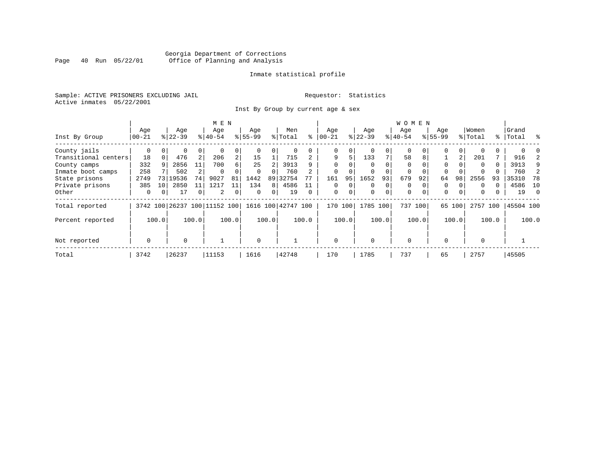# Georgia Department of Corrections<br>Page 40 Run 05/22/01 Office of Planning and Analysis Page 40 Run 05/22/01 Office of Planning and Analysis

#### Inmate statistical profile

Sample: ACTIVE PRISONERS EXCLUDING JAIL **Requestor:** Statistics Active inmates 05/22/2001

Inst By Group by current age & sex

|                      |           |          |           |                | M E N                        |                |             |       |                    |          |             |          |             |             | WOMEN       |          |             |       |          |       |           |       |
|----------------------|-----------|----------|-----------|----------------|------------------------------|----------------|-------------|-------|--------------------|----------|-------------|----------|-------------|-------------|-------------|----------|-------------|-------|----------|-------|-----------|-------|
|                      | Age       |          | Age       |                | Age                          |                | Age         |       | Men                |          | Aqe         |          | Age         |             | Age         |          | Age         |       | Women    |       | Grand     |       |
| Inst By Group        | $00 - 21$ |          | $8 22-39$ |                | $ 40-54 $                    |                | $8155 - 99$ |       | % Total            | ႜ        | $ 00 - 21 $ |          | $ 22-39$    |             | $ 40-54$    |          | $8155 - 99$ |       | % Total  |       | %   Total | ွေ    |
| County jails         | 0         |          | 0         | 0              |                              | 0              |             |       | 0                  |          | 0           | 0        |             |             | 0           |          | 0           | 0     |          |       |           |       |
| Transitional centers | 18        | $\Omega$ | 476       | 2              | 206                          | $\overline{a}$ | 15          |       | 715                |          | 9           | 5.       | 133         | 7           | 58          | 8        |             | 2     | 201      |       | 916       |       |
| County camps         | 332       | 9        | 2856      | 11             | 700                          | б.             | 25          |       | 3913               | q        | $\Omega$    |          |             |             | $\Omega$    |          | $\Omega$    |       | $\Omega$ | 0     | 3913      | 9     |
| Inmate boot camps    | 258       |          | 502       |                | 0                            |                | $\Omega$    |       | 760                |          | $\Omega$    |          |             |             | 0           |          |             |       |          |       | 760       |       |
| State prisons        | 2749      | 73       | 19536     | 74             | 9027                         | 81             | 1442        | 89    | 32754              |          | 161         | 95       | 1652        | 93          | 679         | 92       | 64          | 98    | 2556     | 93    | 35310     | 78    |
| Private prisons      | 385       | 10       | 2850      | 11             | 1217                         | 11             | 134         | 8     | 4586               |          | $\Omega$    | $\Omega$ | $\Omega$    | $\Omega$    | $\Omega$    |          | $\Omega$    |       | $\Omega$ |       | 4586      | 10    |
| Other                | 0         | 0        | 17        | 0 <sup>1</sup> | 2                            | 0              | $\Omega$    | 0     | 19                 | $\Omega$ | $\mathbf 0$ | 0        | $\mathbf 0$ | $\mathbf 0$ | $\mathbf 0$ | $\Omega$ | $\mathbf 0$ | 0     | 0        |       | 19        | - 0   |
| Total reported       |           |          |           |                | 3742 100 26237 100 11152 100 |                |             |       | 1616 100 42747 100 |          | 170         | 100      | 1785        | 100         | 737 100     |          | 65          | 100   | 2757 100 |       | 45504 100 |       |
| Percent reported     |           | 100.0    |           | 100.0          |                              | 100.0          |             | 100.0 |                    | 100.0    |             | 100.0    |             | 100.0       |             | 100.0    |             | 100.0 |          | 100.0 |           | 100.0 |
| Not reported         | 0         |          | $\Omega$  |                |                              |                | $\Omega$    |       |                    |          | $\Omega$    |          | $\Omega$    |             | $\mathbf 0$ |          | $\Omega$    |       | $\Omega$ |       |           |       |
|                      |           |          |           |                |                              |                |             |       |                    |          |             |          |             |             |             |          |             |       |          |       |           |       |
| Total                | 3742      |          | 26237     |                | 11153                        |                | 1616        |       | 42748              |          | 170         |          | 1785        |             | 737         |          | 65          |       | 2757     |       | 45505     |       |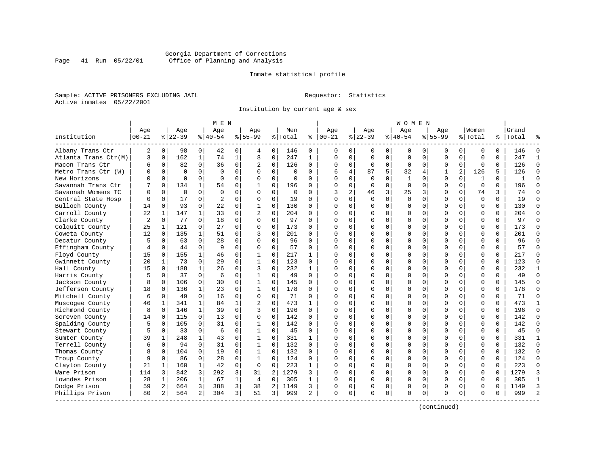### Georgia Department of Corrections Page 41 Run 05/22/01 Office of Planning and Analysis

#### Inmate statistical profile

Sample: ACTIVE PRISONERS EXCLUDING JAIL **Requestor:** Statistics Active inmates 05/22/2001

Institution by current age & sex

|                      |                |              |             |              | M E N          |              |                |                |          |              |              |                |             |             | W O M E N    |             |             |                |              |          |              |               |
|----------------------|----------------|--------------|-------------|--------------|----------------|--------------|----------------|----------------|----------|--------------|--------------|----------------|-------------|-------------|--------------|-------------|-------------|----------------|--------------|----------|--------------|---------------|
|                      | Age            |              | Age         |              | Age            |              | Age            |                | Men      |              | Age          |                | Aqe         |             | Aqe          |             | Aqe         |                | Women        |          | Grand        |               |
| Institution          | $00 - 21$      |              | $8 22-39$   |              | $8 40-54$      |              | $8155 - 99$    |                | % Total  | ႜ            | $ 00-21$     |                | $ 22-39$    |             | $ 40-54$     |             | $8155 - 99$ |                | % Total      |          | %   Total    |               |
| Albany Trans Ctr     | 2              | 0            | 98          | 0            | 42             | 0            | 4              | 0              | 146      | 0            | 0            | $\mathbf{0}$   | 0           | 0           | 0            | 0           | 0           | 0              | 0            | $\Omega$ | 146          | $\Omega$      |
| Atlanta Trans Ctr(M) | 3              | $\mathbf 0$  | 162         | $\mathbf{1}$ | 74             | $\mathbf{1}$ | 8              | $\mathsf 0$    | 247      | $\mathbf{1}$ | $\Omega$     | $\Omega$       | $\mathbf 0$ | $\mathbf 0$ | $\Omega$     | $\mathbf 0$ | $\Omega$    | $\Omega$       | $\mathbf 0$  | $\Omega$ | 247          | $\mathbf{1}$  |
| Macon Trans Ctr      | б              | 0            | 82          | 0            | 36             | 0            | 2              | 0              | 126      | 0            | $\Omega$     | $\mathbf{0}$   | 0           | 0           | 0            | 0           | 0           | $\mathbf 0$    | 0            | 0        | 126          | $\Omega$      |
| Metro Trans Ctr (W)  | O              | 0            | $\Omega$    | 0            | $\Omega$       | 0            | $\Omega$       | $\mathbf 0$    | $\Omega$ | $\Omega$     | 6            | 4              | 87          | 5           | 32           | 4           | 1           | $\overline{a}$ | 126          | 5        | 126          | $\Omega$      |
| New Horizons         | U              | $\Omega$     | $\Omega$    | 0            | $\Omega$       | $\Omega$     | $\Omega$       | $\Omega$       | $\cap$   | $\cap$       | $\cap$       | $\Omega$       | $\Omega$    | $\Omega$    | $\mathbf{1}$ | $\Omega$    | $\Omega$    | $\Omega$       | $\mathbf{1}$ | $\Omega$ | $\mathbf{1}$ | $\cap$        |
| Savannah Trans Ctr   |                | $\Omega$     | 134         | $\mathbf{1}$ | 54             | $\Omega$     | $\mathbf{1}$   | $\Omega$       | 196      | 0            | $\Omega$     | $\Omega$       | $\Omega$    | $\Omega$    | $\Omega$     | $\Omega$    | $\Omega$    | $\Omega$       | $\Omega$     | $\Omega$ | 196          | $\Omega$      |
| Savannah Womens TC   | $\Omega$       | $\mathbf 0$  | $\mathbf 0$ | $\Omega$     | $\Omega$       | $\Omega$     | $\Omega$       | $\mathbf 0$    | $\Omega$ | $\Omega$     | 3            | $\overline{a}$ | 46          | 3           | 25           | 3           | $\Omega$    | $\mathbf 0$    | 74           | 3        | 74           | $\Omega$      |
| Central State Hosp   |                | 0            | 17          | 0            | $\overline{c}$ | 0            | $\Omega$       | $\mathbf 0$    | 19       | $\Omega$     | $\cap$       | 0              | $\Omega$    | $\mathbf 0$ | $\Omega$     | 0           | $\Omega$    | 0              | $\mathbf 0$  | $\Omega$ | 19           | $\cap$        |
| Bulloch County       | 14             | $\mathbf 0$  | 93          | $\Omega$     | 22             | 0            | $\mathbf{1}$   | 0              | 130      | $\Omega$     | $\cap$       | 0              | $\Omega$    | 0           | $\Omega$     | 0           | $\Omega$    | $\Omega$       | $\mathbf 0$  | $\Omega$ | 130          | $\Omega$      |
| Carroll County       | 22             | 1            | 147         | $\mathbf{1}$ | 33             | $\Omega$     | $\overline{c}$ | $\Omega$       | 204      | 0            | $\cap$       | $\Omega$       | $\Omega$    | 0           | $\Omega$     | 0           | $\Omega$    | $\Omega$       | $\Omega$     | $\Omega$ | 204          | $\Omega$      |
| Clarke County        | $\overline{c}$ | $\Omega$     | 77          | 0            | 18             | $\Omega$     | $\Omega$       | $\Omega$       | 97       | $\Omega$     | $\cap$       | $\Omega$       | $\Omega$    | 0           | $\Omega$     | $\Omega$    | $\Omega$    | $\Omega$       | $\Omega$     | $\Omega$ | 97           | $\Omega$      |
| Colquitt County      | 25             | 1            | 121         | $\Omega$     | 27             | $\Omega$     | $\Omega$       | $\mathbf 0$    | 173      | $\Omega$     | <sup>0</sup> | $\Omega$       | $\Omega$    | $\Omega$    | $\Omega$     | $\Omega$    | $\Omega$    | $\Omega$       | $\Omega$     | $\Omega$ | 173          | $\Omega$      |
| Coweta County        | 12             | $\mathbf 0$  | 135         | $\mathbf{1}$ | 51             | $\Omega$     | 3              | $\mathbf 0$    | 201      | $\Omega$     | ∩            | $\Omega$       | O           | $\mathbf 0$ | C            | $\mathbf 0$ | $\Omega$    | $\Omega$       | $\mathbf 0$  | $\Omega$ | 201          | $\Omega$      |
| Decatur County       | 5              | 0            | 63          | $\Omega$     | 28             | $\Omega$     | $\Omega$       | $\mathbf 0$    | 96       | $\Omega$     | $\cap$       | $\Omega$       | 0           | 0           | U            | 0           | $\Omega$    | $\Omega$       | $\Omega$     | $\Omega$ | 96           | $\Omega$      |
| Effingham County     | 4              | 0            | 44          | 0            | 9              | 0            | $\Omega$       | 0              | 57       | 0            | $\cap$       | $\Omega$       | $\Omega$    | 0           | $\Omega$     | 0           | $\Omega$    | $\Omega$       | $\mathbf 0$  | 0        | 57           | $\Omega$      |
| Floyd County         | 15             | 0            | 155         | 1            | 46             | 0            | 1              | $\mathbf 0$    | 217      | 1            |              | 0              | $\Omega$    | 0           | $\Omega$     | 0           | $\Omega$    | $\Omega$       | $\Omega$     | $\Omega$ | 217          | $\Omega$      |
| Gwinnett County      | 20             | $\mathbf{1}$ | 73          | 0            | 29             | $\Omega$     | 1              | $\Omega$       | 123      | $\Omega$     | ∩            | 0              | $\Omega$    | $\Omega$    | $\Omega$     | $\Omega$    | $\Omega$    | $\Omega$       | $\Omega$     | $\Omega$ | 123          | $\Omega$      |
| Hall County          | 15             | $\Omega$     | 188         | $\mathbf{1}$ | 26             | 0            | 3              | $\Omega$       | 232      | 1            |              | $\cap$         | $\Omega$    | $\Omega$    | $\Omega$     | $\Omega$    | $\Omega$    | $\Omega$       | $\Omega$     | $\Omega$ | 232          | -1            |
| Harris County        | 5              | $\mathbf 0$  | 37          | $\Omega$     | 6              | $\mathbf 0$  | $\mathbf 1$    | $\mathbf 0$    | 49       | $\Omega$     |              | $\Omega$       | O           | $\mathbf 0$ | C            | $\mathbf 0$ | $\Omega$    | $\Omega$       | $\mathbf 0$  | $\Omega$ | 49           | $\Omega$      |
| Jackson County       | 8              | 0            | 106         | $\Omega$     | 30             | $\Omega$     | $\mathbf{1}$   | $\mathbf 0$    | 145      | $\Omega$     | $\cap$       | $\Omega$       | 0           | 0           | U            | 0           | $\Omega$    | $\Omega$       | $\Omega$     | $\Omega$ | 145          | $\Omega$      |
| Jefferson County     | 18             | 0            | 136         | $\mathbf{1}$ | 23             | 0            | $\mathbf{1}$   | 0              | 178      | $\Omega$     | $\cap$       | $\Omega$       | $\Omega$    | 0           | $\Omega$     | 0           | $\Omega$    | $\Omega$       | $\mathbf 0$  | $\Omega$ | 178          | $\Omega$      |
| Mitchell County      | 6              | 0            | 49          | $\Omega$     | 16             | $\mathbf 0$  | $\Omega$       | $\mathbf 0$    | 71       | 0            | ∩            | 0              | $\Omega$    | 0           | $\Omega$     | 0           | $\Omega$    | $\Omega$       | $\Omega$     | $\Omega$ | 71           | $\Omega$      |
| Muscogee County      | 46             | 1            | 341         | $\mathbf{1}$ | 84             | 1            | $\overline{2}$ | $\Omega$       | 473      | 1            | ∩            | $\Omega$       | $\Omega$    | 0           | $\Omega$     | $\Omega$    | $\Omega$    | $\Omega$       | $\Omega$     | $\Omega$ | 473          | $\mathbf{1}$  |
| Richmond County      | 8              | 0            | 146         | $\mathbf{1}$ | 39             | 0            | 3              | $\mathbf 0$    | 196      | $\Omega$     | ∩            | 0              | $\Omega$    | $\Omega$    | $\Omega$     | 0           | $\Omega$    | $\Omega$       | $\mathbf 0$  | $\Omega$ | 196          | $\Omega$      |
| Screven County       | 14             | 0            | 115         | $\mathbf 0$  | 13             | $\mathbf 0$  | $\Omega$       | $\mathbf 0$    | 142      | $\Omega$     | <sup>0</sup> | $\Omega$       | 0           | $\mathbf 0$ | C            | $\mathbf 0$ | $\Omega$    | $\Omega$       | $\mathbf 0$  | $\Omega$ | 142          | $\Omega$      |
| Spalding County      | 5              | 0            | 105         | 0            | 31             | 0            | 1              | 0              | 142      | $\Omega$     | $\cap$       | $\Omega$       | 0           | 0           | $\Omega$     | 0           | $\Omega$    | $\Omega$       | $\mathbf 0$  | $\Omega$ | 142          | $\Omega$      |
| Stewart County       | 5              | 0            | 33          | $\Omega$     | 6              | 0            | 1              | 0              | 45       | 0            | $\cap$       | $\Omega$       | $\Omega$    | 0           | $\Omega$     | 0           | $\Omega$    | $\Omega$       | $\mathbf 0$  | 0        | 45           | $\Omega$      |
| Sumter County        | 39             | 1            | 248         | $\mathbf{1}$ | 43             | 0            | 1              | $\Omega$       | 331      | 1            |              | 0              | $\Omega$    | 0           | $\Omega$     | 0           | $\Omega$    | $\Omega$       | $\mathbf 0$  | $\Omega$ | 331          | $\mathbf{1}$  |
| Terrell County       | 6              | $\Omega$     | 94          | $\Omega$     | 31             | $\Omega$     | 1              | $\Omega$       | 132      | $\Omega$     | ∩            | $\cap$         | $\Omega$    | 0           | $\Omega$     | $\Omega$    | $\Omega$    | $\Omega$       | $\Omega$     | $\Omega$ | 132          | $\Omega$      |
| Thomas County        | 8              | 0            | 104         | $\Omega$     | 19             | 0            | 1              | 0              | 132      | $\Omega$     | ∩            | 0              | $\Omega$    | $\Omega$    | $\Omega$     | 0           | $\Omega$    | $\Omega$       | $\mathbf 0$  | $\Omega$ | 132          | $\Omega$      |
| Troup County         | 9              | $\mathbf 0$  | 86          | $\mathbf 0$  | 28             | 0            | 1              | $\mathbf 0$    | 124      | 0            |              | $\Omega$       | $\Omega$    | $\mathbf 0$ | $\Omega$     | $\mathbf 0$ | $\Omega$    | 0              | $\mathbf 0$  | $\Omega$ | 124          | $\Omega$      |
| Clayton County       | 21             | 1            | 160         | $\mathbf{1}$ | 42             | 0            | 0              | 0              | 223      | 1            | $\cap$       | $\Omega$       | 0           | 0           | $\Omega$     | 0           | $\Omega$    | $\Omega$       | $\mathbf 0$  | $\Omega$ | 223          | $\Omega$      |
| Ware Prison          | 114            | 3            | 842         | 3            | 292            | 3            | 31             | $\overline{a}$ | 1279     | ς            | $\cap$       | $\Omega$       | $\Omega$    | $\Omega$    | $\Omega$     | $\mathbf 0$ | $\Omega$    | $\Omega$       | $\Omega$     | $\Omega$ | 1279         | 3             |
| Lowndes Prison       | 28             | 1            | 206         | $\mathbf{1}$ | 67             | 1            | $\overline{4}$ | $\mathbf 0$    | 305      | 1            | ∩            | 0              | $\Omega$    | 0           | $\Omega$     | $\mathbf 0$ | $\Omega$    | $\Omega$       | $\mathbf 0$  | $\Omega$ | 305          | $\mathbf{1}$  |
| Dodge Prison         | 59             | 2            | 664         | 3            | 388            | 3            | 38             | $\overline{a}$ | 1149     | 3            | <sup>0</sup> | 0              | $\Omega$    | 0           | $\Omega$     | 0           | $\Omega$    | $\Omega$       | $\Omega$     | $\Omega$ | 1149         | 3             |
| Phillips Prison      | 80             | 2            | 564         | 2            | 304            | 3            | 51             | 3              | 999      | 2            | $\Omega$     | 0              | $\Omega$    | 0           | $\Omega$     | 0           | O           | 0              | $\Omega$     | 0        | 999          | $\mathcal{D}$ |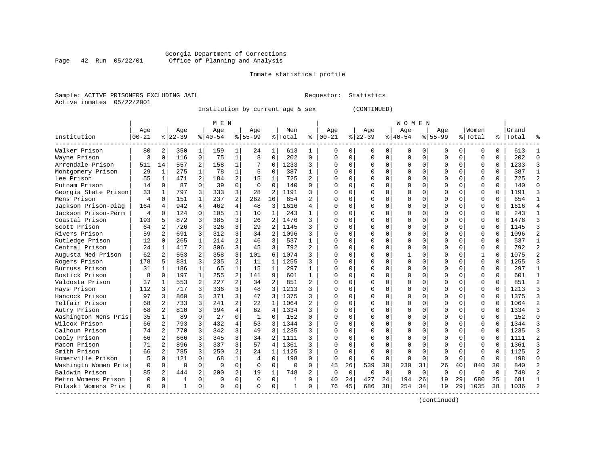#### Georgia Department of Corrections Page 42 Run 05/22/01 Office of Planning and Analysis

# Inmate statistical profile

|  | Sample: ACTIVE PRISONERS EXCLUDING JAII |  |
|--|-----------------------------------------|--|
|  | Active inmates 05/22/2001               |  |

L Bample: Active Prequestor: Statistics

Institution by current age & sex (CONTINUED)

|                      |                |                |           |                | M E N       |                |              |                |              |              |             |             |             |             | W O M E N |             |              |             |              |              |           |            |
|----------------------|----------------|----------------|-----------|----------------|-------------|----------------|--------------|----------------|--------------|--------------|-------------|-------------|-------------|-------------|-----------|-------------|--------------|-------------|--------------|--------------|-----------|------------|
|                      | Age            |                | Age       |                | Age         |                | Aqe          |                | Men          |              | Age         |             | Age         |             | Age       |             | Aqe          |             | Women        |              | Grand     |            |
| Institution          | $00 - 21$      |                | $8 22-39$ |                | $8 40-54$   |                | $8155 - 99$  |                | % Total      | ႜ            | $ 00 - 21$  |             | $ 22-39$    |             | $8 40-54$ |             | $8155 - 99$  |             | % Total      |              | %   Total |            |
| Walker Prison        | 80             | 2              | 350       | 1              | 159         | 1              | 24           | 1              | 613          | 1            | $\Omega$    | 0           | $\Omega$    | $\Omega$    | 0         | U           | <sup>0</sup> | $\Omega$    | O            | 0            | 613       |            |
| Wayne Prison         | 3              | $\Omega$       | 116       | $\Omega$       | 75          | $\mathbf 1$    | 8            | $\Omega$       | 202          | $\Omega$     | $\Omega$    | 0           | $\Omega$    | $\Omega$    | 0         | $\Omega$    | <sup>0</sup> | $\Omega$    | O            | $\Omega$     | 202       | $\sqrt{ }$ |
| Arrendale Prison     | 511            | 14             | 557       | 2              | 158         | 1              |              | $\Omega$       | 1233         | 3            | $\Omega$    | 0           | $\Omega$    | $\Omega$    | $\Omega$  | $\Omega$    | $\Omega$     | $\Omega$    | $\Omega$     | $\Omega$     | 1233      |            |
| Montgomery Prison    | 29             | 1              | 275       | 1              | 78          | 1              | 5            | $\Omega$       | 387          | 1            | O           | 0           | $\Omega$    | $\Omega$    | O         | $\Omega$    | <sup>0</sup> | $\Omega$    | $\Omega$     | $\Omega$     | 387       |            |
| Lee Prison           | 55             | 1              | 471       | 2              | 184         | 2              | 15           | 1              | 725          | 2            | O           | 0           |             | $\mathbf 0$ | U         | $\Omega$    |              | $\Omega$    | $\Omega$     | $\Omega$     | 725       |            |
| Putnam Prison        | 14             | $\Omega$       | 87        | $\Omega$       | 39          | $\Omega$       | $\Omega$     | $\Omega$       | 140          | $\Omega$     | $\cap$      | 0           |             | $\Omega$    | ი         | $\Omega$    | <sup>0</sup> | $\Omega$    | $\Omega$     | $\Omega$     | 140       | $\sqrt{ }$ |
| Georgia State Prison | 33             | 1              | 797       | 3              | 333         | 3              | 28           | 2              | 1191         | 3            | $\cap$      | 0           | ∩           | $\Omega$    | U         | $\Omega$    | $\cap$       | 0           | O            | 0            | 1191      |            |
| Mens Prison          | $\overline{4}$ | $\Omega$       | 151       | $\mathbf{1}$   | 237         | $\overline{2}$ | 262          | 16             | 654          | 2            | ∩           | 0           | $\Omega$    | $\Omega$    | U         | O           | <sup>0</sup> | 0           | O            | $\Omega$     | 654       |            |
| Jackson Prison-Diag  | 164            | $\overline{4}$ | 942       | 4              | 462         | 4              | 48           | 3              | 1616         | 4            | U           | 0           | $\Omega$    | $\Omega$    | 0         | $\Omega$    | <sup>0</sup> | 0           | O            | U            | 1616      |            |
| Jackson Prison-Perm  | 4              | $\Omega$       | 124       | $\Omega$       | 105         | 1              | 10           | 1              | 243          | 1            |             | O           | $\Omega$    | $\Omega$    | 0         | C           | <sup>0</sup> | 0           | 0            | $\Omega$     | 243       |            |
| Coastal Prison       | 193            | 5              | 872       | 3              | 385         | 3              | 26           | $\overline{2}$ | 1476         | 3            | U           | U           | $\Omega$    | $\Omega$    | 0         | C           | ∩            | 0           | O            | $\Omega$     | 1476      |            |
| Scott Prison         | 64             | 2              | 726       | 3              | 326         | 3              | 29           | $\mathfrak{D}$ | 1145         | 3            | U           | 0           | $\Omega$    | $\Omega$    | 0         | $\Omega$    | <sup>0</sup> | 0           | O            | <sup>0</sup> | 1145      |            |
| Rivers Prison        | 59             | 2              | 691       | 3              | 312         | 3              | 34           | $\overline{2}$ | 1096         | 3            | O           | 0           | $\Omega$    | $\Omega$    | 0         | $\Omega$    | <sup>0</sup> | $\Omega$    | $\Omega$     | $\Omega$     | 1096      |            |
| Rutledge Prison      | 12             | $\mathbf 0$    | 265       | $\mathbf{1}$   | 214         | 2              | 46           | 3              | 537          | $\mathbf{1}$ | O           | 0           |             | $\Omega$    | U         | $\Omega$    |              | $\Omega$    | $\Omega$     | $\Omega$     | 537       |            |
| Central Prison       | 24             | 1              | 417       | $\overline{a}$ | 306         | 3              | 45           | 3              | 792          | 2            | $\Omega$    | 0           | $\Omega$    | $\Omega$    | U         | $\Omega$    | $\Omega$     | $\Omega$    | $\Omega$     | $\Omega$     | 792       |            |
| Augusta Med Prison   | 62             | 2              | 553       | 2              | 358         | 3              | 101          | 6              | 1074         | 3            | $\cap$      | 0           | $\Omega$    | $\Omega$    |           | $\Omega$    | ∩            | $\Omega$    | $\mathbf{1}$ | $\Omega$     | 1075      |            |
| Rogers Prison        | 178            | 5              | 831       | 3              | 235         | $\overline{2}$ | 11           | 1              | 1255         | ς            | $\cap$      | 0           | $\Omega$    | $\Omega$    | O         | $\Omega$    | $\cap$       | $\Omega$    | $\Omega$     | $\Omega$     | 1255      |            |
| Burruss Prison       | 31             | 1              | 186       | 1              | 65          | 1              | 15           | 1              | 297          |              | O           | 0           | $\Omega$    | $\Omega$    | 0         | $\Omega$    |              | 0           | O            | $\Omega$     | 297       |            |
| Bostick Prison       | 8              | 0              | 197       | $\mathbf{1}$   | 255         | $\overline{a}$ | 141          | 9              | 601          | 1            | ∩           | O           | $\Omega$    | $\Omega$    | U         | C           | ∩            | 0           | $\Omega$     | O            | 601       |            |
| Valdosta Prison      | 37             | 1              | 553       | $\overline{a}$ | 227         | 2              | 34           | 2              | 851          | 2            | ∩           | 0           | ∩           | $\Omega$    | U         | ∩           | ∩            | 0           | $\Omega$     | $\Omega$     | 851       |            |
| Hays Prison          | 112            | 3              | 717       | 3              | 336         | 3              | 48           | 3              | 1213         | 3            | U           | 0           | ∩           | $\Omega$    | 0         | ∩           | <sup>0</sup> | 0           | O            | 0            | 1213      |            |
| Hancock Prison       | 97             | 3              | 860       | 3              | 371         | 3              | 47           | 3              | 1375         | 3            | O           | 0           |             | $\Omega$    | U         | $\Omega$    | <sup>0</sup> | $\Omega$    | $\Omega$     | $\Omega$     | 1375      |            |
| Telfair Prison       | 68             | 2              | 733       | 3              | 241         | $\overline{2}$ | 22           | 1              | 1064         | 2            | O           | $\Omega$    |             | $\Omega$    | U         | $\Omega$    |              | $\Omega$    | $\Omega$     | $\Omega$     | 1064      |            |
| Autry Prison         | 68             | 2              | 810       | 3              | 394         | 4              | 62           | 4              | 1334         | 3            |             | O           |             | $\Omega$    | Ω         | $\Omega$    |              | $\Omega$    | $\Omega$     | $\Omega$     | 1334      |            |
| Washington Mens Pris | 35             | $\mathbf{1}$   | 89        | $\Omega$       | 27          | 0              | $\mathbf{1}$ | $\Omega$       | 152          | $\Omega$     | $\cap$      | 0           |             | $\Omega$    | ი         | C           | $\cap$       | $\Omega$    | $\Omega$     | $\Omega$     | 152       | $\cap$     |
| Wilcox Prison        | 66             | 2              | 793       | 3              | 432         | 4              | 53           | 3              | 1344         | 3            | $\cap$      | 0           | ∩           | $\Omega$    | U         | $\Omega$    | ∩            | $\Omega$    | $\Omega$     | $\Omega$     | 1344      |            |
| Calhoun Prison       | 74             | 2              | 770       |                | 342         | 3              | 49           | 3              | 1235         | 3            | U           | 0           | $\Omega$    | $\Omega$    | 0         | $\Omega$    |              | 0           | O            | $\Omega$     | 1235      |            |
| Dooly Prison         | 66             | $\mathfrak{D}$ | 666       | 3              | 345         | 3              | 34           | $\mathfrak{D}$ | 1111         | 3            | U           | 0           |             | $\Omega$    | 0         | U           |              |             | 0            | U            | 1111      |            |
| Macon Prison         | 71             | $\mathfrak{D}$ | 896       | 3              | 337         | 3              | 57           | $\overline{4}$ | 1361         | ς            |             | U           | ∩           | $\Omega$    | ი         | C           |              | ∩           | $\Omega$     | $\Omega$     | 1361      |            |
| Smith Prison         | 66             | 2              | 785       | 3              | 250         | $\overline{a}$ | 24           | 1              | 1125         | 3            | U           | O           | $\Omega$    | ∩           | U         | C           | ∩            | U           | O            | <sup>0</sup> | 1125      | 2          |
| Homerville Prison    |                | $\Omega$       | 121       | $\Omega$       | 68          | $\mathbf 1$    | 4            | $\Omega$       | 198          | $\Omega$     | $\Omega$    | $\Omega$    | $\Omega$    | $\Omega$    | 0         | $\Omega$    | $\Omega$     | $\Omega$    | O            | $\Omega$     | 198       | ∩          |
| Washingtn Women Pris | 0              | $\mathbf 0$    | $\Omega$  | $\Omega$       | $\Omega$    | $\Omega$       | $\Omega$     | $\Omega$       | $\Omega$     | $\Omega$     | 45          | 26          | 539         | 30          | 230       | 31          | 26           | 40          | 840          | 30           | 840       |            |
| Baldwin Prison       | 85             | 2              | 444       | 2              | 200         | 2              | 19           | 1              | 748          | 2            | $\mathbf 0$ | $\mathbf 0$ | $\mathbf 0$ | 0           | 0         | $\mathbf 0$ | $\Omega$     | $\mathbf 0$ | O            | $\Omega$     | 748       |            |
| Metro Womens Prison  | 0              | 0              | 1         | $\Omega$       | $\mathbf 0$ | 0              | $\Omega$     | $\mathbf 0$    | 1            | $\Omega$     | 40          | 24          | 427         | 24          | 194       | 26          | 19           | 29          | 680          | 25           | 681       |            |
| Pulaski Womens Pris  | $\Omega$       | 0              | 1         | 0              | $\cap$      | 0              | ∩            | 0              | $\mathbf{1}$ | 0            | 76          | 45          | 686         | 38          | 254       | 34          | 19           | 29          | 1035         | 38           | 1036      |            |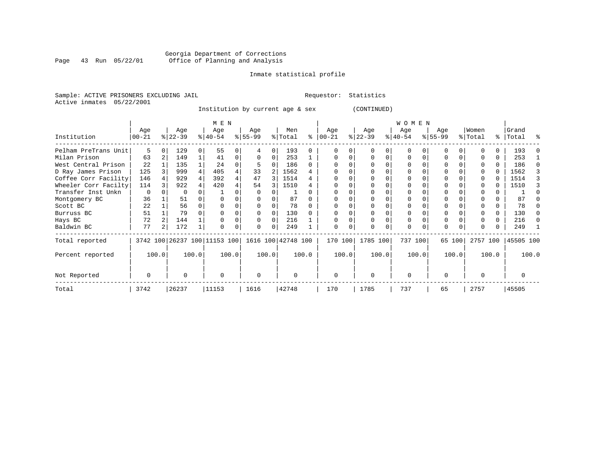# Georgia Department of Corrections<br>Page 43 Run 05/22/01 Office of Planning and Analysis Page 43 Run 05/22/01 Office of Planning and Analysis

#### Inmate statistical profile

Sample: ACTIVE PRISONERS EXCLUDING JAIL **Requestor:** Statistics Active inmates 05/22/2001

Institution by current age & sex (CONTINUED)

|                      |          |   |           |          | M E N                        |          |                    |          |          |              |          |       |           |       | W O M E N   |          |          |        |              |       |           |              |
|----------------------|----------|---|-----------|----------|------------------------------|----------|--------------------|----------|----------|--------------|----------|-------|-----------|-------|-------------|----------|----------|--------|--------------|-------|-----------|--------------|
|                      | Age      |   | Age       |          | Age                          |          | Age                |          | Men      |              | Age      |       | Age       |       | Age         |          | Age      |        | Women        |       | Grand     |              |
| Institution          | $ 00-21$ |   | $ 22-39 $ |          | $8 40-54$                    |          | $8 55-99$          |          | % Total  | ႜ            | $ 00-21$ |       | $ 22-39 $ |       | $ 40-54 $   |          | $ 55-99$ |        | % Total      |       | %   Total | ႜ            |
| Pelham PreTrans Unit | 5        | O | 129       | $\Omega$ | 55                           |          | 4                  | $\Omega$ | 193      |              |          |       |           |       | $\Omega$    |          | $\Omega$ |        |              | 0     | 193       |              |
| Milan Prison         | 63       |   | 149       |          | 41                           | $\Omega$ | $\Omega$           | 0        | 253      |              |          |       | $\Omega$  | 0     | $\Omega$    | $\Omega$ | $\Omega$ |        |              | 0     | 253       |              |
| West Central Prison  | 22       |   | 135       |          | 24                           |          |                    | 0        | 186      | <sup>0</sup> |          |       |           |       | 0           |          | $\Omega$ |        |              | 0     | 186       |              |
| D Ray James Prison   | 125      |   | 999       |          | 405                          |          | 33                 |          | 1562     |              |          |       |           |       | $\Omega$    |          |          |        |              | 0     | 1562      |              |
| Coffee Corr Facility | 146      |   | 929       |          | 392                          |          | 47                 | 3        | 1514     |              |          |       |           |       | 0           |          |          |        |              |       | 1514      |              |
| Wheeler Corr Facilty | 114      |   | 922       |          | 420                          |          | 54                 | 3        | 1510     |              |          |       |           |       |             |          |          |        |              |       | 1510      |              |
| Transfer Inst Unkn   | 0        |   |           |          |                              |          |                    |          |          |              |          |       |           |       |             |          |          |        |              |       |           |              |
| Montgomery BC        | 36       |   | 51        |          |                              |          |                    |          | 87       |              |          |       |           |       |             |          |          |        |              |       | 87        |              |
| Scott BC             | 22       |   | 56        |          |                              |          |                    |          | 78       |              |          |       |           |       | $\Omega$    |          | $\Omega$ |        |              |       | 78        |              |
| Burruss BC           | 51       |   | 79        |          |                              |          | <sup>0</sup>       |          | 130      |              |          |       |           |       | $\Omega$    |          |          |        |              | 0     | 130       |              |
| Hays BC              | 72       |   | 144       |          |                              |          | <sup>0</sup>       | O        | 216      |              |          |       | $\Omega$  |       | 0           |          | $\Omega$ |        |              | 0     | 216       | <sup>0</sup> |
| Baldwin BC           | 77       | 2 | 172       |          |                              |          | 0                  | 0        | 249      |              | U        | 0     | $\Omega$  | 0     | $\Omega$    | $\Omega$ | $\Omega$ |        | <sup>0</sup> | 0     | 249       |              |
| Total reported       |          |   |           |          | 3742 100 26237 100 11153 100 |          | 1616 100 42748 100 |          |          |              | 170 100  |       | 1785 100  |       | 737 100     |          |          | 65 100 | 2757 100     |       | 45505 100 |              |
| Percent reported     | 100.0    |   |           | 100.0    |                              | 100.0    | 100.0              |          |          | 100.0        |          | 100.0 |           | 100.0 |             | 100.0    |          | 100.0  |              | 100.0 |           | 100.0        |
| Not Reported         | 0        |   | U         |          | $\Omega$                     |          | 0                  |          | $\Omega$ |              | $\Omega$ |       | $\Omega$  |       | $\mathbf 0$ |          | $\Omega$ |        | $\Omega$     |       |           |              |
| Total                | 3742     |   | 26237     |          | 11153                        |          | 1616               |          | 42748    |              | 170      |       | 1785      |       | 737         |          | 65       |        | 2757         |       | 45505     |              |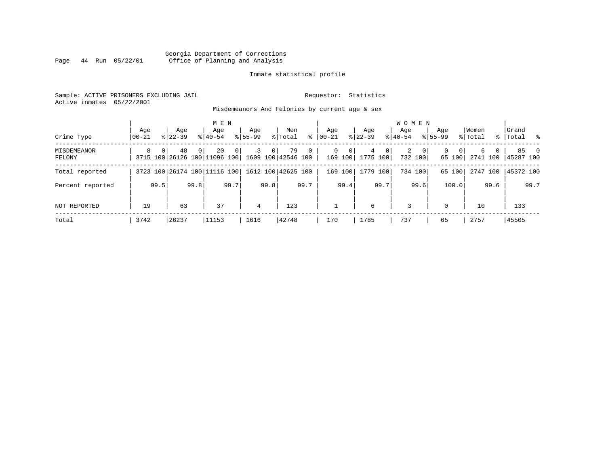### Georgia Department of Corrections Page 44 Run 05/22/01 Office of Planning and Analysis

#### Inmate statistical profile

Sample: ACTIVE PRISONERS EXCLUDING JAIL **Requestor:** Statistics Active inmates 05/22/2001

Misdemeanors And Felonies by current age & sex

| Crime Type            | Aqe<br>  00-21 |                | Age<br>$8122 - 39$                                    |          | M E N<br>Age<br>$8140 - 54$ |                | Age<br>$8155 - 99$ |                | Men<br>% Total | ႜ            | Age<br>$00 - 21$ |                        | Age<br>$8122 - 39$      |                | <b>WOMEN</b><br>Aqe<br>$8140 - 54$ |                         | Age<br>$8155 - 99$ |                    | Women<br>% Total |               | Grand<br>%   Total % |           |
|-----------------------|----------------|----------------|-------------------------------------------------------|----------|-----------------------------|----------------|--------------------|----------------|----------------|--------------|------------------|------------------------|-------------------------|----------------|------------------------------------|-------------------------|--------------------|--------------------|------------------|---------------|----------------------|-----------|
| MISDEMEANOR<br>FELONY | 8              | 0 <sup>1</sup> | 48<br>3715 100 26126 100 11096 100 1609 100 42546 100 | $\Omega$ | 20                          | $\overline{0}$ | 3                  | 0 <sup>1</sup> | 79             | $\mathbf{0}$ | $\Omega$         | $\mathbf 0$<br>169 100 | $4^{\circ}$<br>1775 100 | 0 <sup>1</sup> | 2                                  | $\mathbf{0}$<br>732 100 | $\Omega$           | $\Omega$<br>65 100 | 6                | 0<br>2741 100 | 45287 100            | $85 \t 0$ |
| Total reported        |                |                | 3723 100 26174 100 11116 100 1612 100 42625 100       |          |                             |                |                    |                |                |              | 169              | 100                    | 1779 100                |                |                                    | 734 100                 |                    | 65 100             |                  | 2747 100      | 45372 100            |           |
| Percent reported      |                | 99.5           |                                                       | 99.8     |                             | 99.7           |                    | 99.8           |                | 99.7         |                  | 99.4                   |                         | 99.7           |                                    | 99.6                    |                    | 100.0              |                  | 99.6          |                      | 99.7      |
| NOT REPORTED          | 19             |                | 63                                                    |          | 37                          |                | 4                  |                | 123            |              |                  |                        | 6                       |                | 3                                  |                         | $\Omega$           |                    | 10               |               | 133                  |           |
| Total                 | 3742           |                | 26237                                                 |          | 11153                       |                | 1616               |                | 42748          |              | 170              |                        | 1785                    |                | 737                                |                         | 65                 |                    | 2757             |               | 45505                |           |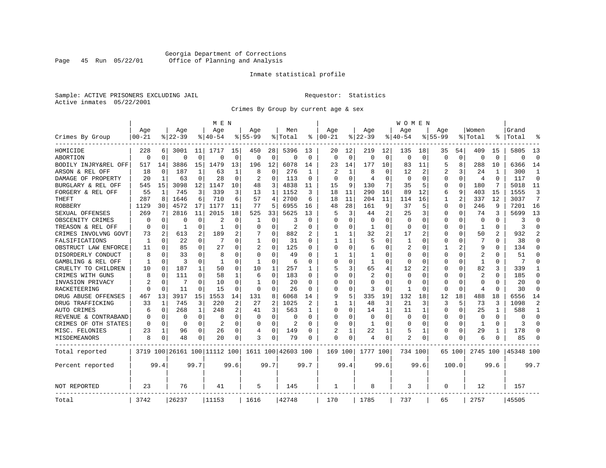# Georgia Department of Corrections<br>Page 45 Run 05/22/01 Office of Planning and Analysis Page 45 Run 05/22/01 Office of Planning and Analysis

#### Inmate statistical profile

Sample: ACTIVE PRISONERS EXCLUDING JAIL **Requestor:** Statistics Active inmates 05/22/2001

Crimes By Group by current age & sex

|                      |           |                |           |          | M E N                        |          |              |          |                    |                |                |          |                |          | W O M E N    |          |              |             |                |              |           |                |
|----------------------|-----------|----------------|-----------|----------|------------------------------|----------|--------------|----------|--------------------|----------------|----------------|----------|----------------|----------|--------------|----------|--------------|-------------|----------------|--------------|-----------|----------------|
|                      | Age       |                | Age       |          | Age                          |          | Aqe          |          | Men                |                | Age            |          | Age            |          | Aqe          |          | Aqe          |             | Women          |              | Grand     |                |
| Crimes By Group      | $00 - 21$ |                | $8 22-39$ |          | % 40-54                      |          | $8155 - 99$  |          | % Total            | နွ             | $ 00-21$       |          | $ 22-39$       |          | $ 40-54$     |          | $8155 - 99$  |             | % Total        | °            | Total     |                |
| HOMICIDE             | 228       | 6              | 3001      | 11       | 1717                         | 15       | 450          | 28       | 5396               | 13             | 20             | 12       | 219            | 12       | 135          | 18       | 35           | 54          | 409            | 15           | 5805      | 13             |
| ABORTION             | $\Omega$  | $\mathbf 0$    | $\Omega$  | 0        | $\Omega$                     | $\Omega$ | 0            | 0        | $\Omega$           | $\Omega$       | $\Omega$       | $\Omega$ | $\Omega$       | 0        | $\Omega$     | $\Omega$ | $\Omega$     | $\mathbf 0$ | $\Omega$       | $\Omega$     | $\Omega$  | $\Omega$       |
| BODILY INJRY&REL OFF | 517       | 14             | 3886      | 15       | 1479                         | 13       | 196          | 12       | 6078               | 14             | 23             | 14       | 177            | 10       | 83           | 11       | 5            | 8           | 288            | 10           | 6366      | 14             |
| ARSON & REL OFF      | 18        | 0              | 187       | 1        | 63                           | 1        | 8            | $\Omega$ | 276                | -1             | $\mathfrak{D}$ |          | 8              | O        | 12           | 2        | 2            | 3           | 24             | 1            | 300       | 1              |
| DAMAGE OF PROPERTY   | 20        | $\mathbf{1}$   | 63        | 0        | 28                           | $\Omega$ | 2            | $\Omega$ | 113                | $\Omega$       | ∩              | ∩        | 4              | 0        | <sup>0</sup> | $\Omega$ | U            | 0           | $\overline{4}$ | <sup>0</sup> | 117       | $\Omega$       |
| BURGLARY & REL OFF   | 545       | 15             | 3098      | 12       | 1147                         | 10       | 48           | 3        | 4838               | 11             | 15             | 9        | 130            | 7        | 35           | 5        | 0            | $\Omega$    | 180            | 7            | 5018      | 11             |
| FORGERY & REL OFF    | 55        | 1              | 745       | 3        | 339                          | 3        | 13           | 1        | 1152               | 3              | 18             | 11       | 290            | 16       | 89           | 12       | 6            | 9           | 403            | 15           | 1555      | 3              |
| THEFT                | 287       | 8              | 1646      | 6        | 710                          | 6        | 57           | 4        | 2700               | 6              | 18             | 11       | 204            | 11       | 114          | 16       | $\mathbf{1}$ | 2           | 337            | 12           | 3037      | 7              |
| <b>ROBBERY</b>       | 1129      | 30             | 4572      | 17       | 1177                         | 11       | 77           | 5.       | 6955               | 16             | 48             | 28       | 161            | 9        | 37           | 5        | 0            | 0           | 246            | 9            | 7201      | 16             |
| SEXUAL OFFENSES      | 269       | 7              | 2816      | 11       | 2015                         | 18       | 525          | 33       | 5625               | 13             | 5              | 3        | 44             | 2        | 25           | 3        | 0            | 0           | 74             | 3            | 5699      | 13             |
| OBSCENITY CRIMES     | O         | $\Omega$       | O         | 0        | 2                            | O        | 1            | $\Omega$ | 3                  | $\Omega$       | $\Omega$       | $\Omega$ | $\Omega$       | $\Omega$ | <sup>0</sup> | $\Omega$ | U            | $\Omega$    | $\Omega$       | <sup>0</sup> | 3         | $\Omega$       |
| TREASON & REL OFF    | O         | 0              | -1        | 0        | -1                           | O        | O            | $\Omega$ | $\overline{2}$     | O              | O              | $\Omega$ | -1             | $\Omega$ | <sup>0</sup> | $\Omega$ | U            | 0           | -1             | 0            | २         | $\Omega$       |
| CRIMES INVOLVNG GOVT | 73        | $\overline{2}$ | 613       | 2        | 189                          | 2        |              | 0        | 882                |                |                |          | 32             | 2        | 17           | 2        | Ω            | O           | 50             |              | 932       | $\overline{2}$ |
| FALSIFICATIONS       | 1         | $\Omega$       | 22        | 0        | 7                            | 0        | $\mathbf{1}$ | 0        | 31                 | $\Omega$       | 1              |          | 5              | O        | 1            | $\Omega$ | U            | 0           | 7              | 0            | 38        | $\Omega$       |
| OBSTRUCT LAW ENFORCE | 11        | 0              | 85        | 0        | 27                           | O        |              | 0        | 125                | U              | $\Omega$       | $\Omega$ | 6              | O        | 2            | $\Omega$ |              | 2           | 9              | U            | 134       | $\Omega$       |
| DISORDERLY CONDUCT   | 8         | $\Omega$       | 33        | 0        | 8                            | O        | U            | 0        | 49                 |                |                |          |                | N        |              | $\Omega$ | Ω            | U           | 2              |              | 51        | $\Omega$       |
| GAMBLING & REL OFF   | 1         | $\Omega$       | ζ         | 0        | -1                           | $\Omega$ | $\mathbf{1}$ | $\Omega$ | 6                  | $\Omega$       | $\Omega$       | $\Omega$ | $\mathbf{1}$   | $\Omega$ | <sup>0</sup> | $\Omega$ | U            | $\Omega$    | $\mathbf{1}$   | $\Omega$     | 7         | $\Omega$       |
| CRUELTY TO CHILDREN  | 10        | $\Omega$       | 187       | 1        | 50                           | $\Omega$ | 10           | 1        | 257                | 1              | 5              | 3        | 65             | 4        | 12           | 2        | U            | $\Omega$    | 82             | 3            | 339       | 1              |
| CRIMES WITH GUNS     |           | $\Omega$       | 111       | $\Omega$ | 58                           | 1        | 6            | $\Omega$ | 183                | $\Omega$       | $\Omega$       | $\Omega$ | $\overline{2}$ | $\Omega$ | $\Omega$     | $\Omega$ | Ω            | $\Omega$    | $\overline{2}$ | $\Omega$     | 185       | $\Omega$       |
| INVASION PRIVACY     |           | 0              | 7         | 0        | 10                           | $\Omega$ | -1           | $\Omega$ | 20                 | $\Omega$       | $\Omega$       | $\Omega$ | $\Omega$       | O        | <sup>0</sup> | $\Omega$ | O            | 0           | $\Omega$       | O            | 20        | $\Omega$       |
| RACKETEERING         |           | $\Omega$       | 11        | 0        | 15                           | O        | 0            | $\Omega$ | 26                 | O              | $\Omega$       | $\Omega$ | 3              | O        |              | $\Omega$ | U            | 0           | $\overline{4}$ | O            | 30        | $\Omega$       |
| DRUG ABUSE OFFENSES  | 467       | 13             | 3917      | 15       | 1553                         | 14       | 131          | 8        | 6068               | 14             | 9              | 5        | 335            | 19       | 132          | 18       | 12           | 18          | 488            | 18           | 6556      | 14             |
| DRUG TRAFFICKING     | 33        | 1              | 745       | 3        | 220                          | 2        | 27           | 2        | 1025               | $\mathfrak{D}$ | 1              |          | 48             | 3        | 21           | 3        | 3            | 5           | 73             | 3            | 1098      | $\overline{2}$ |
| <b>AUTO CRIMES</b>   | 6         | 0              | 268       | 1        | 248                          | 2        | 41           | 3        | 563                | 1              | $\Omega$       | $\Omega$ | 14             | 1        | 11           | 1        | $\Omega$     | $\Omega$    | 25             | -1           | 588       | 1              |
| REVENUE & CONTRABAND |           | 0              | 0         | 0        | $\Omega$                     | $\Omega$ | 0            | 0        | $\Omega$           | $\Omega$       | $\Omega$       | $\Omega$ | $\mathbf 0$    | $\Omega$ | 0            | $\Omega$ | 0            | 0           | $\Omega$       | $\Omega$     | O         | $\Omega$       |
| CRIMES OF OTH STATES | $\Omega$  | $\Omega$       | 0         | 0        | $\overline{a}$               | $\Omega$ | 0            | $\Omega$ | $\overline{2}$     | $\Omega$       | $\Omega$       | $\Omega$ | -1             | 0        | <sup>0</sup> | $\Omega$ | 0            | 0           | -1             | $\Omega$     | 3         | $\Omega$       |
| MISC. FELONIES       | 23        | 1              | 96        | 0        | 26                           | 0        | 4            | $\Omega$ | 149                | O              |                |          | 22             |          | 5            | 1        | 0            | 0           | 29             |              | 178       | $\Omega$       |
| MISDEMEANORS         | 8         | 0              | 48        | 0        | 20                           | 0        | 3            | 0        | 79                 | O              | $\Omega$       | 0        | 4              | 0        | 2            | 0        | 0            | 0           | 6              |              | 85        | ∩              |
| Total reported       |           |                |           |          | 3719 100 26161 100 11112 100 |          |              |          | 1611 100 42603 100 |                | 169 100        |          | 1777 100       |          | 734 100      |          |              | 65 100      | 2745 100       |              | 45348 100 |                |
| Percent reported     |           | 99.4           |           | 99.7     |                              | 99.6     |              | 99.7     |                    | 99.7           |                | 99.4     |                | 99.6     |              | 99.6     |              | 100.0       |                | 99.6         |           | 99.7           |
| NOT REPORTED         | 23        |                | 76        |          | 41                           |          | 5            |          | 145                |                | 1              |          | 8              |          | 3            |          | 0            |             | 12             |              | 157       |                |
| Total                | 3742      |                | 26237     |          | 11153                        |          | 1616         |          | 42748              |                | 170            |          | 1785           |          | 737          |          | 65           |             | 2757           |              | 45505     |                |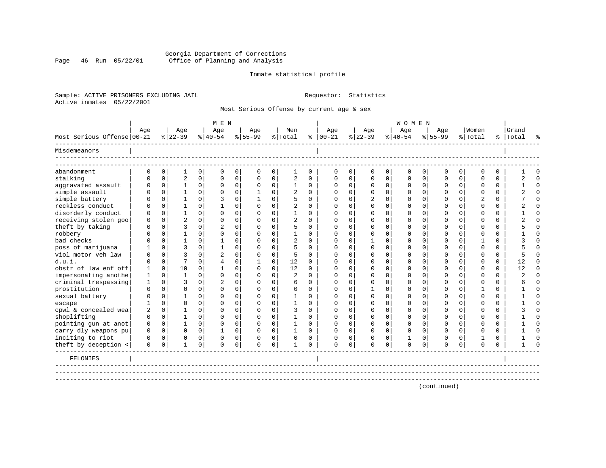### Georgia Department of Corrections Page 46 Run 05/22/01 Office of Planning and Analysis

#### Inmate statistical profile

Sample: ACTIVE PRISONERS EXCLUDING JAIL **Requestor:** Statistics Active inmates 05/22/2001

Most Serious Offense by current age & sex

|                            |              |             |                |             | M E N          |             |              |             |                |             |          |             |             |          | <b>WOMEN</b> |             |             |             |                |          |           |          |
|----------------------------|--------------|-------------|----------------|-------------|----------------|-------------|--------------|-------------|----------------|-------------|----------|-------------|-------------|----------|--------------|-------------|-------------|-------------|----------------|----------|-----------|----------|
|                            | Age          |             | Age            |             | Age            |             | Aqe          |             | Men            |             | Age      |             | Age         |          | Age          |             | Aqe         |             | Women          |          | Grand     |          |
| Most Serious Offense 00-21 |              |             | $8 22-39$      |             | $8 40-54$      |             | $8 55-99$    |             | % Total        | န္          | $ 00-21$ |             | $ 22-39$    |          | $8 40-54$    |             | $8155 - 99$ |             | % Total        |          | %   Total | ু        |
| Misdemeanors               |              |             |                |             |                |             |              |             |                |             |          |             |             |          |              |             |             |             |                |          |           |          |
| abandonment                | 0            | $\mathbf 0$ | $\mathbf{1}$   | $\mathbf 0$ | $\mathbf 0$    | $\mathbf 0$ | $\mathbf 0$  | $\mathbf 0$ | 1              | $\mathbf 0$ | 0        | 0           | $\mathbf 0$ | 0        | $\mathbf 0$  | 0           | 0           | $\mathbf 0$ | $\mathbf 0$    | $\Omega$ |           | $\Omega$ |
| stalking                   | $\cap$       | $\Omega$    | $\overline{2}$ | $\Omega$    | $\Omega$       | $\Omega$    | $\Omega$     | $\mathbf 0$ | 2              | $\Omega$    | $\Omega$ | $\Omega$    | $\Omega$    | $\Omega$ | $\Omega$     | $\Omega$    | $\Omega$    | $\Omega$    | $\Omega$       | $\Omega$ |           | $\Omega$ |
| aggravated assault         | $\Omega$     | $\mathbf 0$ | $\mathbf{1}$   | $\Omega$    | $\Omega$       | 0           | $\Omega$     | $\mathbf 0$ | 1              | $\Omega$    | $\Omega$ | $\Omega$    | $\mathbf 0$ | 0        | $\Omega$     | 0           | $\Omega$    | $\Omega$    | $\Omega$       | $\Omega$ |           | $\Omega$ |
| simple assault             | U            | $\mathbf 0$ | 1              | $\Omega$    | $\Omega$       | 0           | $\mathbf{1}$ | $\mathbf 0$ | $\overline{2}$ | $\Omega$    | $\Omega$ | $\Omega$    | $\Omega$    | $\Omega$ | $\Omega$     | 0           | O           | $\Omega$    | ∩              | 0        |           | $\Omega$ |
| simple battery             |              | $\Omega$    | 1              | $\Omega$    | 3              | $\mathbf 0$ | $\mathbf{1}$ | $\Omega$    | 5              | $\Omega$    | $\Omega$ | $\Omega$    | 2           | $\Omega$ | $\Omega$     | $\Omega$    | O           | $\Omega$    | $\mathfrak{D}$ | $\Omega$ |           | $\Omega$ |
| reckless conduct           |              | $\Omega$    | 1              | $\Omega$    |                | $\mathbf 0$ | $\Omega$     | $\mathbf 0$ | $\overline{c}$ | $\Omega$    | ∩        |             | C           | $\Omega$ | ∩            | $\Omega$    | ∩           | $\Omega$    | ∩              | $\Omega$ |           | $\Omega$ |
| disorderly conduct         | U            | $\Omega$    |                | $\Omega$    | $\Omega$       | $\Omega$    | $\Omega$     | $\Omega$    |                | $\Omega$    | $\Omega$ |             | ∩           | $\Omega$ | ∩            | $\Omega$    | U           | $\Omega$    | $\Omega$       | $\Omega$ |           | $\Omega$ |
| receiving stolen goo       | $\Omega$     | $\Omega$    | $\overline{c}$ | $\Omega$    | $\Omega$       | $\Omega$    | $\Omega$     | $\Omega$    | $\overline{2}$ | $\Omega$    | $\Omega$ |             | O           | $\Omega$ | O            | $\Omega$    | U           | $\Omega$    | $\Omega$       | $\Omega$ |           | $\Omega$ |
| theft by taking            | U            | $\Omega$    | ζ              | $\Omega$    | $\overline{2}$ | $\mathbf 0$ | $\Omega$     | $\Omega$    |                | $\Omega$    | $\Omega$ |             | n           | 0        |              | $\Omega$    |             | $\Omega$    | ∩              | $\Omega$ |           | $\Omega$ |
| robbery                    |              | $\Omega$    |                | $\Omega$    | $\Omega$       | $\Omega$    | $\Omega$     | $\Omega$    |                | $\Omega$    |          |             | C           | $\Omega$ |              | $\Omega$    |             | $\Omega$    | $\Omega$       | $\Omega$ |           | $\Omega$ |
| bad checks                 |              | $\Omega$    | 1              | $\Omega$    |                | 0           | O            | $\Omega$    | $\overline{c}$ | $\Omega$    | $\Omega$ |             |             | O        |              | $\Omega$    |             | $\Omega$    |                | $\Omega$ |           | $\Omega$ |
| poss of marijuana          |              | $\mathbf 0$ | 3              | $\Omega$    | 1              | 0           | $\Omega$     | $\Omega$    |                | $\Omega$    | ∩        |             | n           | 0        |              | $\Omega$    |             | $\Omega$    | $\Omega$       | $\Omega$ |           | $\Omega$ |
| viol motor yeh law         | O            | $\mathbf 0$ | ζ              | $\Omega$    | $\mathcal{D}$  | $\Omega$    | $\Omega$     | $\Omega$    |                | $\Omega$    | $\Omega$ |             | C           | $\Omega$ |              | $\Omega$    |             | $\Omega$    | $\Omega$       | $\Omega$ |           | $\Omega$ |
| d.u.i.                     | ∩            | $\mathbf 0$ | 7              | $\Omega$    | $\overline{4}$ | $\mathbf 0$ | 1            | $\Omega$    | 12             | $\Omega$    |          |             | n           | U        |              | $\Omega$    |             | $\Omega$    | ∩              | $\Omega$ | 12        | $\Omega$ |
| obstr of law enf off       | $\mathbf{1}$ | $\mathbf 0$ | 10             | $\Omega$    |                | $\Omega$    | $\Omega$     | $\Omega$    | 12             | $\Omega$    |          |             | n           | $\Omega$ |              | $\Omega$    |             | $\Omega$    | $\cap$         | $\Omega$ | 12        | $\Omega$ |
| impersonating anothe       | 1            | $\Omega$    | 1              | $\Omega$    | $\Omega$       | $\Omega$    | $\Omega$     | $\Omega$    | $\overline{2}$ | $\Omega$    | ∩        |             | n           | 0        |              | $\Omega$    | U           | $\Omega$    | ∩              | $\Omega$ |           | $\Omega$ |
| criminal trespassing       | 1            | $\Omega$    | ζ              | 0           | $\overline{2}$ | $\Omega$    | U            | $\Omega$    | 6              | $\Omega$    | ∩        |             | n           | 0        |              | $\Omega$    | ∩           | $\cap$      | ∩              | $\Omega$ |           | $\cap$   |
| prostitution               | $\Omega$     | $\Omega$    | $\Omega$       | $\Omega$    | $\Omega$       | $\Omega$    | $\Omega$     | $\Omega$    | $\Omega$       | $\Omega$    | ∩        |             |             | $\Omega$ |              | $\Omega$    | ∩           | $\Omega$    |                | $\Omega$ |           | $\Omega$ |
| sexual battery             | $\Omega$     | $\Omega$    |                | $\Omega$    | $\Omega$       | $\Omega$    | $\Omega$     | 0           |                | $\Omega$    | ∩        |             | ∩           | 0        |              | ∩           | በ           | $\cap$      | ∩              | $\Omega$ |           | $\cap$   |
| escape                     |              | $\Omega$    | $\Omega$       | $\Omega$    | $\Omega$       | $\Omega$    | U            | $\Omega$    | $\mathbf{1}$   | $\Omega$    | ∩        |             | ∩           | $\Omega$ |              | $\Omega$    | ∩           | $\Omega$    | $\Omega$       | $\Omega$ |           | $\cap$   |
| cpwl & concealed wea       | 2            | $\Omega$    | 1              | $\Omega$    | $\Omega$       | $\Omega$    | $\Omega$     | $\Omega$    | 3              | $\Omega$    | O        |             | $\Omega$    | $\Omega$ |              | $\Omega$    | O           | $\Omega$    | ∩              | $\Omega$ |           | $\Omega$ |
| shoplifting                | $\Omega$     | 0           | 1              | $\Omega$    | $\Omega$       | 0           | $\Omega$     | $\Omega$    | 1              | $\Omega$    | $\Omega$ | 0           | $\Omega$    | $\Omega$ |              | $\Omega$    | O           | $\Omega$    | ∩              | $\Omega$ |           | $\cap$   |
| pointing gun at anot       | $\Omega$     | $\mathbf 0$ | 1              | $\Omega$    | $\Omega$       | $\Omega$    | $\Omega$     | $\Omega$    | 1              | $\Omega$    | $\Omega$ | $\Omega$    | $\Omega$    | $\Omega$ |              | $\Omega$    | O           | $\Omega$    | $\Omega$       | $\Omega$ |           | $\Omega$ |
| carry dly weapons pu       | $\Omega$     | $\mathbf 0$ | $\Omega$       | $\Omega$    | $\mathbf{1}$   | $\mathbf 0$ | $\Omega$     | $\Omega$    | 1              | $\Omega$    | $\Omega$ | $\Omega$    | $\Omega$    | $\Omega$ | $\Omega$     | $\Omega$    | O           | $\Omega$    | $\Omega$       | $\Omega$ |           | $\Omega$ |
| inciting to riot           | O            | $\Omega$    | $\Omega$       | $\Omega$    | $\Omega$       | 0           | 0            | $\Omega$    | $\Omega$       | $\Omega$    |          | $\Omega$    | $\Omega$    | $\Omega$ |              | $\Omega$    | 0           | $\Omega$    |                | $\Omega$ |           |          |
| theft by deception <       | 0            | 0           | 1              | $\mathbf 0$ | $\Omega$       | $\mathbf 0$ | $\Omega$     | $\mathbf 0$ |                | $\Omega$    | $\Omega$ | $\mathbf 0$ | $\Omega$    | 0        | $\mathbf 0$  | $\mathbf 0$ | $\Omega$    | $\mathbf 0$ | $\Omega$       | $\Omega$ |           | ∩        |
| FELONIES                   |              |             |                |             |                |             |              |             |                |             |          |             |             |          |              |             |             |             |                |          |           |          |
|                            |              |             |                |             |                |             |              |             |                |             |          |             |             |          |              |             |             |             |                |          |           |          |
|                            |              |             |                |             |                |             |              |             |                |             |          |             |             |          |              |             |             |             |                |          |           |          |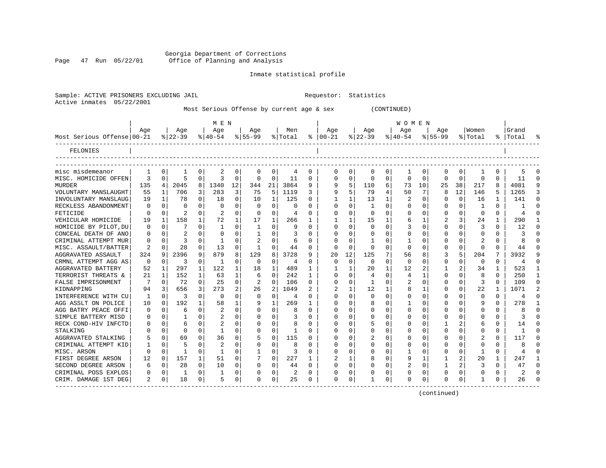Georgia Department of Corrections Page 47 Run 05/22/01 Office of Planning and Analysis

# Inmate statistical profile

|  |                | SAMPIC. ACIIVE PRISONERS EACHODIP |  |
|--|----------------|-----------------------------------|--|
|  | Active inmates | 05/22/2001                        |  |

Sample: ACTIVE PRISONERS EXCLUDING JAIL **Requestor:** Statistics

| Most Serious Offense by current age & sex | CONTINUED) |
|-------------------------------------------|------------|
|-------------------------------------------|------------|

|                            |          |          |           |              | M E N        |          |              |              |                |              |               |          |           |   | W O M E N      |          |           |                |             |              |       |                |
|----------------------------|----------|----------|-----------|--------------|--------------|----------|--------------|--------------|----------------|--------------|---------------|----------|-----------|---|----------------|----------|-----------|----------------|-------------|--------------|-------|----------------|
|                            | Age      |          | Age       |              | Age          |          | Age          |              | Men            |              | Age           |          | Age       |   | Age            |          | Age       |                | Women       |              | Grand |                |
| Most Serious Offense 00-21 |          |          | $8 22-39$ |              | $8 40-54$    |          | $ 55-99$     |              | % Total        |              | $8   00 - 21$ |          | $ 22-39 $ |   | $ 40-54$       |          | $8 55-99$ |                | % Total     | °≈           | Total |                |
| FELONIES                   |          |          |           |              |              |          |              |              |                |              |               |          |           |   |                |          |           |                |             |              |       |                |
|                            |          |          |           |              |              |          |              |              |                |              |               |          |           |   |                |          |           |                |             |              |       |                |
| misc misdemeanor           |          | $\Omega$ |           | 0            | 2            | 0        | 0            | 0            | 4              | 0            | $\Omega$      | 0        | 0         | 0 |                | 0        | 0         | 0              | 1           | 0            | 5     | O              |
| MISC. HOMICIDE OFFEN       | ζ        | $\Omega$ | 5         | $\Omega$     | 3            | $\Omega$ | $\Omega$     | $\mathbf 0$  | 11             | $\Omega$     | $\cap$        | $\Omega$ | $\cap$    | O | $\Omega$       | $\Omega$ | O         | $\Omega$       | $\Omega$    | $\Omega$     | 11    | $\Omega$       |
| <b>MURDER</b>              | 135      | 4        | 2045      | 8            | 1340         | 12       | 344          | 21           | 3864           | 9            |               | 5        | 110       | 6 | 73             | 10       | 25        | 38             | 217         | 8            | 4081  | 9              |
| VOLUNTARY MANSLAUGHT       | 55       | 1        | 706       | 3            | 283          | 3        | 75           | 5            | 1119           | 3            | 9             |          | 79        | 4 | 50             | 7        | 8         | 12             | 146         |              | 1265  | 3              |
| INVOLUNTARY MANSLAUG       | 19       | -1       | 78        | 0            | 18           | $\Omega$ | 10           | $\mathbf{1}$ | 125            | $\Omega$     |               |          | 13        |   |                | 0        | Λ         | $\Omega$       | 16          | 1            | 141   | $\Omega$       |
| RECKLESS ABANDONMENT       | $\Omega$ | $\Omega$ | U         | U            | $\Omega$     | 0        | $\Omega$     | $\Omega$     | $\Omega$       | <sup>0</sup> | ∩             |          | -1        | U | ∩              | O        | Ω         | $\Omega$       | 1           | 0            |       | $\Omega$       |
| FETICIDE                   | O        | $\Omega$ | 2         | $\Omega$     | 2            | $\Omega$ | $\Omega$     | 0            | 4              | ∩            |               | $\Omega$ | $\Omega$  | U |                | $\Omega$ | Ω         | $\Omega$       | $\Omega$    | $\Omega$     | 4     | $\cap$         |
| VEHICULAR HOMICIDE         | 19       | 1        | 158       | 1            | 72           | 1        | 17           | 1            | 266            | 1            |               |          | 15        |   |                | 1        | 2         | 3              | 24          | 1            | 290   |                |
| HOMICIDE BY PILOT, DU      | O        | 0        |           | 0            |              | 0        | 1            | $\Omega$     | 9              | $\Omega$     |               | $\Omega$ | $\cap$    | U |                | $\Omega$ |           | $\Omega$       | 3           | O            | 12    | O              |
| CONCEAL DEATH OF ANO       | 0        | 0        |           | O            | 0            | O        |              | 0            | 3              |              |               | $\Omega$ | O         | U |                | $\Omega$ |           | O              | $\Omega$    | 0            |       | $\Omega$       |
| CRIMINAL ATTEMPT MUR       | 0        | $\Omega$ | 3         | 0            |              | $\Omega$ |              | $\Omega$     | -6             | $\Omega$     |               | ∩        |           | 0 |                | 0        | Ω         | O              | 2           | 0            |       | $\Omega$       |
| MISC. ASSAULT/BATTER       | 2        | $\Omega$ | 28        | $\Omega$     | 13           | $\Omega$ | $\mathbf{1}$ | $\Omega$     | 44             | $\Omega$     | ∩             | $\Omega$ | O         | 0 | $\Omega$       | 0        | Ω         | $\Omega$       | $\Omega$    | $\Omega$     | 44    | $\Omega$       |
| AGGRAVATED ASSAULT         | 324      | q        | 2396      | 9            | 879          | 8        | 129          | 8            | 3728           | 9            | 20            | 12       | 125       |   | 56             | 8        | 3         | 5              | 204         | 7            | 3932  | 9              |
| CRMNL ATTEMPT AGG AS       | 0        | $\Omega$ | 3         | 0            | -1           | 0        | 0            | 0            | 4              | $\Omega$     | O             | 0        | 0         | 0 | $\Omega$       | 0        | 0         | $\mathbf 0$    | $\mathbf 0$ | $\mathbf 0$  | 4     | $\Omega$       |
| AGGRAVATED BATTERY         | 52       | 1        | 297       | 1            | 122          | 1        | 18           | 1            | 489            | 1            |               |          | 20        | 1 | 12             | 2        |           | 2              | 34          | 1            | 523   | 1              |
| TERRORIST THREATS &        | 21       | 1        | 152       | 1            | 63           | 1        | 6            | $\Omega$     | 242            | 1            | $\Omega$      |          | 4         | U | 4              |          | 0         | $\Omega$       | 8           | 0            | 250   | 1              |
| FALSE IMPRISONMENT         |          | $\Omega$ | 72        | 0            | 25           | $\Omega$ |              | 0            | 106            | $\Omega$     | $\Omega$      |          |           | U |                | 0        |           | $\Omega$       | 3           | O            | 109   | $\Omega$       |
| KIDNAPPING                 | 94       | 3        | 656       | 3            | 273          | 2        | 26           | 2            | 1049           |              |               |          | 12        |   |                | 1        | Ω         | $\Omega$       | 22          |              | 1071  | $\overline{2}$ |
| INTERFERENCE WITH CU       |          | $\Omega$ | 3         | O            | $\Omega$     | 0        | $\Omega$     | 0            | $\overline{4}$ | $\Omega$     |               |          | $\cap$    | U |                | O        |           | O              | $\Omega$    | 0            | 4     | $\Omega$       |
| AGG ASSLT ON POLICE        | 10       | $\Omega$ | 192       |              | 58           | 1        |              | 1            | 269            | 1            | ∩             |          | 8         | 0 |                | O        | U         | $\Omega$       | 9           | $\Omega$     | 278   | $\mathbf{1}$   |
| AGG BATRY PEACE OFFI       | 0        | $\Omega$ | 6         | 0            | 2            | 0        |              | $\Omega$     | 8              | $\Omega$     | ∩             |          | O         | U | ∩              | O        | U         | <sup>0</sup>   | $\Omega$    | 0            | я     | <sup>n</sup>   |
| SIMPLE BATTERY MISD        | 0        | $\cap$   |           | 0            | 2            | 0        |              | $\Omega$     |                | <sup>0</sup> |               | U        | O         | U |                | O        |           | <sup>0</sup>   | U           | 0            |       | U              |
| RECK COND-HIV INFCTD       | U        | $\Omega$ | 6         | 0            | 2            | 0        |              | $\Omega$     | 8              | <sup>0</sup> |               | $\Omega$ | 5         | U |                | $\Omega$ |           | 2              | 6           | 0            | 14    | 0              |
| STALKING                   |          | $\Omega$ | O         | 0            | -1           | O        | O            | $\Omega$     |                | $\Omega$     |               | $\Omega$ | O         | U |                | 0        | Λ         | $\Omega$       | U           | $\Omega$     |       | U              |
| AGGRAVATED STALKING        | 5        | $\Omega$ | 69        | 0            | 36           | $\Omega$ |              | $\Omega$     | 115            | $\Omega$     |               | $\Omega$ | 2         | U |                | $\Omega$ | Ω         | $\Omega$       | 2           | 0            | 117   | U              |
| CRIMINAL ATTEMPT KID       |          | $\Omega$ | 5         | 0            | 2            | 0        |              | 0            | 8              | $\Omega$     |               | $\Omega$ | O         | U |                | 0        |           | $\Omega$       | $\Omega$    | O            | 8     | U              |
| MISC. ARSON                | U        | $\Omega$ | 1         | 0            | $\mathbf{1}$ | 0        |              | $\mathbf 0$  | 3              | $\Omega$     |               | $\Omega$ | O         | U |                | 0        |           | $\Omega$       | 1           | $\Omega$     | 4     | O              |
| FIRST DEGREE ARSON         | 12       | 0        | 157       | $\mathbf{1}$ | 51           | $\Omega$ |              | $\Omega$     | 227            | 1            |               |          | 8         | 0 |                | 1        |           | 2              | $20 \sigma$ | $\mathbf{1}$ | 247   | $\mathbf{1}$   |
| SECOND DEGREE ARSON        | 6        | $\Omega$ | 28        | $\Omega$     | 10           | $\Omega$ | O            | $\Omega$     | 44             | $\Omega$     | ∩             | $\Omega$ | C         | 0 | $\overline{2}$ | $\Omega$ | 1         | $\overline{2}$ | 3           | $\Omega$     | 47    | $\Omega$       |
| CRIMINAL POSS EXPLOS       | 0        | 0        | 1         | 0            | -1           | 0        |              | 0            | 2              | $\Omega$     |               | $\Omega$ | O         | 0 | O              | $\Omega$ | Ω         | $\Omega$       | 0           | 0            | 2     | U              |
| CRIM. DAMAGE 1ST DEG       | 2        | $\Omega$ | 18        | $\Omega$     | 5            | $\Omega$ | U            | $\Omega$     | 25             | 0            | $\Omega$      | $\Omega$ |           | 0 | $\Omega$       | 0        | U         | $\Omega$       | 1           | 0            | 26    | $\Omega$       |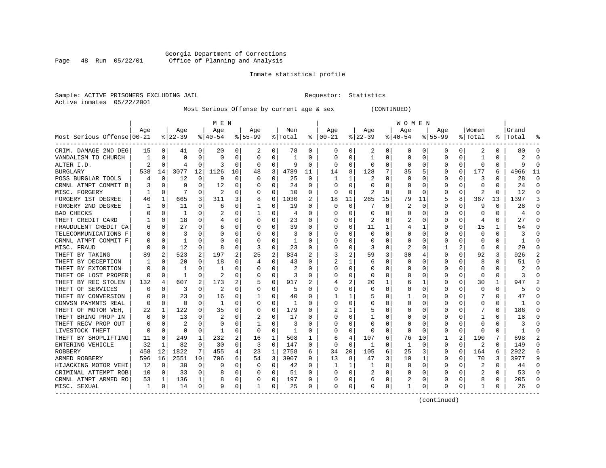### Georgia Department of Corrections Page 48 Run 05/22/01 Office of Planning and Analysis

#### Inmate statistical profile

Sample: ACTIVE PRISONERS EXCLUDING JAIL **Requestor:** Statistics Active inmates 05/22/2001

Most Serious Offense by current age & sex (CONTINUED)

|                            |     |             |           |              | M E N          |          |           |          |         |          |              |          |          |          | W O M E N |             |             |          |                         |          |           |          |
|----------------------------|-----|-------------|-----------|--------------|----------------|----------|-----------|----------|---------|----------|--------------|----------|----------|----------|-----------|-------------|-------------|----------|-------------------------|----------|-----------|----------|
|                            | Age |             | Age       |              | Age            |          | Age       |          | Men     |          | Age          |          | Age      |          | Aqe       |             | Aqe         |          | Women                   |          | Grand     |          |
| Most Serious Offense 00-21 |     |             | $ 22-39 $ |              | $8 40-54$      |          | $8 55-99$ |          | % Total | ႜ        | $ 00-21$     |          | $ 22-39$ |          | $ 40-54$  |             | $8155 - 99$ |          | % Total                 |          | %   Total |          |
| CRIM. DAMAGE 2ND DEG       | 15  | 0           | 41        | 0            | 20             | 0        | 2         | 0        | 78      | 0        | 0            | 0        | 2        | 0        | 0         | 0           | 0           | 0        | 2                       | 0        | 80        |          |
| VANDALISM TO CHURCH        |     | 0           | O         | 0            | 0              | 0        | 0         | 0        | 1       | O        | <sup>0</sup> | 0        | 1        | 0        | 0         | 0           | 0           | O        | -1                      | 0        |           |          |
| ALTER I.D.                 |     | $\Omega$    | 4         | $\Omega$     | З              | $\Omega$ | $\Omega$  | 0        | 9       | $\Omega$ | $\Omega$     | 0        | $\Omega$ | 0        | $\Omega$  | 0           | 0           | $\Omega$ | $\Omega$                | $\Omega$ | a         |          |
| BURGLARY                   | 538 | 14          | 3077      | 12           | 1126           | 10       | 48        | 3        | 4789    | 11       | 14           | 8        | 128      | 7        | 35        | 5           | 0           | $\Omega$ | 177                     | 6        | 4966      | 11       |
| POSS BURGLAR TOOLS         |     | 0           | 12        | 0            | q              | $\Omega$ |           | 0        | 25      | 0        |              | 1        | 2        | O        |           | 0           | 0           | O        | 3                       | O        | 28        | $\Omega$ |
| CRMNL ATMPT COMMIT B       |     | $\Omega$    | 9         | O            | 12             | $\Omega$ |           | $\Omega$ | 24      | $\Omega$ |              | $\Omega$ | Ω        | O        |           | $\Omega$    | U           | O        | $\Omega$                | $\Omega$ | 24        | $\Omega$ |
| MISC. FORGERY              |     | $\Omega$    | 7         | $\Omega$     | 2              | $\Omega$ | O         | 0        | 10      | $\Omega$ | $\Omega$     | $\Omega$ | 2        | $\Omega$ | $\Omega$  | $\Omega$    | U           | $\Omega$ | 2                       | $\Omega$ | 12        | $\Omega$ |
| FORGERY 1ST DEGREE         | 46  | 1           | 665       | 3            | 311            | 3        | 8         | 0        | 1030    | 2        | 18           | 11       | 265      | 15       | 79        | 11          | 5           | 8        | 367                     | 13       | 1397      | 3        |
| FORGERY 2ND DEGREE         |     | 0           | 11        | U            | 6              | 0        |           | 0        | 19      | O        | $\Omega$     | $\Omega$ |          | 0        | 2         | 0           | 0           | O        | 9                       | 0        | 28        | ∩        |
| <b>BAD CHECKS</b>          |     | 0           | 1         | O            |                | 0        |           | 0        | 4       | O        |              | 0        | 0        | 0        |           | 0           | 0           | O        |                         |          |           |          |
| THEFT CREDIT CARD          |     | 0           | 18        | U            |                | 0        | O         | O        | 23      | $\Omega$ |              |          |          | U        |           | 0           | U           | U        | 4                       | 0        | 27        |          |
| FRAUDULENT CREDIT CA       |     | 0           | 27        | 0            | 6              | 0        |           | O        | 39      | U        |              | 0        | 11       | 1        |           | 1           | O           | 0        | 15                      | 1        | 54        |          |
| TELECOMMUNICATIONS F       |     | 0           | 3         | U            | O              | 0        |           | $\Omega$ | 3       | O        |              | 0        | $\Omega$ | O        |           | 0           | U           | 0        | $\Omega$                | 0        |           |          |
| CRMNL ATMPT COMMIT F       |     | 0           | 1         | U            | C              | 0        |           | 0        | 1       | O        |              | 0        |          | 0        |           | 0           |             | 0        | O                       | N        |           |          |
| MISC. FRAUD                |     | 0           | 12        | 0            | 8              | 0        | 3         | 0        | 23      | O        |              | $\Omega$ | 3        | 0        | 2         | 0           |             | 2        | 6                       | 0        | 29        |          |
| THEFT BY TAKING            | 89  | 2           | 523       | 2            | 197            | 2        | 25        | 2        | 834     | 2        |              | 2        | 59       | 3        | 30        | 4           | 0           | 0        | 92                      | 3        | 926       |          |
| THEFT BY DECEPTION         |     | 0           | 20        | $\Omega$     | 18             | 0        | 4         | 0        | 43      | 0        |              | 1        | 6        | 0        | $\Omega$  | 0           | 0           | 0        | 8                       | 0        | 51        | ∩        |
| THEFT BY EXTORTION         |     | $\Omega$    | 1         | U            | -1             | 0        |           | 0        | 2       | O        |              | 0        | 0        | 0        |           | 0           | 0           | O        | 0                       | 0        |           |          |
| THEFT OF LOST PROPER       |     | 0           | -1        | U            |                | 0        |           | 0        | 3       | 0        |              | 0        | 0        | 0        |           | 0           |             | O        | $\Omega$                | O        |           |          |
| THEFT BY REC STOLEN        | 132 | 4           | 607       | 2            | 173            | 2        |           | $\Omega$ | 917     |          |              | 2        | 20       | 1        | 6         | 1           | U           | O        | 30                      | 1        | 947       |          |
| THEFT OF SERVICES          |     | 0           | 3         | U            | $\overline{2}$ | 0        | 0         | $\Omega$ | 5       | O        |              | O        | $\Omega$ | O        |           | $\Omega$    | O           | O        | $\Omega$                | $\Omega$ |           |          |
| THEFT BY CONVERSION        |     | $\Omega$    | 23        | 0            | 16             | 0        |           | 0        | 40      | O        |              |          | 5        | 0        |           | $\Omega$    | O           | 0        |                         | 0        | 47        |          |
| CONVSN PAYMNTS REAL        |     | 0           | 0         | 0            | 1              | 0        |           | 0        | -1      | O        |              | 0        |          | 0        |           | 0           |             | 0        | 0                       | O        |           |          |
| THEFT OF MOTOR VEH,        | 22  | 1           | 122       | 0            | 35             | 0        | O         | 0        | 179     | O        |              | 1        |          | 0        |           | 0           | U           | O        |                         | $\Omega$ | 186       |          |
| THEFT BRING PROP IN        | ∩   | $\mathbf 0$ | 13        | U            | $\overline{2}$ | 0        |           | 0        | 17      | U        |              | 0        |          | U        |           | 0           | O           | O        |                         | 0        | 18        |          |
| THEFT RECV PROP OUT        |     | 0           | 2         | 0            | 0              | 0        |           | 0        | 3       | O        |              | 0        | 0        | 0        | O         | 0           | 0           | 0        | 0                       | 0        |           |          |
| LIVESTOCK THEFT            | 0   | 0           | $\Omega$  | 0            | 1              | 0        | $\Omega$  | 0        | 1       | 0        |              | 0        | O        | 0        | 0         | 0           | 0           | 0        | 0                       | O        |           |          |
| THEFT BY SHOPLIFTING       | 11  | $\Omega$    | 249       | $\mathbf{1}$ | 232            | 2        | 16        | 1        | 508     | 1        |              | 4        | 107      | 6        | 76        | 10          |             |          | 190                     |          | 698       |          |
| ENTERING VEHICLE           | 32  | 1           | 82        | $\Omega$     | 30             | 0        | 3         | $\Omega$ | 147     | O        | $\Omega$     | 0        | -1       | U        |           | $\Omega$    | 0           | 0        | 2                       | 0        | 149       |          |
| ROBBERY                    | 458 | 12          | 1822      | 7            | 455            | 4        | 23        | 1        | 2758    | 6        | 34           | 20       | 105      | 6        | 25        | 3           | 0           | $\Omega$ | 164                     | 6        | 2922      |          |
| ARMED ROBBERY              | 596 | 16          | 2551      | 10           | 706            | 6        | 54        | 3        | 3907    | 9        | 13           | 8        | 47       | 3        | 10        | 1           | 0           | 0        | 70                      | 3        | 3977      |          |
| HIJACKING MOTOR VEHI       | 12  | 0           | 30        | 0            | $\Omega$       | 0        | 0         | 0        | 42      | 0        |              | 1        | -1       | 0        |           | 0           | 0           | 0        | $\overline{\mathbf{c}}$ | 0        | 44        |          |
| CRIMINAL ATTEMPT ROB       | 10  | 0           | 33        | $\Omega$     | 8              | 0        |           | 0        | 51      | O        |              | $\Omega$ | 2        | 0        |           | $\mathbf 0$ | 0           | $\Omega$ | 2                       | $\Omega$ | 53        |          |
| CRMNL ATMPT ARMED RO       | 53  | 1           | 136       | $\mathbf 1$  | 8              | 0        |           | 0        | 197     | 0        |              | 0        | 6        | 0        |           | 0           | U           | O        | 8                       | 0        | 205       |          |
| MISC. SEXUAL               | 1   | 0           | 14        | 0            | 9              | 0        | 1         | 0        | 25      | 0        | $\Omega$     | 0        | O        | 0        |           | 0           | O           | 0        | -1                      | 0        | 26        |          |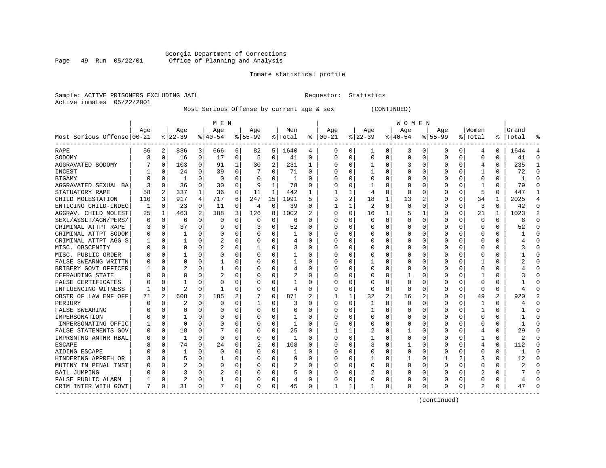#### Georgia Department of Corrections Page 49 Run 05/22/01 Office of Planning and Analysis

# Inmate statistical profile

| Sample: ACTIVE PRISONERS EXCLUDING JAIL | Requestor: Statistics |  |
|-----------------------------------------|-----------------------|--|
| Active inmates 05/22/2001               |                       |  |

# Most Serious Offense by current age & sex (CONTINUED)

|                            |     |          |                |   | M E N          |          |           |              |          |          |          |                |          |   | W O M E N    |             |             |          |                |          |           |                |
|----------------------------|-----|----------|----------------|---|----------------|----------|-----------|--------------|----------|----------|----------|----------------|----------|---|--------------|-------------|-------------|----------|----------------|----------|-----------|----------------|
|                            | Age |          | Age            |   | Age            |          | Age       |              | Men      |          | Age      |                | Age      |   | Age          |             | Age         |          | Women          |          | Grand     |                |
| Most Serious Offense 00-21 |     |          | $ 22-39$       |   | $8 40-54$      |          | $8 55-99$ |              | % Total  | ႜ        | $ 00-21$ |                | $ 22-39$ |   | $ 40-54$     |             | $8155 - 99$ |          | % Total        |          | %   Total |                |
| RAPE                       | 56  | 2        | 836            | 3 | 666            | 6        | 82        | 5            | 1640     | 4        | 0        | 0              | 1        | 0 | 3            | 0           | 0           | 0        | 4              | 0        | 1644      |                |
| SODOMY                     | 3   | 0        | 16             | 0 | 17             | 0        | 5         | 0            | 41       | $\Omega$ | $\Omega$ | O              | $\Omega$ | 0 | U            | $\mathbf 0$ | $\Omega$    | 0        | 0              | 0        | 41        | $\Omega$       |
| AGGRAVATED SODOMY          |     | $\Omega$ | 103            | 0 | 91             | 1        | 30        | 2            | 231      | 1        |          | O              | 1        | 0 |              | $\Omega$    | U           | 0        | 4              | $\Omega$ | 235       | -1             |
| INCEST                     |     | $\Omega$ | 24             | 0 | 39             | $\Omega$ |           | $\Omega$     | 71       | $\Omega$ |          | 0              | -1       | 0 |              | $\Omega$    | U           | $\Omega$ | -1             | $\Omega$ | 72        | $\Omega$       |
| BIGAMY                     |     | $\Omega$ | 1              | 0 | 0              | 0        | O         | 0            | 1        | 0        |          | 0              |          | 0 |              | 0           | 0           | 0        | $\mathbf 0$    | 0        |           | $\Omega$       |
| AGGRAVATED SEXUAL BA       |     | 0        | 36             | 0 | 30             | 0        | 9         | $\mathbf{1}$ | 78       | $\Omega$ |          | O              |          | 0 |              | $\mathbf 0$ | 0           | 0        | -1             | $\Omega$ | 79        | $\Omega$       |
| STATUATORY RAPE            | 58  | 2        | 337            | 1 | 36             | 0        | 11        | $\mathbf{1}$ | 442      | 1        |          | 1              | 4        | 0 | <sup>0</sup> | 0           | 0           | 0        | 5              | $\Omega$ | 447       | -1             |
| CHILD MOLESTATION          | 110 | 3        | 917            | 4 | 717            | 6        | 247       | 15           | 1991     | 5        | 3        | $\overline{a}$ | 18       | 1 | 13           | 2           | 0           | 0        | 34             | 1        | 2025      | $\overline{4}$ |
| ENTICING CHILD-INDEC       | -1  | 0        | 23             | 0 | 11             | 0        | 4         | 0            | 39       | $\Omega$ |          |                | 2        | 0 | <sup>0</sup> | $\Omega$    | 0           | 0        | 3              | $\Omega$ | 42        | $\Omega$       |
| AGGRAV. CHILD MOLEST       | 25  | 1        | 463            | 2 | 388            | 3        | 126       | 8            | 1002     | 2        |          | 0              | 16       | 1 |              | 1           | 0           | 0        | 21             |          | 1023      | $\overline{2}$ |
| SEXL/ASSLT/AGN/PERS/       |     | $\Omega$ | 6              | 0 | $\Omega$       | 0        | U         | 0            | 6        | $\Omega$ |          |                | U        | U |              | $\Omega$    | U           | U        | $\Omega$       | $\Omega$ | Б         | $\cap$         |
| CRIMINAL ATTPT RAPE        |     | $\Omega$ | 37             | 0 | q              | 0        |           | 0            | 52       | $\Omega$ |          | U              | U        | U |              | $\Omega$    | U           | 0        | $\Omega$       | $\Omega$ | 52        | $\cap$         |
| CRIMINAL ATTPT SODOM       |     | $\Omega$ | 1              | 0 | $\Omega$       | 0        | U         | 0            | 1        | 0        |          | 0              | O        | U |              | 0           | U           | $\Omega$ | 0              | 0        |           |                |
| CRIMINAL ATTPT AGG S       |     | 0        |                | 0 | $\overline{2}$ | 0        |           | 0            | 4        | $\Omega$ |          | $\Omega$       |          | 0 |              | $\mathbf 0$ | C           | 0        | 0              | $\Omega$ |           |                |
| MISC. OBSCENITY            |     | $\Omega$ | 0              | 0 | 2              | 0        | 1         | 0            | 3        | $\Omega$ |          | O              |          | U |              | 0           | U           | 0        | $\Omega$       | 0        |           | $\Omega$       |
| MISC. PUBLIC ORDER         |     | $\Omega$ |                | 0 | 0              | 0        |           | $\Omega$     |          | $\Omega$ |          | O              |          | 0 |              | $\Omega$    | 0           | 0        | $\Omega$       | $\Omega$ |           | $\cap$         |
| FALSE SWEARNG WRITTN       |     | $\Omega$ | 0              | U |                | 0        | U         | 0            | 1        | $\Omega$ |          | O              |          | 0 | Ω            | 0           | 0           | 0        |                | $\Omega$ |           | $\cap$         |
| BRIBERY GOVT OFFICER       |     | $\Omega$ | 2              | U |                | 0        | U         | 0            | 4        | $\Omega$ |          |                | 0        | 0 |              | 0           | 0           | 0        | 0              | 0        |           |                |
| DEFRAUDING STATE           |     | ∩        | 0              | U |                | 0        | U         | 0            | 2        | $\Omega$ |          |                | 0        | 0 |              | $\Omega$    | U           | U        |                | O        |           |                |
| FALSE CERTIFICATES         |     | ∩        |                | U | $\Omega$       | 0        | U         | 0            | 1        | $\Omega$ |          | U              | O        | U | Ω            | $\Omega$    | U           | U        | $\Omega$       | 0        |           |                |
| INFLUENCING WITNESS        |     | $\Omega$ | $\overline{2}$ | 0 | -1             | 0        | U         | $\mathbf 0$  | 4        | 0        |          | 0              | 0        | 0 | <sup>0</sup> | 0           | 0           | $\Omega$ | $\mathbf 0$    | 0        |           |                |
| OBSTR OF LAW ENF OFF       | 71  | 2        | 608            | 2 | 185            | 2        |           | 0            | 871      | 2        |          |                | 32       | 2 | 16           | 2           | 0           | 0        | 49             | 2        | 920       | 2              |
| PERJURY                    |     | $\Omega$ | 2              | 0 | $\Omega$       | 0        | 1         | 0            | 3        | $\Omega$ |          | $\Omega$       |          | 0 |              | $\mathbf 0$ | 0           | 0        | -1             | 0        |           |                |
| <b>FALSE SWEARING</b>      |     | $\Omega$ | 0              | U | 0              | 0        | 0         | 0            | $\Omega$ | $\Omega$ |          | O              |          | U |              | $\Omega$    | 0           | 0        | 1              | $\Omega$ |           | $\cap$         |
| IMPERSONATION              |     | $\Omega$ |                | U | $\Omega$       | 0        | U         | $\Omega$     | 1        | $\Omega$ |          | O              | 0        | 0 |              | $\Omega$    | 0           | 0        | $\Omega$       | $\Omega$ |           | ∩              |
| IMPERSONATING OFFIC        |     | $\Omega$ | 0              | U | $\Omega$       | 0        | U         | 0            | 1        | $\Omega$ |          | O              | 0        | U |              | 0           | 0           | 0        | $\Omega$       | 0        |           | ∩              |
| FALSE STATEMENTS GOV       |     | 0        | 18             | 0 |                | 0        | 0         | 0            | 25       | $\Omega$ |          |                | 2        | 0 |              | 0           | C           | 0        | 4              | 0        | 29        |                |
| IMPRSNTNG ANTHR RBAL       |     | $\Omega$ | 1              | O | $\Omega$       | $\Omega$ | U         | 0            |          | $\Omega$ |          | $\Omega$       |          | U |              | $\mathbf 0$ | $\Omega$    | O        |                | $\Omega$ |           |                |
| <b>ESCAPE</b>              |     | $\Omega$ | 74             | 0 | 24             | 0        |           | $\Omega$     | 108      | $\Omega$ |          | O              | 3        | 0 |              | $\Omega$    | U           | U        | 4              | $\Omega$ | 112       |                |
| AIDING ESCAPE              |     | $\Omega$ |                | U | $\Omega$       | $\Omega$ | 0         | 0            |          | $\Omega$ | O        | 0              | 0        | 0 |              | $\Omega$    | 0           | 0        | $\Omega$       | 0        |           |                |
| HINDERING APPREH OR        |     | $\Omega$ | 5              | 0 |                | 0        | 0         | $\Omega$     | 9        | $\Omega$ |          | 0              |          | 0 |              | 0           |             | 2        | 3              | $\Omega$ | 12        | $\Omega$       |
| MUTINY IN PENAL INST       |     | $\Omega$ | 2              | 0 | $\Omega$       | 0        |           | 0            | 2        | $\Omega$ |          | 0              | 0        | 0 |              | $\mathbf 0$ | 0           | 0        | $\Omega$       | 0        |           | $\cap$         |
| <b>BAIL JUMPING</b>        |     | $\Omega$ | 3              | 0 |                | 0        | O         | 0            | 5        | $\Omega$ |          | $\Omega$       |          | O |              | $\mathbf 0$ | $\Omega$    | 0        | $\overline{2}$ | $\Omega$ |           | $\cap$         |
| FALSE PUBLIC ALARM         |     | $\Omega$ | 2              | 0 | 1              | 0        | U         | 0            | 4        | 0        |          | 0              | Ω        | 0 | Ω            | 0           | U           | 0        | $\Omega$       | 0        |           | $\cap$         |
| CRIM INTER WITH GOVT       | 7   | 0        | 31             | 0 | 7              | 0        | O         | 0            | 45       | 0        |          | 1              |          | 0 | $\Omega$     | 0           | $\Omega$    | 0        | $\mathfrak{D}$ | $\Omega$ | 47        |                |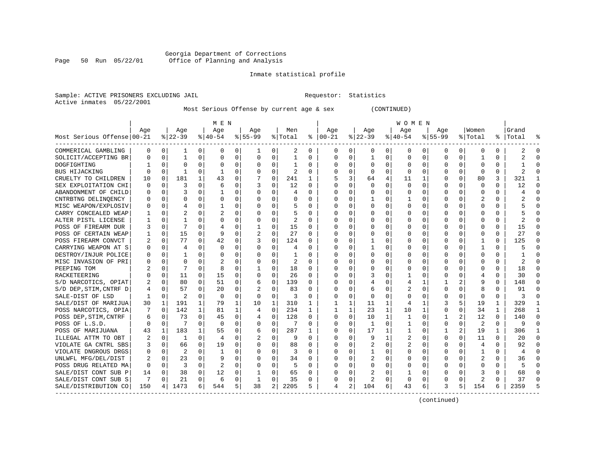### Georgia Department of Corrections<br>Page 50 Run 05/22/01 Office of Planning and Analysis Page 50 Run 05/22/01 Office of Planning and Analysis

#### Inmate statistical profile

Sample: ACTIVE PRISONERS EXCLUDING JAIL **Requestor:** Statistics Active inmates 05/22/2001

Most Serious Offense by current age & sex (CONTINUED)

|                            |          |                |           |              | M E N          |          |           |             |         |              |               |          |          |              | W O M E N   |             |              |                |                |              |                |              |
|----------------------------|----------|----------------|-----------|--------------|----------------|----------|-----------|-------------|---------|--------------|---------------|----------|----------|--------------|-------------|-------------|--------------|----------------|----------------|--------------|----------------|--------------|
|                            | Age      |                | Age       |              | Aqe            |          | Age       |             | Men     |              | Aqe           |          | Age      |              | Age         |             | Aqe          |                | Women          |              | Grand          |              |
| Most Serious Offense 00-21 |          |                | $8 22-39$ |              | $8 40-54$      |          | $8 55-99$ |             | % Total |              | $8   00 - 21$ |          | $ 22-39$ |              | $ 40-54 $   |             | $8155 - 99$  |                | % Total        |              | %   Total      | - 있          |
| COMMERICAL GAMBLING        | 0        | 0              | 1         | 0            | 0              | 0        |           | 0           | 2       | 0            | 0             | 0        | 0        | 0            | 0           | 0           | 0            | 0              | 0              | 0            | 2              | $\Omega$     |
| SOLICIT/ACCEPTING BR       | O        | 0              | 1         | $\Omega$     | $\Omega$       | 0        | 0         | 0           | 1       | $\Omega$     | $\mathbf 0$   | 0        | 1        | 0            | $\mathbf 0$ | $\mathbf 0$ | $\Omega$     | $\Omega$       | $\mathbf{1}$   | 0            | 2              | $\cap$       |
| DOGFIGHTING                |          | $\Omega$       | $\Omega$  | 0            | $\Omega$       | 0        | 0         | $\Omega$    | 1       | 0            | 0             | 0        | $\Omega$ | 0            | 0           | $\Omega$    | $\Omega$     | 0              | $\Omega$       | 0            |                | $\cap$       |
| BUS HIJACKING              |          | $\Omega$       | 1         | $\Omega$     | -1             | 0        | 0         | $\Omega$    | 2       | 0            | $\Omega$      | $\Omega$ | $\Omega$ | $\Omega$     | 0           | $\Omega$    | O            | $\Omega$       | $\Omega$       | $\Omega$     | 2              |              |
| CRUELTY TO CHILDREN        | 10       | $\mathbf 0$    | 181       | $\mathbf{1}$ | 43             | 0        |           | $\mathbf 0$ | 241     | 1            | 5             | 3        | 64       | 4            | 11          | 1           | 0            | $\Omega$       | 80             | 3            | 321            |              |
| SEX EXPLOITATION CHI       | O        | $\mathbf 0$    | 3         | $\Omega$     | 6              | 0        | 3         | $\Omega$    | 12      | $\Omega$     | $\cap$        | $\Omega$ | 0        | $\Omega$     | $\Omega$    | $\Omega$    | $\Omega$     | $\Omega$       | $\Omega$       | 0            | 12             | $\cap$       |
| ABANDONMENT OF CHILD       | 0        | 0              | 3         | $\Omega$     | 1              | 0        | O         | $\Omega$    | 4       | $\Omega$     | $\Omega$      | 0        | $\Omega$ | 0            | O           | 0           | $\Omega$     | $\Omega$       | $\Omega$       | 0            |                | $\Omega$     |
| CNTRBTNG DELINOENCY        | 0        | 0              | 0         | $\Omega$     | 0              | 0        | O         | 0           | 0       | 0            | $\Omega$      | 0        | 1        | 0            | 1           | 0           | O            | 0              | 2              | 0            |                | $\Omega$     |
| MISC WEAPON/EXPLOSIV       | 0        | 0              | 4         | 0            |                | 0        | O         | 0           | 5       | 0            | $\Omega$      | $\Omega$ | 0        | 0            | 0           | 0           | $\Omega$     | 0              | 0              | 0            |                | $\Omega$     |
| CARRY CONCEALED WEAP       |          | $\mathbf 0$    |           | O            |                | 0        |           | $\Omega$    | 5       | U            |               | 0        | 0        | 0            | 0           | 0           | O            |                | O              | U            |                |              |
| ALTER PISTL LICENSE        |          | $\Omega$       | 1         | <sup>n</sup> | $\Omega$       | 0        | O         | $\Omega$    | 2       | U            | $\Omega$      | 0        | $\Omega$ | $\Omega$     | O           | $\Omega$    | ∩            | <sup>0</sup>   | <sup>0</sup>   | 0            |                |              |
| POSS OF FIREARM DUR        | 3        | $\Omega$       | 7         | $\Omega$     | 4              | 0        |           | $\Omega$    | 15      | 0            | $\Omega$      | $\Omega$ | $\Omega$ | $\Omega$     | O           | $\Omega$    | ∩            | 0              | <sup>0</sup>   | 0            | 15             | -C           |
| POSS OF CERTAIN WEAP       | 1        | $\mathbf 0$    | 15        | $\Omega$     | 9              | $\Omega$ | 2         | 0           | 27      | $\Omega$     | $\Omega$      | $\Omega$ | $\Omega$ | $\Omega$     | O           | $\Omega$    | $\Omega$     | $\Omega$       | $\Omega$       | 0            | 27             | $\Omega$     |
| POSS FIREARM CONVCT        |          | 0              | 77        | $\Omega$     | 42             | 0        |           | 0           | 124     | 0            |               | 0        | 1        | 0            | Ω           | $\Omega$    | <sup>0</sup> | 0              | $\mathbf{1}$   | 0            | 125            | $\cap$       |
| CARRYING WEAPON AT S       | $\Omega$ | $\mathbf 0$    | 4         | $\Omega$     | $\Omega$       | $\Omega$ | $\Omega$  | $\Omega$    | 4       | $\Omega$     | $\Omega$      | $\Omega$ | 1        | $\Omega$     | $\Omega$    | $\Omega$    | $\Omega$     | <sup>0</sup>   | $\mathbf{1}$   | 0            |                | $\Omega$     |
| DESTROY/INJUR POLICE       | 0        | 0              | 1         | $\Omega$     | $\Omega$       | 0        | O         | 0           | 1       | $\Omega$     | $\Omega$      | $\Omega$ | $\Omega$ | O            | O           | $\Omega$    | $\Omega$     | 0              | <sup>0</sup>   | $\Omega$     |                | $\Omega$     |
| MISC INVASION OF PRI       | 0        | 0              | $\Omega$  | 0            | 2              | 0        | O         | $\Omega$    | 2       | $\Omega$     | $\Omega$      | 0        | 0        | $\Omega$     | 0           | $\Omega$    | $\Omega$     | $\Omega$       | <sup>0</sup>   | 0            | $\overline{c}$ | $\Omega$     |
| PEEPING TOM                |          | 0              |           | O            | 8              | 0        |           | $\Omega$    | 18      | 0            | $\Omega$      | 0        | O        | $\Omega$     | 0           | $\Omega$    | $\Omega$     | 0              | <sup>0</sup>   | U            | 18             | $\Omega$     |
| RACKETEERING               |          | $\Omega$       | 11        | 0            | 15             | $\Omega$ | O         | $\Omega$    | 26      | $\Omega$     | C             | $\Omega$ |          | $\Omega$     |             | $\Omega$    | $\Omega$     | <sup>0</sup>   | 4              | U            | 30             |              |
| S/D NARCOTICS, OPIAT       |          | $\Omega$       | 80        | $\Omega$     | 51             | $\Omega$ | 6         | $\Omega$    | 139     | $\Omega$     | $\Omega$      | $\Omega$ |          | O            | 4           | 1           |              | $\mathfrak{D}$ | 9              | 0            | 148            | ∩            |
| S/D DEP, STIM, CNTRF D     | 4        | $\Omega$       | 57        | $\Omega$     | 20             | $\Omega$ | 2         | $\Omega$    | 83      | $\Omega$     | $\Omega$      | $\Omega$ | 6        | 0            | 2           | $\Omega$    | $\Omega$     | 0              | 8              | 0            | 91             | $\cap$       |
| SALE-DIST OF LSD           | -1       | $\mathbf 0$    | 2         | $\Omega$     | $\Omega$       | $\Omega$ | $\Omega$  | $\Omega$    | 3       | 0            | $\Omega$      | $\Omega$ | $\Omega$ | $\Omega$     | O           | $\Omega$    | $\Omega$     | $\Omega$       | $\Omega$       | 0            | 3              | $\cap$       |
| SALE/DIST OF MARIJUA       | 30       | 1              | 191       | $\mathbf 1$  | 79             | 1        | 10        | 1           | 310     | 1            |               | 1        | 11       | 1            | 4           | 1           |              | 5              | 19             | 1            | 329            | $\mathbf{1}$ |
| POSS NARCOTICS, OPIA       |          | 0              | 142       | $\mathbf{1}$ | 81             | 1        | 4         | $\Omega$    | 234     | $\mathbf{1}$ | $\mathbf{1}$  | 1        | 23       | $\mathbf{1}$ | 10          | 1           | $\Omega$     | $\Omega$       | 34             | $\mathbf{1}$ | 268            | $\mathbf{1}$ |
| POSS DEP, STIM, CNTRF      | 6        | 0              | 73        | $\Omega$     | 45             | 0        | 4         | $\Omega$    | 128     | $\Omega$     | $\Omega$      | 0        | 10       | 1            | 1           | $\Omega$    | 1            | 2              | 12             | $\Omega$     | 140            | $\Omega$     |
| POSS OF L.S.D.             | $\Omega$ | 0              |           | 0            | $\Omega$       | 0        | 0         | 0           |         | 0            | $\Omega$      | $\Omega$ | 1        | $\Omega$     | 1           | 0           | $\Omega$     | 0              | 2              | $\Omega$     | 9              | $\Omega$     |
| POSS OF MARIJUANA          | 43       | 1              | 183       | 1            | 55             | 0        | 6         | $\Omega$    | 287     | 1            | $\Omega$      | $\Omega$ | 17       | 1            |             | $\Omega$    |              |                | 19             | 1            | 306            | 1            |
| ILLEGAL ATTM TO OBT        |          | $\Omega$       | 1         | $\Omega$     | $\overline{4}$ | $\Omega$ |           | $\Omega$    | 9       | $\Omega$     | $\Omega$      | $\Omega$ | 9        | $\mathbf{1}$ | 2           | $\Omega$    | $\Omega$     | $\Omega$       | 11             | 0            | 20             | $\Omega$     |
| VIOLATE GA CNTRL SBS       | 3        | $\Omega$       | 66        | $\Omega$     | 19             | 0        | 0         | 0           | 88      | $\Omega$     | $\Omega$      | $\Omega$ | 2        | 0            | 2           | $\Omega$    | $\Omega$     | 0              | 4              | 0            | 92             | $\Omega$     |
| VIOLATE DNGROUS DRGS       | $\Omega$ | $\Omega$       | 2         | $\Omega$     | -1             | 0        | 0         | $\Omega$    | 3       | $\Omega$     | $\Omega$      | $\Omega$ | 1        | 0            | 0           | $\Omega$    | $\Omega$     | $\Omega$       | -1             | 0            | 4              | $\cap$       |
| UNLWFL MFG/DEL/DIST        | 2        | $\mathbf 0$    | 23        | $\Omega$     | 9              | 0        | 0         | $\Omega$    | 34      | 0            | $\Omega$      | 0        | 2        | 0            | 0           | $\Omega$    | $\Omega$     | $\Omega$       | $\overline{2}$ | 0            | 36             |              |
| POSS DRUG RELATED MA       | $\Omega$ | 0              | 3         | $\Omega$     | 2              | 0        | O         | $\Omega$    | 5       | $\Omega$     | $\Omega$      | $\Omega$ | $\Omega$ | $\Omega$     | 0           | $\Omega$    | $\Omega$     | 0              | 0              | 0            |                | $\cap$       |
| SALE/DIST CONT SUB P       | 14       | 0              | 38        | $\Omega$     | 12             | 0        |           | $\Omega$    | 65      | $\Omega$     | $\Omega$      | $\Omega$ | 2        | $\Omega$     | 1           | $\Omega$    | $\Omega$     | 0              | 3              | 0            | 68             | $\Omega$     |
| SALE/DIST CONT SUB S       | 7        | 0              | 21        | $\Omega$     | 6              | $\Omega$ | -1        | $\Omega$    | 35      | $\Omega$     | $\Omega$      | 0        | 2        | $\Omega$     | $\Omega$    | 0           | $\Omega$     | 0              | 2              | 0            | 37             | $\Omega$     |
| SALE/DISTRIBUTION CO       | 150      | 4 <sup>1</sup> | 1473      | 6            | 544            | 5.       | 38        | 2           | 2205    | 5.           | 4             | 2        | 104      | 6            | 43          | 6           | 3            | 5              | 154            | 6            | 2359           | 5            |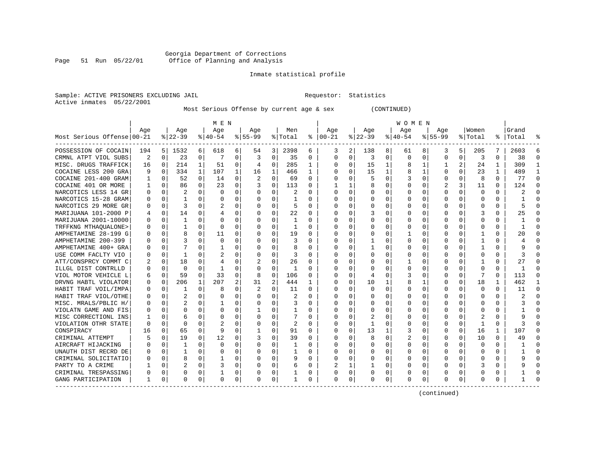#### Georgia Department of Corrections Page 51 Run 05/22/01 Office of Planning and Analysis

# Inmate statistical profile

| Sample: ACTIVE PRISONERS EXCLUDING JAIL | Requestor: Statistics |  |
|-----------------------------------------|-----------------------|--|
| Active inmates 05/22/2001               |                       |  |

Most Serious Offense by current age & sex (CONTINUED)

|                            | M E N        |             |                |              |              |          |          |             | W O M E N |          |                         |                |              |             |          |             |           |          |              |          |           |          |
|----------------------------|--------------|-------------|----------------|--------------|--------------|----------|----------|-------------|-----------|----------|-------------------------|----------------|--------------|-------------|----------|-------------|-----------|----------|--------------|----------|-----------|----------|
|                            | Aqe          |             | Age            |              | Aqe          |          | Aqe      |             | Men       |          | Age                     |                | Aqe          |             | Aqe      |             | Aqe       |          | Women        |          | Grand     |          |
| Most Serious Offense 00-21 |              |             | $8 22-39$      |              | $8 40-54$    |          | $ 55-99$ |             | % Total   |          | $8   00 - 21$           |                | $ 22-39$     |             | $ 40-54$ |             | $8 55-99$ |          | % Total      |          | %   Total |          |
| POSSESSION OF COCAIN       | 194          | 5           | 1532           | 6            | 618          | 6        | 54       | 3 I         | 2398      | 6        | 3                       | $\overline{2}$ | 138          | 8           | 61       | 8           | 3         | 5        | 205          | 7        | 2603      | 6        |
| CRMNL ATPT VIOL SUBS       | 2            | 0           | 23             | 0            | -7           | 0        | 3        | 0           | 35        | 0        | $\Omega$                | 0              | 3            | 0           | $\Omega$ | 0           | 0         | 0        | 3            | 0        | 38        | $\Omega$ |
| MISC. DRUGS TRAFFICK       | 16           | 0           | 214            | $\mathbf{1}$ | 51           | 0        | 4        | 0           | 285       | 1        | ∩                       | 0              | 15           | $\mathbf 1$ | 8        | 1           | 1         | 2        | 24           | 1        | 309       | -1       |
| COCAINE LESS 200 GRA       | 9            | 0           | 334            | $\mathbf{1}$ | 107          | 1        | 16       | 1           | 466       | 1        | <sup>0</sup>            | 0              | 15           | 1           | 8        | 1           | O         | $\Omega$ | 23           | 1        | 489       | -1       |
| COCAINE 201-400 GRAM       |              | 0           | 52             | $\Omega$     | 14           | $\Omega$ | 2        | $\Omega$    | 69        | $\Omega$ |                         | 0              | 5            | 0           | 3        | 0           | 0         | $\Omega$ | 8            | 0        | 77        | $\Omega$ |
| COCAINE 401 OR MORE        |              | $\mathbf 0$ | 86             | 0            | 23           | 0        |          | 0           | 113       | O        |                         |                |              | 0           |          | $\mathbf 0$ | 2         | 3        | 11           | $\Omega$ | 124       | $\Omega$ |
| NARCOTICS LESS 14 GR       | $\Omega$     | 0           |                | U            | $\Omega$     | $\Omega$ | O        | $\Omega$    |           | O        | <sup>0</sup>            | 0              | $\Omega$     | 0           | U        | 0           | U         | O        | 0            | 0        |           |          |
| NARCOTICS 15-28 GRAM       | $\Omega$     | $\Omega$    | 1              | U            | $\Omega$     | $\Omega$ | O        | $\Omega$    |           | $\Omega$ | <sup>0</sup>            | 0              | $\Omega$     | U           |          | $\Omega$    | U         |          | $\Omega$     | $\Omega$ |           |          |
| NARCOTICS 29 MORE GR       | <sup>0</sup> | $\Omega$    | 3              | U            |              | $\Omega$ | O        | O           | 5         | $\Omega$ | ∩                       | 0              | $\Omega$     | U           |          | $\Omega$    | U         | U        | $\Omega$     | $\Omega$ |           |          |
| MARIJUANA 101-2000 P       | 4            | $\Omega$    | 14             | U            | 4            | $\Omega$ | 0        | $\Omega$    | 22        | $\Omega$ |                         | $\Omega$       |              | 0           |          | $\Omega$    | O         | 0        | 3            | 0        | 25        |          |
| MARIJUANA 2001-10000       | ∩            | $\Omega$    | 1              | $\Omega$     | $\Omega$     | $\Omega$ | O        | $\Omega$    | -1        | O        |                         | 0              | $\Omega$     | 0           |          | $\Omega$    | U         | $\Omega$ | <sup>0</sup> | 0        |           |          |
| TRFFKNG MTHAOUALONE>       |              | $\mathbf 0$ | 1              | 0            | $\Omega$     | O        | O        | $\mathbf 0$ | 1         | O        |                         | $\Omega$       | $\Omega$     | 0           |          | 0           | U         | 0        | 0            | 0        |           |          |
| AMPHETAMINE 28-199 G       |              | $\mathbf 0$ | 8              | 0            | 11           | 0        |          | $\Omega$    | 19        | 0        |                         | $\Omega$       |              | 0           |          | 0           | 0         | 0        |              | 0        | 20        |          |
| AMPHETAMINE 200-399        |              | $\mathbf 0$ |                | 0            | $\mathbf 0$  | $\Omega$ | O        | 0           | 3         | 0        | 0                       | 0              |              | 0           |          | 0           | 0         | 0        |              | 0        |           |          |
| AMPHETAMINE 400+ GRA       |              | 0           | 7              | U            | $\mathbf{1}$ | 0        | O        | 0           | 8         | $\Omega$ | $\Omega$                | $\Omega$       | $\mathbf{1}$ | 0           | $\Omega$ | 0           | U         | $\Omega$ | $\mathbf{1}$ | $\Omega$ |           | $\Omega$ |
| USE COMM FACLTY VIO        | ∩            | 0           | 1              | U            | 2            | $\Omega$ | O        | $\Omega$    | 3         | $\Omega$ | $\cap$                  | $\Omega$       | $\Omega$     | O           | $\Omega$ | 0           | U         | $\Omega$ | $\Omega$     | $\Omega$ |           | ∩        |
| ATT/CONSPRCY COMMT C       |              | 0           | 18             | $\Omega$     | 4            | 0        | 2        | 0           | 26        | $\Omega$ | ∩                       | 0              | $\Omega$     | $\Omega$    |          | 0           | U         | 0        | -1           | $\Omega$ | 27        | ∩        |
| ILLGL DIST CONTRLLD        |              | $\mathbf 0$ | $\Omega$       | $\Omega$     | -1           | $\Omega$ | $\Omega$ | $\Omega$    | -1        | 0        | <sup>0</sup>            | $\Omega$       | 0            | $\Omega$    | 0        | 0           | 0         | $\Omega$ | $\Omega$     | $\Omega$ | -1        | ∩        |
| VIOL MOTOR VEHICLE L       | 6            | $\mathbf 0$ | 59             | $\Omega$     | 33           | 0        | 8        | $\mathbf 0$ | 106       | $\Omega$ | <sup>0</sup>            | $\Omega$       | 4            | 0           | 3        | 0           | 0         | $\Omega$ |              | 0        | 113       | ∩        |
| DRVNG HABTL VIOLATOR       | 0            | $\mathbf 0$ | 206            | $\mathbf{1}$ | 207          | 2        | 31       | 2           | 444       | 1        | <sup>0</sup>            | $\Omega$       | 10           | 1           | 8        | 1           | 0         | $\Omega$ | 18           |          | 462       | -1       |
| HABIT TRAF VOIL/IMPA       |              | 0           |                | U            | 8            | 0        |          | 0           | 11        | $\Omega$ | <sup>0</sup>            | 0              | $\Omega$     | 0           |          | 0           | 0         | O        | 0            | 0        | 11        | $\Omega$ |
| HABIT TRAF VIOL/OTHE       |              | 0           |                | U            | 0            | 0        | O        | $\Omega$    | 2         | $\Omega$ | <sup>0</sup>            | 0              | $\Omega$     | 0           |          | 0           | U         | U        | $\cap$       | $\Omega$ |           |          |
| MISC. MRALS/PBLIC H/       |              | $\Omega$    | $\overline{c}$ | 0            |              | $\Omega$ | O        | $\Omega$    | 3         | $\Omega$ | $\cap$                  | 0              | $\Omega$     | U           |          | $\Omega$    | U         |          | $\Omega$     | $\Omega$ |           |          |
| VIOLATN GAME AND FIS       |              | $\Omega$    | O              | 0            | $\Omega$     | 0        |          | O           | 1         | 0        | ∩                       | 0              | $\Omega$     | U           |          | $\Omega$    | U         | 0        | $\Omega$     | 0        |           |          |
| MISC CORRECTIONL INS       |              | $\Omega$    | 6              | 0            | $\Omega$     | 0        | O        | O           | 7         | $\Omega$ | ∩                       | 0              |              | U           |          | $\Omega$    | U         | $\Omega$ |              | 0        |           |          |
| VIOLATION OTHR STATE       | $\Omega$     | $\Omega$    | $\Omega$       | 0            | 2            | $\Omega$ | O        | $\Omega$    | 2         | $\Omega$ | <sup>0</sup>            | $\Omega$       | -1           | 0           |          | $\Omega$    | O         | $\Omega$ | -1           | 0        |           |          |
| CONSPIRACY                 | 16           | $\mathbf 0$ | 65             | $\Omega$     | 9            | $\Omega$ |          | $\Omega$    | 91        | 0        |                         | $\Omega$       | 13           | 1           | 3        | 0           | 0         | $\Omega$ | 16           | 1        | 107       |          |
| CRIMINAL ATTEMPT           |              | 0           | 19             | $\Omega$     | 12           | 0        |          | $\Omega$    | 39        | $\Omega$ |                         | $\Omega$       | 8            | 0           | 2        | 0           | 0         | $\Omega$ | 10           | $\Omega$ | 49        |          |
| AIRCRAFT HIJACKING         |              | $\mathbf 0$ | $\mathbf{1}$   | 0            | $\mathbf 0$  | $\Omega$ |          | 0           | 1         | O        |                         | 0              | $\Omega$     | 0           |          | 0           | 0         | $\Omega$ | $\mathbf 0$  | 0        |           | $\Omega$ |
| UNAUTH DIST RECRD DE       |              | 0           | 1              | 0            | 0            | 0        | O        | $\Omega$    | 1         | O        | <sup>0</sup>            | $\Omega$       | $\Omega$     | 0           |          | 0           | U         | 0        | $\Omega$     | $\Omega$ |           | ∩        |
| CRIMINAL SOLICITATIO       |              | 0           | 8              | $\Omega$     | -1           | $\Omega$ | O        | $\Omega$    | 9         | $\Omega$ | $\cap$                  | $\Omega$       | $\Omega$     | $\Omega$    | O        | 0           | U         | $\Omega$ | <sup>0</sup> | $\Omega$ |           | ∩        |
| PARTY TO A CRIME           |              | $\Omega$    | $\overline{c}$ | $\Omega$     | 3            | $\Omega$ | O        | $\Omega$    | 6         | 0        | $\overline{\mathbf{c}}$ | 1              | 1            | 0           | O        | 0           | O         | $\Omega$ |              | 0        |           | ∩        |
| CRIMINAL TRESPASSING       | 0            | 0           | 0              | $\Omega$     | 1            | 0        | 0        | 0           |           | 0        | <sup>0</sup>            | 0              | 0            | 0           | 0        | 0           | 0         | $\Omega$ | 0            | 0        |           | ∩        |
| GANG PARTICIPATION         | 1            | 0           | 0              | 0            | $\mathbf 0$  | 0        | $\Omega$ | 0           | 1         | 0        | $\Omega$                | 0              | 0            | 0           | $\Omega$ | 0           | 0         | 0        | $\Omega$     | 0        |           | ∩        |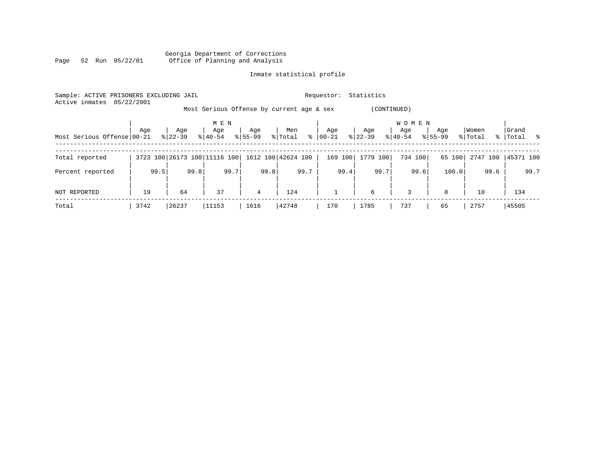|      |  |                 |  | Georgia Department of Corrections |  |  |
|------|--|-----------------|--|-----------------------------------|--|--|
| Page |  | 52 Run 05/22/01 |  | Office of Planning and Analysis   |  |  |

| Sample: ACTIVE PRISONERS EXCLUDING JAIL<br>05/22/2001<br>Active inmates |      |           |                              |             |                                           | Requestor: | Statistics  |                     |             |          |             |
|-------------------------------------------------------------------------|------|-----------|------------------------------|-------------|-------------------------------------------|------------|-------------|---------------------|-------------|----------|-------------|
|                                                                         |      |           |                              |             | Most Serious Offense by current age & sex |            | (CONTINUED) |                     |             |          |             |
|                                                                         | Age  | Age       | M E N<br>Age                 | Age         | Men                                       | Age        | Age         | <b>WOMEN</b><br>Age | Age         | Women    | Grand       |
| Most Serious Offense 00-21                                              |      | $8 22-39$ | $8140 - 54$                  | $8155 - 99$ | $\frac{8}{6}$<br>% Total                  | 00-21      | $ 22-39 $   | $8 40-54$           | $8155 - 99$ | % Total  | %   Total % |
| Total reported                                                          |      |           | 3723 100 26173 100 11116 100 |             | 1612 100 42624 100                        | 169 100    | 1779 100    | 734 100             | 65 100      | 2747 100 | 45371 100   |
| Percent reported                                                        | 99.5 | 99.8      | 99.7                         | 99.8        | 99.7                                      | 99.4       | 99.7        | 99.6                | 100.0       | 99.6     | 99.7        |
| NOT REPORTED                                                            | 19   | 64        | 37                           | 4           | 124                                       |            | 6           | 3                   | $\Omega$    | 10       | 134         |
| Total                                                                   | 3742 | 26237     | 11153                        | 1616        | 42748                                     | 170        | 1785        | 737                 | 65          | 2757     | 45505       |